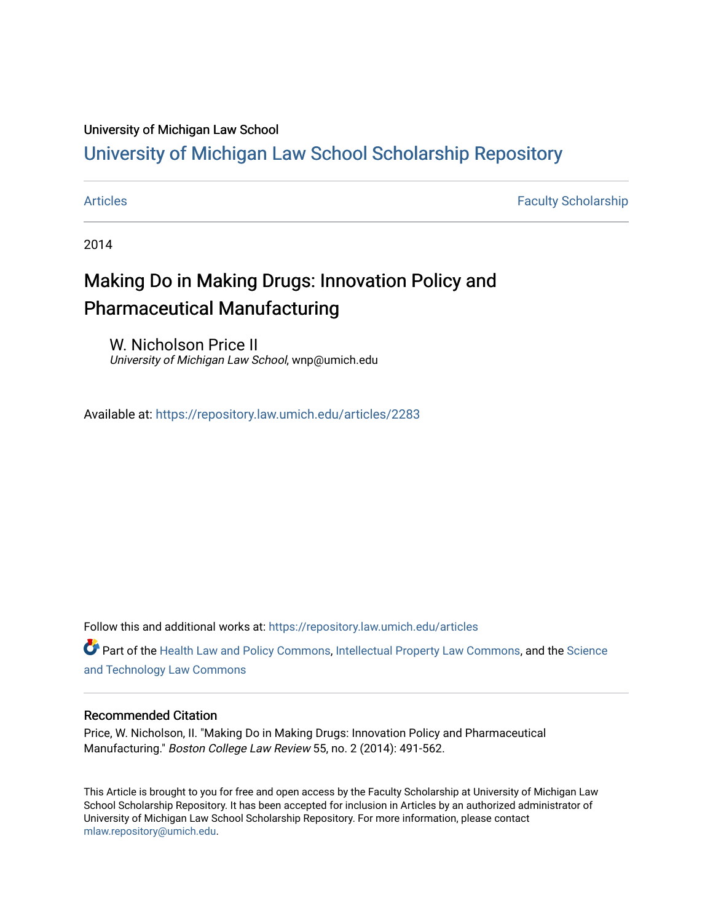### University of Michigan Law School

## [University of Michigan Law School Scholarship Repository](https://repository.law.umich.edu/)

[Articles](https://repository.law.umich.edu/articles) **Faculty Scholarship** Faculty Scholarship

2014

# Making Do in Making Drugs: Innovation Policy and Pharmaceutical Manufacturing

W. Nicholson Price II University of Michigan Law School, wnp@umich.edu

Available at: <https://repository.law.umich.edu/articles/2283>

Follow this and additional works at: [https://repository.law.umich.edu/articles](https://repository.law.umich.edu/articles?utm_source=repository.law.umich.edu%2Farticles%2F2283&utm_medium=PDF&utm_campaign=PDFCoverPages) 

Part of the [Health Law and Policy Commons](https://network.bepress.com/hgg/discipline/901?utm_source=repository.law.umich.edu%2Farticles%2F2283&utm_medium=PDF&utm_campaign=PDFCoverPages), [Intellectual Property Law Commons](https://network.bepress.com/hgg/discipline/896?utm_source=repository.law.umich.edu%2Farticles%2F2283&utm_medium=PDF&utm_campaign=PDFCoverPages), and the [Science](https://network.bepress.com/hgg/discipline/875?utm_source=repository.law.umich.edu%2Farticles%2F2283&utm_medium=PDF&utm_campaign=PDFCoverPages)  [and Technology Law Commons](https://network.bepress.com/hgg/discipline/875?utm_source=repository.law.umich.edu%2Farticles%2F2283&utm_medium=PDF&utm_campaign=PDFCoverPages) 

#### Recommended Citation

Price, W. Nicholson, II. "Making Do in Making Drugs: Innovation Policy and Pharmaceutical Manufacturing." Boston College Law Review 55, no. 2 (2014): 491-562.

This Article is brought to you for free and open access by the Faculty Scholarship at University of Michigan Law School Scholarship Repository. It has been accepted for inclusion in Articles by an authorized administrator of University of Michigan Law School Scholarship Repository. For more information, please contact [mlaw.repository@umich.edu.](mailto:mlaw.repository@umich.edu)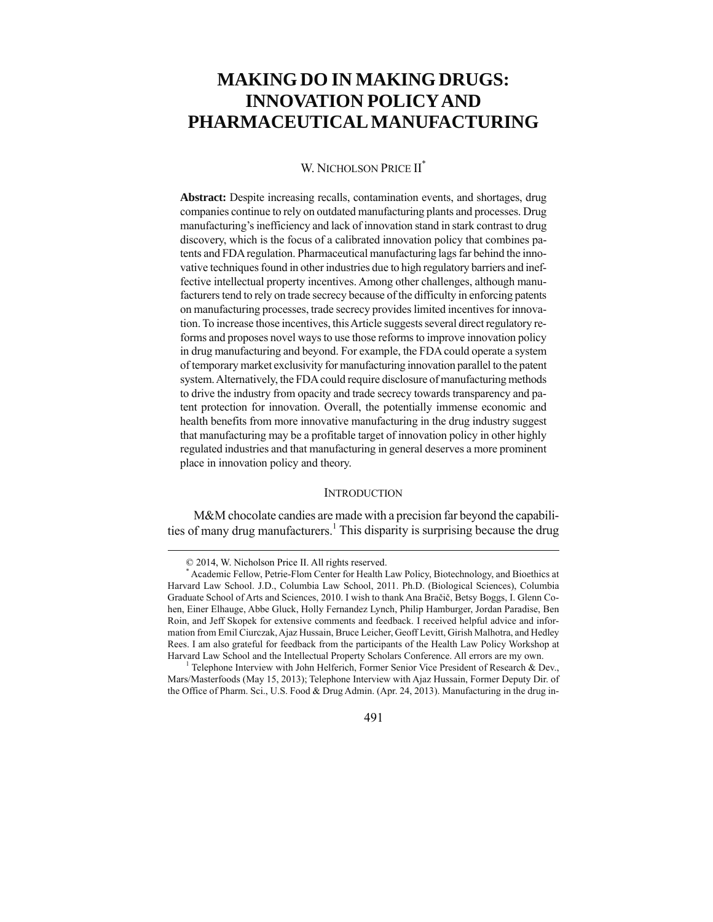# **MAKINGDO IN MAKINGDRUGS: INNOVATION POLICYAND PHARMACEUTICALMANUFACTURING**

#### W. NICHOLSON PRICE  $II^*$

**Abstract:** Despite increasing recalls, contamination events, and shortages, drug companies continue to rely on outdated manufacturing plants and processes. Drug manufacturing's inefficiency and lack of innovation stand in stark contrast to drug discovery, which is the focus of a calibrated innovation policy that combines patents and FDA regulation. Pharmaceutical manufacturing lags far behind the innovative techniques found in other industries due to high regulatory barriers and ineffective intellectual property incentives. Among other challenges, although manufacturers tend to rely on trade secrecy because of the difficulty in enforcing patents on manufacturing processes, trade secrecy provides limited incentives for innovation. To increase those incentives, this Article suggests several direct regulatory reforms and proposes novel ways to use those reforms to improve innovation policy in drug manufacturing and beyond. For example, the FDA could operate a system of temporary market exclusivity for manufacturing innovation parallel to the patent system. Alternatively, the FDA could require disclosure of manufacturing methods to drive the industry from opacity and trade secrecy towards transparency and patent protection for innovation. Overall, the potentially immense economic and health benefits from more innovative manufacturing in the drug industry suggest that manufacturing may be a profitable target of innovation policy in other highly regulated industries and that manufacturing in general deserves a more prominent place in innovation policy and theory.

#### **INTRODUCTION**

M&M chocolate candies are made with a precision far beyond the capabilities of many drug manufacturers.<sup>1</sup> This disparity is surprising because the drug

 $\overline{a}$ 

#### 491

 <sup>© 2014,</sup> W. Nicholson Price II. All rights reserved. \*

Academic Fellow, Petrie-Flom Center for Health Law Policy, Biotechnology, and Bioethics at Harvard Law School. J.D., Columbia Law School, 2011. Ph.D. (Biological Sciences), Columbia Graduate School of Arts and Sciences, 2010. I wish to thank Ana Bračič, Betsy Boggs, I. Glenn Cohen, Einer Elhauge, Abbe Gluck, Holly Fernandez Lynch, Philip Hamburger, Jordan Paradise, Ben Roin, and Jeff Skopek for extensive comments and feedback. I received helpful advice and information from Emil Ciurczak, Ajaz Hussain, Bruce Leicher, Geoff Levitt, Girish Malhotra, and Hedley Rees. I am also grateful for feedback from the participants of the Health Law Policy Workshop at Harvard Law School and the Intellectual Property Scholars Conference. All errors are my own. 1

<sup>&</sup>lt;sup>1</sup> Telephone Interview with John Helferich, Former Senior Vice President of Research & Dev., Mars/Masterfoods (May 15, 2013); Telephone Interview with Ajaz Hussain, Former Deputy Dir. of the Office of Pharm. Sci., U.S. Food & Drug Admin. (Apr. 24, 2013). Manufacturing in the drug in-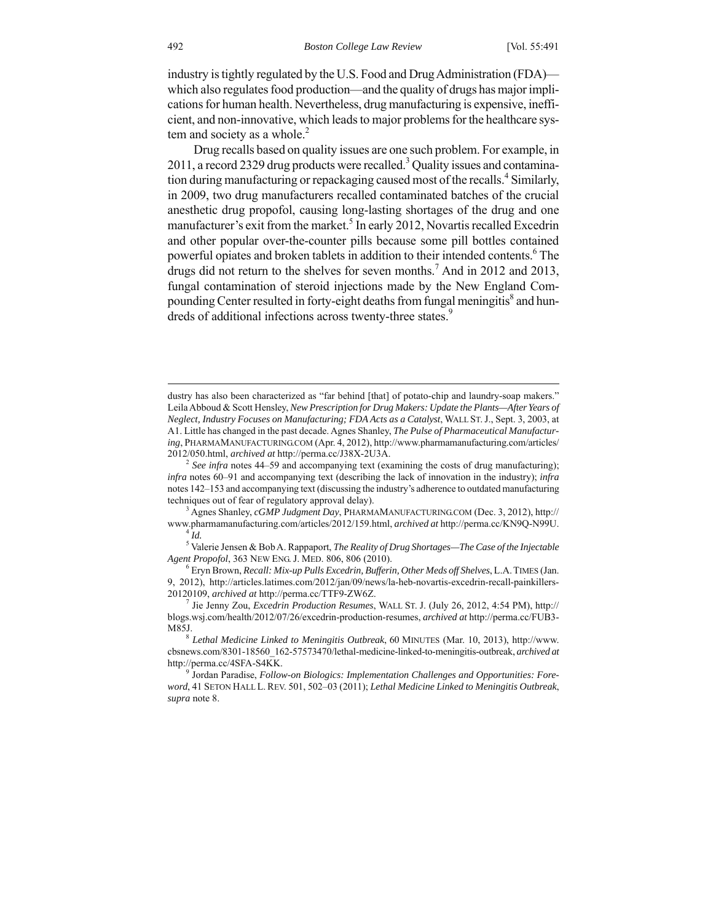industry is tightly regulated by the U.S. Food and Drug Administration (FDA) which also regulates food production—and the quality of drugs has major implications for human health. Nevertheless, drug manufacturing is expensive, inefficient, and non-innovative, which leads to major problems for the healthcare system and society as a whole.<sup>2</sup>

Drug recalls based on quality issues are one such problem. For example, in 2011, a record 2329 drug products were recalled.<sup>3</sup> Quality issues and contamination during manufacturing or repackaging caused most of the recalls.<sup>4</sup> Similarly, in 2009, two drug manufacturers recalled contaminated batches of the crucial anesthetic drug propofol, causing long-lasting shortages of the drug and one manufacturer's exit from the market.<sup>5</sup> In early 2012, Novartis recalled Excedrin and other popular over-the-counter pills because some pill bottles contained powerful opiates and broken tablets in addition to their intended contents.<sup>6</sup> The drugs did not return to the shelves for seven months.<sup>7</sup> And in 2012 and 2013, fungal contamination of steroid injections made by the New England Compounding Center resulted in forty-eight deaths from fungal meningitis<sup>8</sup> and hundreds of additional infections across twenty-three states.<sup>9</sup>

 Agnes Shanley, *cGMP Judgment Day*, PHARMAMANUFACTURING.COM (Dec. 3, 2012), http:// www.pharmamanufacturing.com/articles/2012/159.html, *archived at* http://perma.cc/KN9Q-N99U. 4 *Id.*

5 Valerie Jensen & Bob A. Rappaport, *The Reality of Drug Shortages—The Case of the Injectable Agent Propofol*, 363 NEW ENG. J. MED. 806, 806 (2010). 6

 Eryn Brown, *Recall: Mix-up Pulls Excedrin, Bufferin, Other Meds off Shelves*, L.A.TIMES (Jan. 9, 2012), http://articles.latimes.com/2012/jan/09/news/la-heb-novartis-excedrin-recall-painkillers-20120109, *archived at* http://perma.cc/TTF9-ZW6Z. 7

 $\overline{a}$ 

dustry has also been characterized as "far behind [that] of potato-chip and laundry-soap makers." Leila Abboud & Scott Hensley, *New Prescription for Drug Makers: Update the Plants—After Years of Neglect, Industry Focuses on Manufacturing; FDA Acts as a Catalyst*, WALL ST.J., Sept. 3, 2003, at A1. Little has changed in the past decade. Agnes Shanley, *The Pulse of Pharmaceutical Manufacturing*, PHARMAMANUFACTURING.COM (Apr. 4, 2012), http://www.pharmamanufacturing.com/articles/ 2012/050.html, *archived at* http://perma.cc/J38X-2U3A. 2

*See infra* notes 44–59 and accompanying text (examining the costs of drug manufacturing); *infra* notes 60–91 and accompanying text (describing the lack of innovation in the industry); *infra*  notes 142–153 and accompanying text (discussing the industry's adherence to outdated manufacturing techniques out of fear of regulatory approval delay).

Jie Jenny Zou, *Excedrin Production Resumes*, WALL ST. J. (July 26, 2012, 4:54 PM), http:// blogs.wsj.com/health/2012/07/26/excedrin-production-resumes, *archived at* http://perma.cc/FUB3- M85J.

*Lethal Medicine Linked to Meningitis Outbreak*, 60 MINUTES (Mar. 10, 2013), http://www. cbsnews.com/8301-18560\_162-57573470/lethal-medicine-linked-to-meningitis-outbreak, *archived at* http://perma.cc/4SFA-S4KK.

Jordan Paradise, *Follow-on Biologics: Implementation Challenges and Opportunities: Foreword*, 41 SETON HALL L. REV. 501, 502–03 (2011); *Lethal Medicine Linked to Meningitis Outbreak*, *supra* note 8.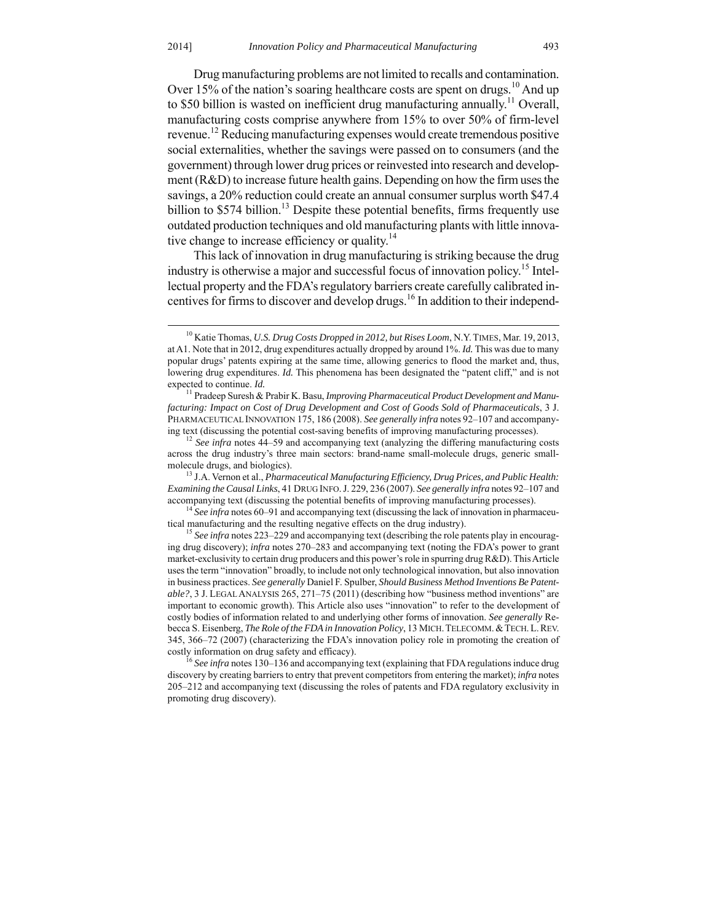Drug manufacturing problems are not limited to recalls and contamination. Over 15% of the nation's soaring healthcare costs are spent on drugs.<sup>10</sup> And up to \$50 billion is wasted on inefficient drug manufacturing annually.<sup>11</sup> Overall, manufacturing costs comprise anywhere from 15% to over 50% of firm-level revenue.12 Reducing manufacturing expenses would create tremendous positive social externalities, whether the savings were passed on to consumers (and the government) through lower drug prices or reinvested into research and development (R&D) to increase future health gains. Depending on how the firm uses the savings, a 20% reduction could create an annual consumer surplus worth \$47.4 billion to \$574 billion.<sup>13</sup> Despite these potential benefits, firms frequently use outdated production techniques and old manufacturing plants with little innovative change to increase efficiency or quality.<sup>14</sup>

This lack of innovation in drug manufacturing is striking because the drug industry is otherwise a major and successful focus of innovation policy.<sup>15</sup> Intellectual property and the FDA's regulatory barriers create carefully calibrated incentives for firms to discover and develop drugs.<sup>16</sup> In addition to their independ-

*Examining the Causal Links*, 41 DRUG INFO.J. 229, 236 (2007). *See generally infra* notes 92–107 and accompanying text (discussing the potential benefits of improving manufacturing processes). 14 *See infra* notes 60–91 and accompanying text (discussing the lack of innovation in pharmaceu-

tical manufacturing and the resulting negative effects on the drug industry).<br><sup>15</sup> *See infra* notes 223–229 and accompanying text (describing the role patents play in encourag-

ing drug discovery); *infra* notes 270–283 and accompanying text (noting the FDA's power to grant market-exclusivity to certain drug producers and this power's role in spurring drug R&D). This Article uses the term "innovation" broadly, to include not only technological innovation, but also innovation in business practices. *See generally* Daniel F. Spulber, *Should Business Method Inventions Be Patentable?*, 3 J. LEGAL ANALYSIS 265, 271–75 (2011) (describing how "business method inventions" are important to economic growth). This Article also uses "innovation" to refer to the development of costly bodies of information related to and underlying other forms of innovation. *See generally* Rebecca S. Eisenberg, *The Role of the FDA in Innovation Policy*, 13 MICH.TELECOMM.&TECH.L.REV. 345, 366–72 (2007) (characterizing the FDA's innovation policy role in promoting the creation of

costly information on drug safety and efficacy). 16 *See infra* notes 130–136 and accompanying text (explaining that FDA regulations induce drug discovery by creating barriers to entry that prevent competitors from entering the market); *infra* notes 205–212 and accompanying text (discussing the roles of patents and FDA regulatory exclusivity in promoting drug discovery).

<sup>&</sup>lt;sup>10</sup> Katie Thomas, *U.S. Drug Costs Dropped in 2012, but Rises Loom*, N.Y. TIMES, Mar. 19, 2013, at A1. Note that in 2012, drug expenditures actually dropped by around 1%. *Id.* This was due to many popular drugs' patents expiring at the same time, allowing generics to flood the market and, thus, lowering drug expenditures. *Id.* This phenomena has been designated the "patent cliff," and is not expected to continue. *Id.* <sup>11</sup> Pradeep Suresh & Prabir K. Basu, *Improving Pharmaceutical Product Development and Manu-*

*facturing: Impact on Cost of Drug Development and Cost of Goods Sold of Pharmaceuticals*, 3 J. PHARMACEUTICAL INNOVATION 175, 186 (2008). *See generally infra* notes 92–107 and accompanying text (discussing the potential cost-saving benefits of improving manufacturing processes). 12 *See infra* notes 44–59 and accompanying text (analyzing the differing manufacturing costs

across the drug industry's three main sectors: brand-name small-molecule drugs, generic smallmolecule drugs, and biologics).<br><sup>13</sup> J.A. Vernon et al., *Pharmaceutical Manufacturing Efficiency, Drug Prices, and Public Health:*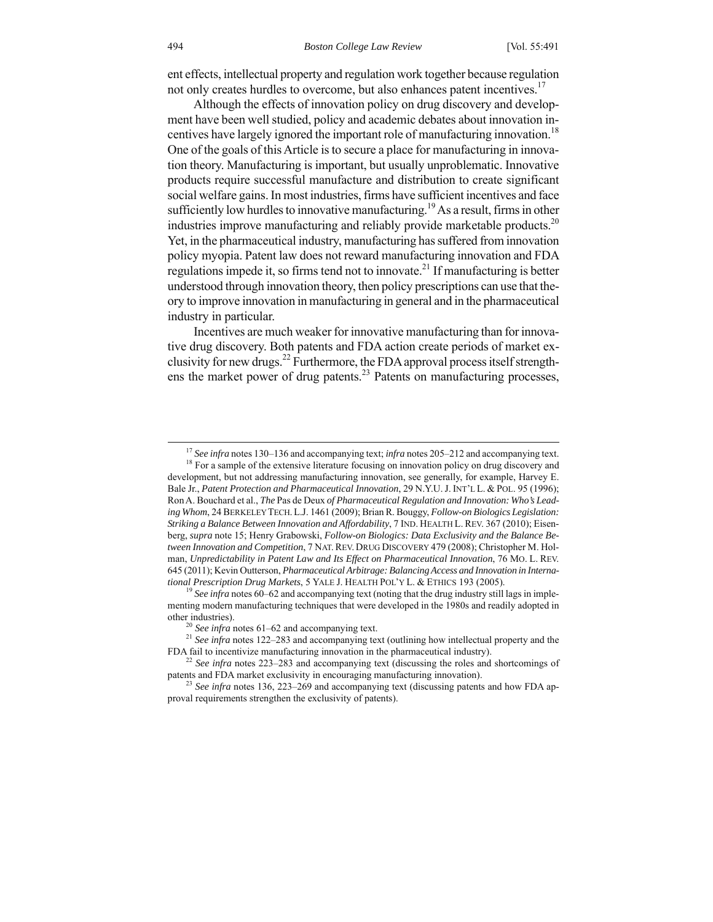ent effects, intellectual property and regulation work together because regulation not only creates hurdles to overcome, but also enhances patent incentives.<sup>17</sup>

Although the effects of innovation policy on drug discovery and development have been well studied, policy and academic debates about innovation incentives have largely ignored the important role of manufacturing innovation.<sup>18</sup> One of the goals of this Article is to secure a place for manufacturing in innovation theory. Manufacturing is important, but usually unproblematic. Innovative products require successful manufacture and distribution to create significant social welfare gains. In most industries, firms have sufficient incentives and face sufficiently low hurdles to innovative manufacturing.<sup>19</sup> As a result, firms in other industries improve manufacturing and reliably provide marketable products.<sup>20</sup> Yet, in the pharmaceutical industry, manufacturing has suffered from innovation policy myopia. Patent law does not reward manufacturing innovation and FDA regulations impede it, so firms tend not to innovate.21 If manufacturing is better understood through innovation theory, then policy prescriptions can use that theory to improve innovation in manufacturing in general and in the pharmaceutical industry in particular.

Incentives are much weaker for innovative manufacturing than for innovative drug discovery. Both patents and FDA action create periods of market exclusivity for new drugs.<sup>22</sup> Furthermore, the FDA approval process itself strengthens the market power of drug patents.<sup>23</sup> Patents on manufacturing processes,

<sup>19</sup> See *infra* notes 60–62 and accompanying text (noting that the drug industry still lags in implementing modern manufacturing techniques that were developed in the 1980s and readily adopted in

other industries).<br><sup>20</sup> *See infra* notes 61–62 and accompanying text.<br><sup>21</sup> *See infra* notes 122–283 and accompanying text (outlining how intellectual property and the<br>FDA fail to incentivize manufacturing innovation in t

<sup>&</sup>lt;sup>17</sup> *See infra* notes 130–136 and accompanying text; *infra* notes 205–212 and accompanying text. <sup>18</sup> For a sample of the extensive literature focusing on innovation policy on drug discovery and

development, but not addressing manufacturing innovation, see generally, for example, Harvey E. Bale Jr., *Patent Protection and Pharmaceutical Innovation*, 29 N.Y.U.J. INT'L L. & POL. 95 (1996); Ron A. Bouchard et al., *The* Pas de Deux *of Pharmaceutical Regulation and Innovation: Who's Leading Whom*, 24 BERKELEY TECH.L.J. 1461 (2009); Brian R. Bouggy, *Follow-on Biologics Legislation: Striking a Balance Between Innovation and Affordability*, 7 IND. HEALTH L. REV. 367 (2010); Eisenberg, *supra* note 15; Henry Grabowski, *Follow-on Biologics: Data Exclusivity and the Balance Between Innovation and Competition*, 7 NAT.REV. DRUG DISCOVERY 479 (2008); Christopher M. Holman, *Unpredictability in Patent Law and Its Effect on Pharmaceutical Innovation*, 76 MO. L. REV. 645 (2011); Kevin Outterson, *Pharmaceutical Arbitrage: Balancing Access and Innovation in Interna-*

<sup>&</sup>lt;sup>22</sup> See infra notes 223–283 and accompanying text (discussing the roles and shortcomings of patents and FDA market exclusivity in encouraging manufacturing innovation). 23 *See infra* notes 136, 223–269 and accompanying text (discussing patents and how FDA ap-

proval requirements strengthen the exclusivity of patents).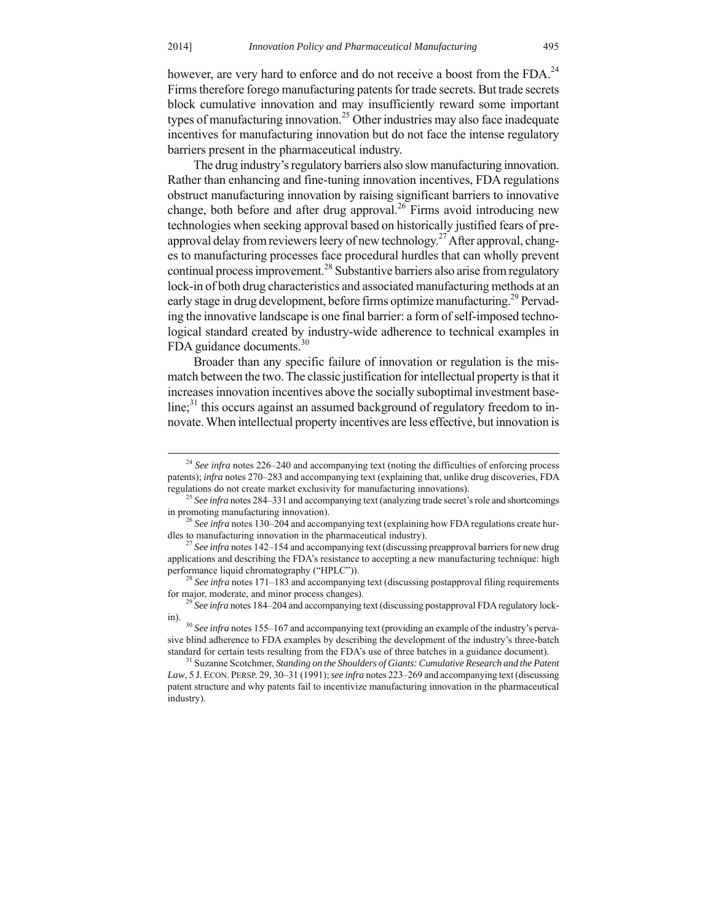however, are very hard to enforce and do not receive a boost from the FDA.<sup>24</sup> Firms therefore forego manufacturing patents for trade secrets. But trade secrets block cumulative innovation and may insufficiently reward some important types of manufacturing innovation.<sup>25</sup> Other industries may also face inadequate incentives for manufacturing innovation but do not face the intense regulatory barriers present in the pharmaceutical industry.

The drug industry's regulatory barriers also slow manufacturing innovation. Rather than enhancing and fine-tuning innovation incentives, FDA regulations obstruct manufacturing innovation by raising significant barriers to innovative change, both before and after drug approval.<sup>26</sup> Firms avoid introducing new technologies when seeking approval based on historically justified fears of preapproval delay from reviewers leery of new technology.<sup>27</sup> After approval, changes to manufacturing processes face procedural hurdles that can wholly prevent continual process improvement.<sup>28</sup> Substantive barriers also arise from regulatory lock-in of both drug characteristics and associated manufacturing methods at an early stage in drug development, before firms optimize manufacturing.<sup>29</sup> Pervading the innovative landscape is one final barrier: a form of self-imposed technological standard created by industry-wide adherence to technical examples in FDA guidance documents.<sup>30</sup>

Broader than any specific failure of innovation or regulation is the mismatch between the two. The classic justification for intellectual property is that it increases innovation incentives above the socially suboptimal investment baseline;<sup>31</sup> this occurs against an assumed background of regulatory freedom to innovate. When intellectual property incentives are less effective, but innovation is

<sup>&</sup>lt;sup>24</sup> See infra notes 226–240 and accompanying text (noting the difficulties of enforcing process patents); *infra* notes 270–283 and accompanying text (explaining that, unlike drug discoveries, FDA

regulations do not create market exclusivity for manufacturing innovations).<br><sup>25</sup> *See infra* notes 284–331 and accompanying text (analyzing trade secret's role and shortcomings in promoting manufacturing innovation).

<sup>&</sup>lt;sup>26</sup> See *infra* notes 130–204 and accompanying text (explaining how FDA regulations create hurdles to manufacturing innovation in the pharmaceutical industry). 27 *See infra* notes 142–154 and accompanying text (discussing preapproval barriers for new drug

applications and describing the FDA's resistance to accepting a new manufacturing technique: high performance liquid chromatography ("HPLC")). 28 *See infra* notes 171–183 and accompanying text (discussing postapproval filing requirements

for major, moderate, and minor process changes). 29 *See infra* notes 184–204 and accompanying text (discussing postapproval FDA regulatory lock-

in). 30 *See infra* notes 155–167 and accompanying text (providing an example of the industry's pervasive blind adherence to FDA examples by describing the development of the industry's three-batch standard for certain tests resulting from the FDA's use of three batches in a guidance document). 31 Suzanne Scotchmer, *Standing on the Shoulders of Giants: Cumulative Research and the Patent* 

*Law*, 5 J.ECON. PERSP. 29, 30–31 (1991); *see infra* notes 223–269 and accompanying text (discussing patent structure and why patents fail to incentivize manufacturing innovation in the pharmaceutical industry).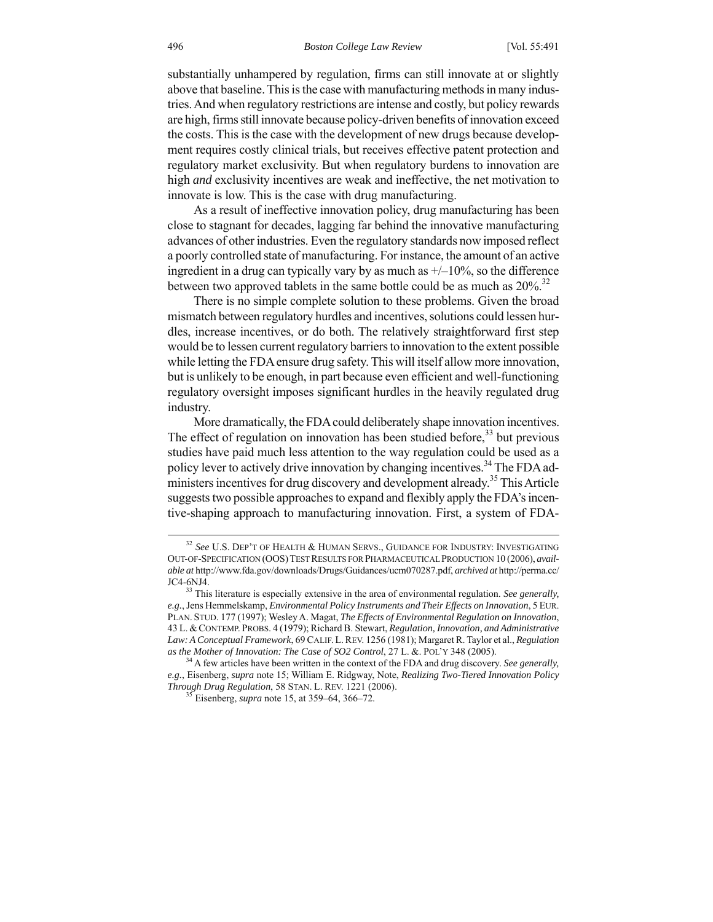substantially unhampered by regulation, firms can still innovate at or slightly above that baseline. This is the case with manufacturing methods in many industries. And when regulatory restrictions are intense and costly, but policy rewards are high, firms still innovate because policy-driven benefits of innovation exceed the costs. This is the case with the development of new drugs because development requires costly clinical trials, but receives effective patent protection and regulatory market exclusivity. But when regulatory burdens to innovation are high *and* exclusivity incentives are weak and ineffective, the net motivation to innovate is low. This is the case with drug manufacturing.

As a result of ineffective innovation policy, drug manufacturing has been close to stagnant for decades, lagging far behind the innovative manufacturing advances of other industries. Even the regulatory standards now imposed reflect a poorly controlled state of manufacturing. For instance, the amount of an active ingredient in a drug can typically vary by as much as  $+/-10\%$ , so the difference between two approved tablets in the same bottle could be as much as  $20\%$ <sup>32</sup>

There is no simple complete solution to these problems. Given the broad mismatch between regulatory hurdles and incentives, solutions could lessen hurdles, increase incentives, or do both. The relatively straightforward first step would be to lessen current regulatory barriers to innovation to the extent possible while letting the FDA ensure drug safety. This will itself allow more innovation, but is unlikely to be enough, in part because even efficient and well-functioning regulatory oversight imposes significant hurdles in the heavily regulated drug industry.

More dramatically, the FDA could deliberately shape innovation incentives. The effect of regulation on innovation has been studied before, $33$  but previous studies have paid much less attention to the way regulation could be used as a policy lever to actively drive innovation by changing incentives.<sup>34</sup> The FDA administers incentives for drug discovery and development already.<sup>35</sup> This Article suggests two possible approaches to expand and flexibly apply the FDA's incentive-shaping approach to manufacturing innovation. First, a system of FDA-

 <sup>32</sup> *See* U.S. DEP'T OF HEALTH & HUMAN SERVS., GUIDANCE FOR INDUSTRY: INVESTIGATING OUT-OF-SPECIFICATION (OOS)TEST RESULTS FOR PHARMACEUTICAL PRODUCTION 10 (2006), *available at* http://www.fda.gov/downloads/Drugs/Guidances/ucm070287.pdf, *archived at* http://perma.cc/ JC4-6NJ4. 33 This literature is especially extensive in the area of environmental regulation. *See generally,* 

*e.g.*, Jens Hemmelskamp, *Environmental Policy Instruments and Their Effects on Innovation*, 5 EUR. PLAN. STUD. 177 (1997); Wesley A. Magat, *The Effects of Environmental Regulation on Innovation*, 43 L. &CONTEMP. PROBS. 4 (1979); Richard B. Stewart, *Regulation, Innovation, and Administrative Law: A Conceptual Framework*, 69 CALIF. L.REV. 1256 (1981); Margaret R. Taylor et al., *Regulation as the Mother of Innovation: The Case of SO2 Control*, 27 L. &. POL'Y 348 (2005). 34 A few articles have been written in the context of the FDA and drug discovery. *See generally,* 

*e.g.*, Eisenberg, *supra* note 15; William E. Ridgway, Note, *Realizing Two-Tiered Innovation Policy Through Drug Regulation*, 58 STAN. L. REV. 1221 (2006). 35 Eisenberg, *supra* note 15, at 359–64, 366–72.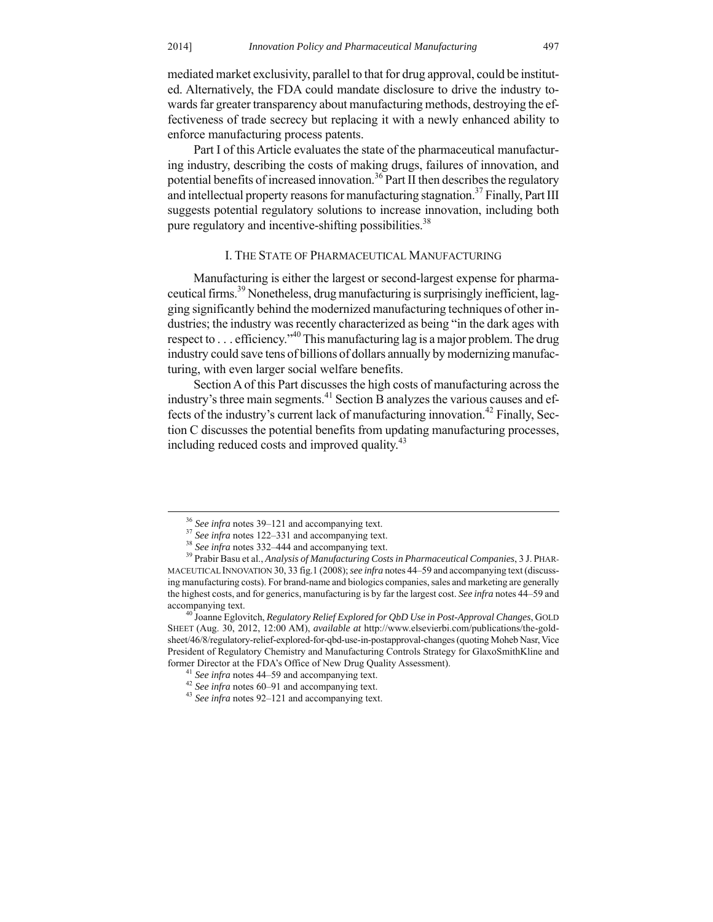mediated market exclusivity, parallel to that for drug approval, could be instituted. Alternatively, the FDA could mandate disclosure to drive the industry towards far greater transparency about manufacturing methods, destroying the effectiveness of trade secrecy but replacing it with a newly enhanced ability to enforce manufacturing process patents.

Part I of this Article evaluates the state of the pharmaceutical manufacturing industry, describing the costs of making drugs, failures of innovation, and potential benefits of increased innovation.<sup>36</sup> Part II then describes the regulatory and intellectual property reasons for manufacturing stagnation.<sup>37</sup> Finally, Part III suggests potential regulatory solutions to increase innovation, including both pure regulatory and incentive-shifting possibilities.<sup>38</sup>

#### I. THE STATE OF PHARMACEUTICAL MANUFACTURING

Manufacturing is either the largest or second-largest expense for pharmaceutical firms.<sup>39</sup> Nonetheless, drug manufacturing is surprisingly inefficient, lagging significantly behind the modernized manufacturing techniques of other industries; the industry was recently characterized as being "in the dark ages with respect to . . . efficiency."40 This manufacturing lag is a major problem. The drug industry could save tens of billions of dollars annually by modernizing manufacturing, with even larger social welfare benefits.

Section A of this Part discusses the high costs of manufacturing across the industry's three main segments.<sup>41</sup> Section B analyzes the various causes and effects of the industry's current lack of manufacturing innovation.<sup>42</sup> Finally, Section C discusses the potential benefits from updating manufacturing processes, including reduced costs and improved quality.<sup>43</sup>

<sup>&</sup>lt;sup>36</sup> See infra notes 39–121 and accompanying text.<br><sup>37</sup> See infra notes 122–331 and accompanying text.<br><sup>38</sup> See infra notes 332–444 and accompanying text.<br><sup>39</sup> Prabir Basu et al., *Analysis of Manufacturing Costs in Pharm* MACEUTICAL INNOVATION 30, 33 fig.1 (2008); *see infra* notes 44–59 and accompanying text (discussing manufacturing costs). For brand-name and biologics companies, sales and marketing are generally the highest costs, and for generics, manufacturing is by far the largest cost. *See infra* notes 44–59 and accompanying text. 40 Joanne Eglovitch, *Regulatory Relief Explored for QbD Use in Post-Approval Changes*, GOLD

SHEET (Aug. 30, 2012, 12:00 AM), *available at* http://www.elsevierbi.com/publications/the-goldsheet/46/8/regulatory-relief-explored-for-qbd-use-in-postapproval-changes (quoting Moheb Nasr, Vice President of Regulatory Chemistry and Manufacturing Controls Strategy for GlaxoSmithKline and former Director at the FDA's Office of New Drug Quality Assessment).<br><sup>41</sup> See infra notes 44–59 and accompanying text.<br><sup>42</sup> See infra notes 60–91 and accompanying text.<br><sup>43</sup> See infra notes 92–121 and accompanying text.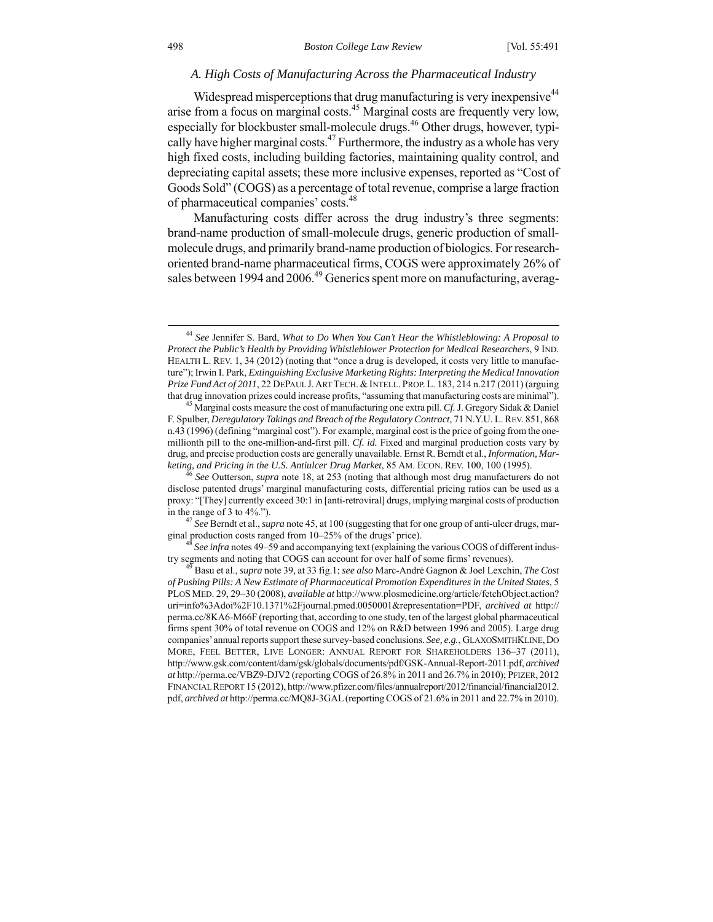#### *A. High Costs of Manufacturing Across the Pharmaceutical Industry*

Widespread misperceptions that drug manufacturing is very inexpensive  $44$ arise from a focus on marginal costs.45 Marginal costs are frequently very low, especially for blockbuster small-molecule drugs.<sup>46</sup> Other drugs, however, typically have higher marginal costs.<sup>47</sup> Furthermore, the industry as a whole has very high fixed costs, including building factories, maintaining quality control, and depreciating capital assets; these more inclusive expenses, reported as "Cost of Goods Sold" (COGS) as a percentage of total revenue, comprise a large fraction of pharmaceutical companies' costs.48

Manufacturing costs differ across the drug industry's three segments: brand-name production of small-molecule drugs, generic production of smallmolecule drugs, and primarily brand-name production of biologics. For researchoriented brand-name pharmaceutical firms, COGS were approximately 26% of sales between 1994 and 2006.<sup>49</sup> Generics spent more on manufacturing, averag-

 <sup>44</sup> *See* Jennifer S. Bard, *What to Do When You Can't Hear the Whistleblowing: A Proposal to Protect the Public's Health by Providing Whistleblower Protection for Medical Researchers*, 9 IND. HEALTH L. REV. 1, 34 (2012) (noting that "once a drug is developed, it costs very little to manufacture"); Irwin I. Park, *Extinguishing Exclusive Marketing Rights: Interpreting the Medical Innovation Prize Fund Act of 2011*, 22 DEPAUL J.ART TECH. & INTELL. PROP. L. 183, 214 n.217 (2011) (arguing that drug innovation prizes could increase profits, "assuming that manufacturing costs are minimal"). 45 Marginal costs measure the cost of manufacturing one extra pill. *Cf.* J. Gregory Sidak & Daniel

F. Spulber, *Deregulatory Takings and Breach of the Regulatory Contract*, 71 N.Y.U. L. REV. 851, 868 n.43 (1996) (defining "marginal cost"). For example, marginal cost is the price of going from the onemillionth pill to the one-million-and-first pill. *Cf. id.* Fixed and marginal production costs vary by drug, and precise production costs are generally unavailable. Ernst R. Berndt et al., *Information, Marketing, and Pricing in the U.S. Antiulcer Drug Market*, 85 AM. ECON. REV. 100, 100 (1995).<br><sup>46</sup> *See* Outterson, *supra* note 18, at 253 (noting that although most drug manufacturers do not

disclose patented drugs' marginal manufacturing costs, differential pricing ratios can be used as a proxy: "[They] currently exceed 30:1 in [anti-retroviral] drugs, implying marginal costs of production in the range of 3 to 4%."). 47 *See* Berndt et al., *supra* note 45, at 100 (suggesting that for one group of anti-ulcer drugs, mar-

ginal production costs ranged from 10–25% of the drugs' price). 48 *See infra* notes 49–59 and accompanying text (explaining the various COGS of different indus-

try segments and noting that COGS can account for over half of some firms' revenues). 49 Basu et al., *supra* note 39, at 33 fig.1; *see also* Marc-André Gagnon & Joel Lexchin, *The Cost of Pushing Pills: A New Estimate of Pharmaceutical Promotion Expenditures in the United States*, 5 PLOS MED. 29, 29–30 (2008), *available at* http://www.plosmedicine.org/article/fetchObject.action? uri=info%3Adoi%2F10.1371%2Fjournal.pmed.0050001&representation=PDF, *archived at* http:// perma.cc/8KA6-M66F (reporting that, according to one study, ten of the largest global pharmaceutical firms spent 30% of total revenue on COGS and 12% on R&D between 1996 and 2005). Large drug companies' annual reports support these survey-based conclusions. *See, e.g.*, GLAXOSMITHKLINE,DO MORE, FEEL BETTER, LIVE LONGER: ANNUAL REPORT FOR SHAREHOLDERS 136–37 (2011), http://www.gsk.com/content/dam/gsk/globals/documents/pdf/GSK-Annual-Report-2011.pdf, *archived at* http://perma.cc/VBZ9-DJV2 (reporting COGS of 26.8% in 2011 and 26.7% in 2010); PFIZER, 2012 FINANCIAL REPORT 15 (2012), http://www.pfizer.com/files/annualreport/2012/financial/financial2012. pdf, *archived at* http://perma.cc/MQ8J-3GAL (reporting COGS of 21.6% in 2011 and 22.7% in 2010).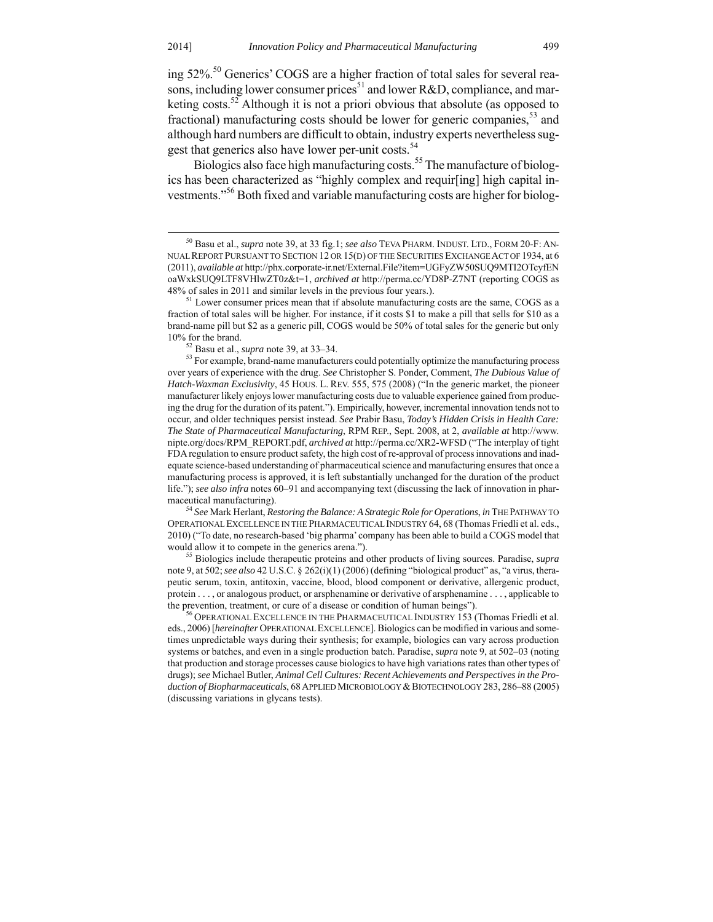ing 52%.<sup>50</sup> Generics' COGS are a higher fraction of total sales for several reasons, including lower consumer prices<sup>51</sup> and lower R&D, compliance, and marketing costs.<sup>52</sup> Although it is not a priori obvious that absolute (as opposed to fractional) manufacturing costs should be lower for generic companies,  $53$  and although hard numbers are difficult to obtain, industry experts nevertheless suggest that generics also have lower per-unit costs.<sup>54</sup>

Biologics also face high manufacturing costs.<sup>55</sup> The manufacture of biologics has been characterized as "highly complex and requir[ing] high capital investments."56 Both fixed and variable manufacturing costs are higher for biolog-

fraction of total sales will be higher. For instance, if it costs \$1 to make a pill that sells for \$10 as a brand-name pill but \$2 as a generic pill, COGS would be 50% of total sales for the generic but only

10% for the brand. 52 Basu et al., *supra* note 39, at 33–34. 53 For example, brand-name manufacturers could potentially optimize the manufacturing process over years of experience with the drug. *See* Christopher S. Ponder, Comment, *The Dubious Value of Hatch-Waxman Exclusivity*, 45 HOUS. L. REV. 555, 575 (2008) ("In the generic market, the pioneer manufacturer likely enjoys lower manufacturing costs due to valuable experience gained from producing the drug for the duration of its patent."). Empirically, however, incremental innovation tends not to occur, and older techniques persist instead. *See* Prabir Basu, *Today's Hidden Crisis in Health Care: The State of Pharmaceutical Manufacturing*, RPM REP., Sept. 2008, at 2, *available at* http://www. nipte.org/docs/RPM\_REPORT.pdf, *archived at* http://perma.cc/XR2-WFSD ("The interplay of tight FDA regulation to ensure product safety, the high cost of re-approval of process innovations and inadequate science-based understanding of pharmaceutical science and manufacturing ensures that once a manufacturing process is approved, it is left substantially unchanged for the duration of the product life."); *see also infra* notes 60–91 and accompanying text (discussing the lack of innovation in pharmaceutical manufacturing). 54 *See* Mark Herlant, *Restoring the Balance: A Strategic Role for Operations*, *in* THE PATHWAY TO

OPERATIONAL EXCELLENCE IN THE PHARMACEUTICAL INDUSTRY 64, 68 (Thomas Friedli et al. eds., 2010) ("To date, no research-based 'big pharma' company has been able to build a COGS model that would allow it to compete in the generics arena."). 55 Biologics include therapeutic proteins and other products of living sources. Paradise, *supra*

note 9, at 502; *see also* 42 U.S.C. § 262(i)(1) (2006) (defining "biological product" as, "a virus, therapeutic serum, toxin, antitoxin, vaccine, blood, blood component or derivative, allergenic product, protein . . . , or analogous product, or arsphenamine or derivative of arsphenamine . . . , applicable to the prevention, treatment, or cure of a disease or condition of human beings").<br><sup>56</sup> OPERATIONAL EXCELLENCE IN THE PHARMACEUTICAL INDUSTRY 153 (Thomas Friedli et al.

eds., 2006) [*hereinafter* OPERATIONAL EXCELLENCE]. Biologics can be modified in various and sometimes unpredictable ways during their synthesis; for example, biologics can vary across production systems or batches, and even in a single production batch. Paradise, *supra* note 9, at 502–03 (noting that production and storage processes cause biologics to have high variations rates than other types of drugs); *see* Michael Butler, *Animal Cell Cultures: Recent Achievements and Perspectives in the Production of Biopharmaceuticals*, 68 APPLIED MICROBIOLOGY &BIOTECHNOLOGY 283, 286–88 (2005) (discussing variations in glycans tests).

 <sup>50</sup> Basu et al., *supra* note 39, at 33 fig.1; *see also* TEVA PHARM. INDUST. LTD., FORM 20-F: AN-NUAL REPORT PURSUANT TO SECTION 12 OR 15(D) OF THE SECURITIES EXCHANGE ACT OF 1934, at 6 (2011), *available at* http://phx.corporate-ir.net/External.File?item=UGFyZW50SUQ9MTI2OTcyfEN oaWxkSUQ9LTF8VHlwZT0z&t=1, *archived at* http://perma.cc/YD8P-Z7NT (reporting COGS as 48% of sales in 2011 and similar levels in the previous four years.).  $51$  Lower consumer prices mean that if absolute manufacturing costs are the same, COGS as a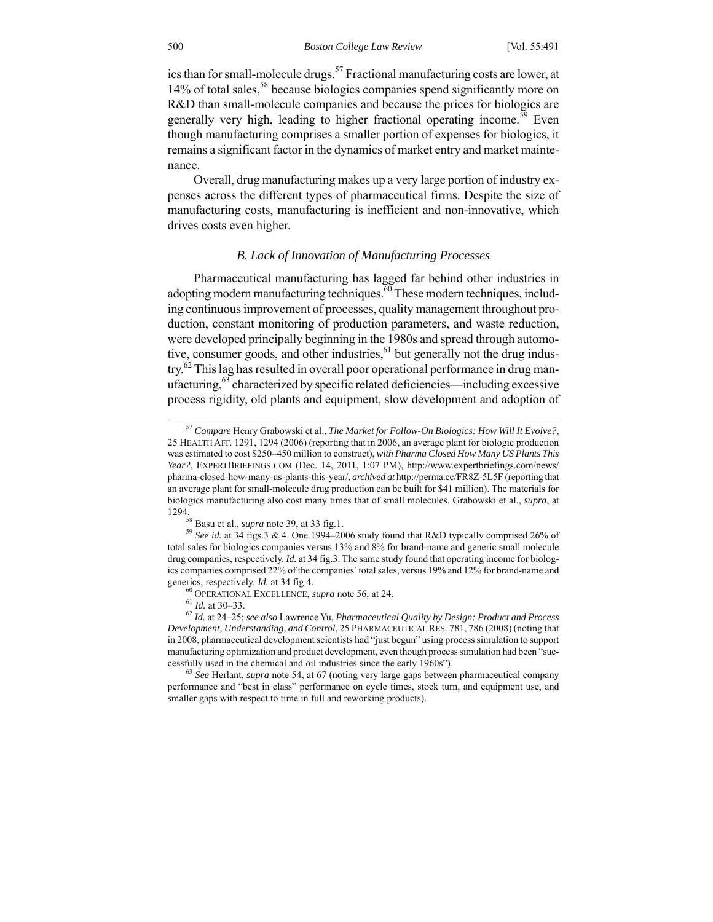ics than for small-molecule drugs.<sup>57</sup> Fractional manufacturing costs are lower, at 14% of total sales,<sup>58</sup> because biologics companies spend significantly more on R&D than small-molecule companies and because the prices for biologics are generally very high, leading to higher fractional operating income.<sup>59</sup> Even though manufacturing comprises a smaller portion of expenses for biologics, it remains a significant factor in the dynamics of market entry and market maintenance.

Overall, drug manufacturing makes up a very large portion of industry expenses across the different types of pharmaceutical firms. Despite the size of manufacturing costs, manufacturing is inefficient and non-innovative, which drives costs even higher.

#### *B. Lack of Innovation of Manufacturing Processes*

Pharmaceutical manufacturing has lagged far behind other industries in adopting modern manufacturing techniques. $\overline{60}$  These modern techniques, including continuous improvement of processes, quality management throughout production, constant monitoring of production parameters, and waste reduction, were developed principally beginning in the 1980s and spread through automotive, consumer goods, and other industries, $61$  but generally not the drug industry.<sup>62</sup> This lag has resulted in overall poor operational performance in drug manufacturing,63 characterized by specific related deficiencies—including excessive process rigidity, old plants and equipment, slow development and adoption of

total sales for biologics companies versus 13% and 8% for brand-name and generic small molecule drug companies, respectively. *Id.* at 34 fig.3. The same study found that operating income for biologics companies comprised 22% of the companies' total sales, versus 19% and 12% for brand-name and

generics, respectively. *Id.* at 34 fig.4.<br><sup>60</sup> OPERATIONAL EXCELLENCE, *supra* note 56, at 24.<br><sup>61</sup> *Id.* at 30–33.<br><sup>62</sup> *Id.* at 24–25; *see also* Lawrence Yu, *Pharmaceutical Quality by Design: Product and Process Development, Understanding, and Control*, 25 PHARMACEUTICAL RES. 781, 786 (2008) (noting that in 2008, pharmaceutical development scientists had "just begun" using process simulation to support manufacturing optimization and product development, even though process simulation had been "successfully used in the chemical and oil industries since the early 1960s"). 63 *See* Herlant, *supra* note 54, at 67 (noting very large gaps between pharmaceutical company

performance and "best in class" performance on cycle times, stock turn, and equipment use, and smaller gaps with respect to time in full and reworking products).

 <sup>57</sup> *Compare* Henry Grabowski et al., *The Market for Follow-On Biologics: How Will It Evolve?*, 25 HEALTH AFF. 1291, 1294 (2006) (reporting that in 2006, an average plant for biologic production was estimated to cost \$250–450 million to construct), *with Pharma Closed How Many US Plants This Year?*, EXPERTBRIEFINGS.COM (Dec. 14, 2011, 1:07 PM), http://www.expertbriefings.com/news/ pharma-closed-how-many-us-plants-this-year/, *archived at* http://perma.cc/FR8Z-5L5F (reporting that an average plant for small-molecule drug production can be built for \$41 million). The materials for biologics manufacturing also cost many times that of small molecules. Grabowski et al., *supra*, at 1294. 58 Basu et al., *supra* note 39, at 33 fig.1. 59 *See id.* at 34 figs.3 & 4. One 1994–2006 study found that R&D typically comprised 26% of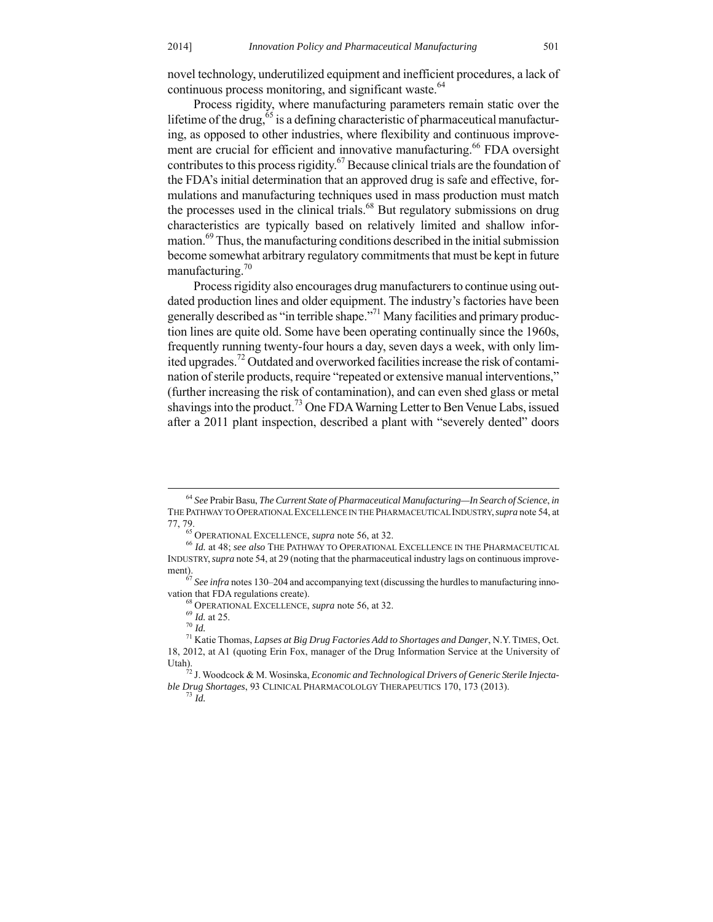novel technology, underutilized equipment and inefficient procedures, a lack of continuous process monitoring, and significant waste.<sup>64</sup>

Process rigidity, where manufacturing parameters remain static over the lifetime of the drug,<sup>65</sup> is a defining characteristic of pharmaceutical manufacturing, as opposed to other industries, where flexibility and continuous improvement are crucial for efficient and innovative manufacturing.<sup>66</sup> FDA oversight contributes to this process rigidity.<sup>67</sup> Because clinical trials are the foundation of the FDA's initial determination that an approved drug is safe and effective, formulations and manufacturing techniques used in mass production must match the processes used in the clinical trials.<sup>68</sup> But regulatory submissions on drug characteristics are typically based on relatively limited and shallow information.<sup>69</sup> Thus, the manufacturing conditions described in the initial submission become somewhat arbitrary regulatory commitments that must be kept in future manufacturing. $70$ 

Process rigidity also encourages drug manufacturers to continue using outdated production lines and older equipment. The industry's factories have been generally described as "in terrible shape."71 Many facilities and primary production lines are quite old. Some have been operating continually since the 1960s, frequently running twenty-four hours a day, seven days a week, with only limited upgrades.72 Outdated and overworked facilities increase the risk of contamination of sterile products, require "repeated or extensive manual interventions," (further increasing the risk of contamination), and can even shed glass or metal shavings into the product.<sup>73</sup> One FDA Warning Letter to Ben Venue Labs, issued after a 2011 plant inspection, described a plant with "severely dented" doors

 <sup>64</sup> *See* Prabir Basu, *The Current State of Pharmaceutical Manufacturing—In Search of Science*, *in*  THE PATHWAY TO OPERATIONAL EXCELLENCE IN THE PHARMACEUTICAL INDUSTRY,*supra* note 54, at 77, 79. 65 OPERATIONAL EXCELLENCE, *supra* note 56, at 32. 66 *Id.* at 48; *see also* THE PATHWAY TO OPERATIONAL EXCELLENCE IN THE PHARMACEUTICAL

INDUSTRY,*supra* note 54, at 29 (noting that the pharmaceutical industry lags on continuous improvement).<br><sup>67</sup> See infra notes 130–204 and accompanying text (discussing the hurdles to manufacturing inno-

vation that FDA regulations create).<br><sup>68</sup> OPERATIONAL EXCELLENCE, *supra* note 56, at 32.<br><sup>69</sup> *Id.* at 25.<br><sup>70</sup> *Id.* 

<sup>71</sup> Katie Thomas, *Lapses at Big Drug Factories Add to Shortages and Danger*, N.Y. TIMES, Oct. 18, 2012, at A1 (quoting Erin Fox, manager of the Drug Information Service at the University of

Utah).<br><sup>72</sup> J. Woodcock & M. Wosinska, *Economic and Technological Drivers of Generic Sterile Injecta-*<br>170 173 (2013) *ble Drug Shortages*, 93 CLINICAL PHARMACOLOLGY THERAPEUTICS 170, 173 (2013). 73 *Id.*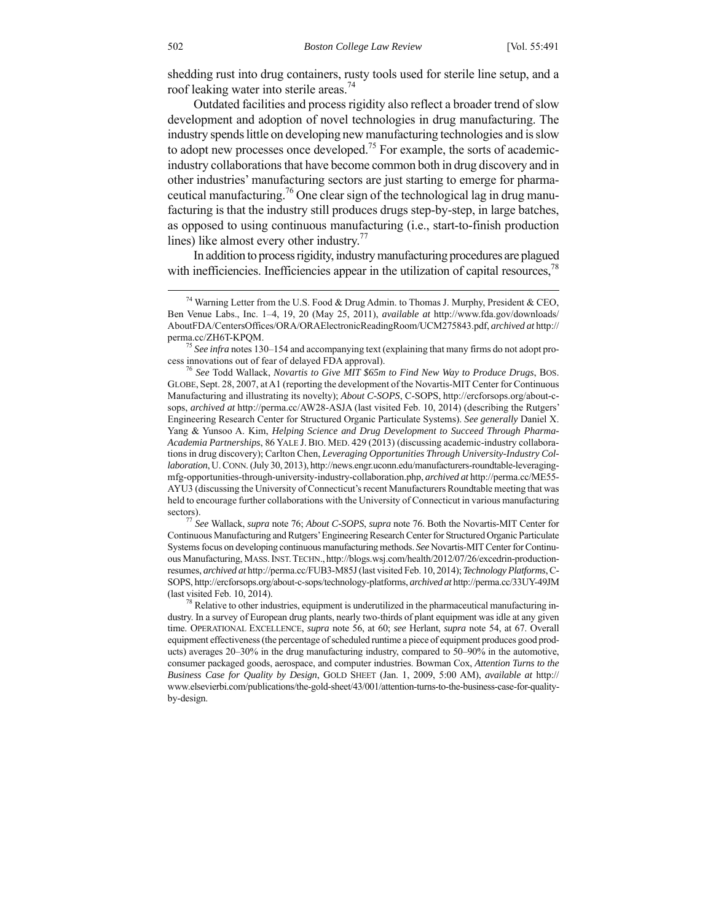shedding rust into drug containers, rusty tools used for sterile line setup, and a roof leaking water into sterile areas.<sup>74</sup>

Outdated facilities and process rigidity also reflect a broader trend of slow development and adoption of novel technologies in drug manufacturing. The industry spends little on developing new manufacturing technologies and is slow to adopt new processes once developed.<sup>75</sup> For example, the sorts of academicindustry collaborations that have become common both in drug discovery and in other industries' manufacturing sectors are just starting to emerge for pharmaceutical manufacturing.<sup>76</sup> One clear sign of the technological lag in drug manufacturing is that the industry still produces drugs step-by-step, in large batches, as opposed to using continuous manufacturing (i.e., start-to-finish production lines) like almost every other industry.<sup>77</sup>

In addition to process rigidity, industry manufacturing procedures are plagued with inefficiencies. Inefficiencies appear in the utilization of capital resources,<sup>78</sup>

sectors). 77 *See* Wallack, *supra* note 76; *About C-SOPS*, *supra* note 76. Both the Novartis-MIT Center for Continuous Manufacturing and Rutgers' Engineering Research Center for Structured Organic Particulate Systems focus on developing continuous manufacturing methods. *See* Novartis-MIT Center for Continuous Manufacturing, MASS.INST.TECHN., http://blogs.wsj.com/health/2012/07/26/excedrin-productionresumes, *archived at* http://perma.cc/FUB3-M85J (last visited Feb. 10, 2014); *Technology Platforms*, C-SOPS, http://ercforsops.org/about-c-sops/technology-platforms, *archived at* http://perma.cc/33UY-49JM (last visited Feb. 10, 2014). 78 Relative to other industries, equipment is underutilized in the pharmaceutical manufacturing in-

dustry. In a survey of European drug plants, nearly two-thirds of plant equipment was idle at any given time. OPERATIONAL EXCELLENCE, *supra* note 56, at 60; *see* Herlant, *supra* note 54, at 67. Overall equipment effectiveness (the percentage of scheduled runtime a piece of equipment produces good products) averages 20–30% in the drug manufacturing industry, compared to 50–90% in the automotive, consumer packaged goods, aerospace, and computer industries. Bowman Cox, *Attention Turns to the Business Case for Quality by Design*, GOLD SHEET (Jan. 1, 2009, 5:00 AM), *available at* http:// www.elsevierbi.com/publications/the-gold-sheet/43/001/attention-turns-to-the-business-case-for-qualityby-design.

<sup>&</sup>lt;sup>74</sup> Warning Letter from the U.S. Food & Drug Admin. to Thomas J. Murphy, President & CEO, Ben Venue Labs., Inc. 1–4, 19, 20 (May 25, 2011), *available at* http://www.fda.gov/downloads/ AboutFDA/CentersOffices/ORA/ORAElectronicReadingRoom/UCM275843.pdf, *archived at* http:// perma.cc/ZH6T-KPQM. 75 *See infra* notes 130–154 and accompanying text (explaining that many firms do not adopt pro-

cess innovations out of fear of delayed FDA approval). 76 *See* Todd Wallack, *Novartis to Give MIT \$65m to Find New Way to Produce Drugs*, BOS.

GLOBE, Sept. 28, 2007, at A1 (reporting the development of the Novartis-MIT Center for Continuous Manufacturing and illustrating its novelty); *About C-SOPS*, C-SOPS, http://ercforsops.org/about-csops, *archived at* http://perma.cc/AW28-ASJA (last visited Feb. 10, 2014) (describing the Rutgers' Engineering Research Center for Structured Organic Particulate Systems). *See generally* Daniel X. Yang & Yunsoo A. Kim, *Helping Science and Drug Development to Succeed Through Pharma-Academia Partnerships*, 86 YALE J. BIO. MED. 429 (2013) (discussing academic-industry collaborations in drug discovery); Carlton Chen, *Leveraging Opportunities Through University-Industry Collaboration*, U. CONN. (July 30, 2013), http://news.engr.uconn.edu/manufacturers-roundtable-leveragingmfg-opportunities-through-university-industry-collaboration.php, *archived at* http://perma.cc/ME55- AYU3 (discussing the University of Connecticut's recent Manufacturers Roundtable meeting that was held to encourage further collaborations with the University of Connecticut in various manufacturing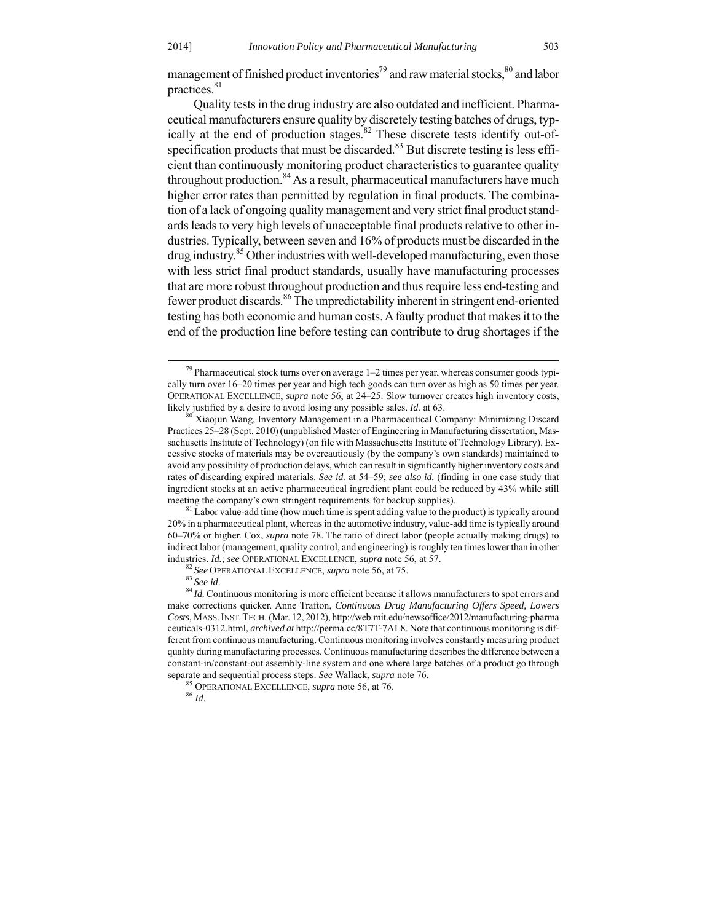management of finished product inventories<sup>79</sup> and raw material stocks,<sup>80</sup> and labor practices.<sup>81</sup>

Quality tests in the drug industry are also outdated and inefficient. Pharmaceutical manufacturers ensure quality by discretely testing batches of drugs, typically at the end of production stages.<sup>82</sup> These discrete tests identify out-ofspecification products that must be discarded.<sup>83</sup> But discrete testing is less efficient than continuously monitoring product characteristics to guarantee quality throughout production.<sup>84</sup> As a result, pharmaceutical manufacturers have much higher error rates than permitted by regulation in final products. The combination of a lack of ongoing quality management and very strict final product standards leads to very high levels of unacceptable final products relative to other industries. Typically, between seven and 16% of products must be discarded in the drug industry.<sup>85</sup> Other industries with well-developed manufacturing, even those with less strict final product standards, usually have manufacturing processes that are more robust throughout production and thus require less end-testing and fewer product discards.<sup>86</sup> The unpredictability inherent in stringent end-oriented testing has both economic and human costs. A faulty product that makes it to the end of the production line before testing can contribute to drug shortages if the

20% in a pharmaceutical plant, whereas in the automotive industry, value-add time is typically around 60–70% or higher. Cox, *supra* note 78. The ratio of direct labor (people actually making drugs) to indirect labor (management, quality control, and engineering) is roughly ten times lower than in other

 $79$  Pharmaceutical stock turns over on average  $1-2$  times per year, whereas consumer goods typically turn over 16–20 times per year and high tech goods can turn over as high as 50 times per year. OPERATIONAL EXCELLENCE, *supra* note 56, at 24–25. Slow turnover creates high inventory costs, likely justified by a desire to avoid losing any possible sales. *Id.* at 63.<br><sup>80</sup> Xiaojun Wang, Inventory Management in a Pharmaceutical Company: Minimizing Discard

Practices 25–28 (Sept. 2010) (unpublished Master of Engineering in Manufacturing dissertation, Massachusetts Institute of Technology) (on file with Massachusetts Institute of Technology Library). Excessive stocks of materials may be overcautiously (by the company's own standards) maintained to avoid any possibility of production delays, which can result in significantly higher inventory costs and rates of discarding expired materials. *See id.* at 54–59; *see also id.* (finding in one case study that ingredient stocks at an active pharmaceutical ingredient plant could be reduced by 43% while still meeting the company's own stringent requirements for backup supplies).<br><sup>81</sup> Labor value-add time (how much time is spent adding value to the product) is typically around

industries. *Id.*; see OPERATIONAL EXCELLENCE, supra note 56, at 57.<br><sup>82</sup> See OPERATIONAL EXCELLENCE, supra note 56, at 75.<br><sup>83</sup> See id.<br><sup>84</sup> Id. Continuous monitoring is more efficient because it allows manufacturers to make corrections quicker. Anne Trafton, *Continuous Drug Manufacturing Offers Speed, Lowers Costs*, MASS.INST.TECH. (Mar. 12, 2012), http://web.mit.edu/newsoffice/2012/manufacturing-pharma ceuticals-0312.html, *archived at* http://perma.cc/8T7T-7AL8. Note that continuous monitoring is different from continuous manufacturing. Continuous monitoring involves constantly measuring product quality during manufacturing processes. Continuous manufacturing describes the difference between a constant-in/constant-out assembly-line system and one where large batches of a product go through separate and sequential process steps. *See* Wallack, *supra* note 76. <sup>85</sup> OPERATIONAL EXCELLENCE, *supra* note 56, at 76. <sup>86</sup> *Id*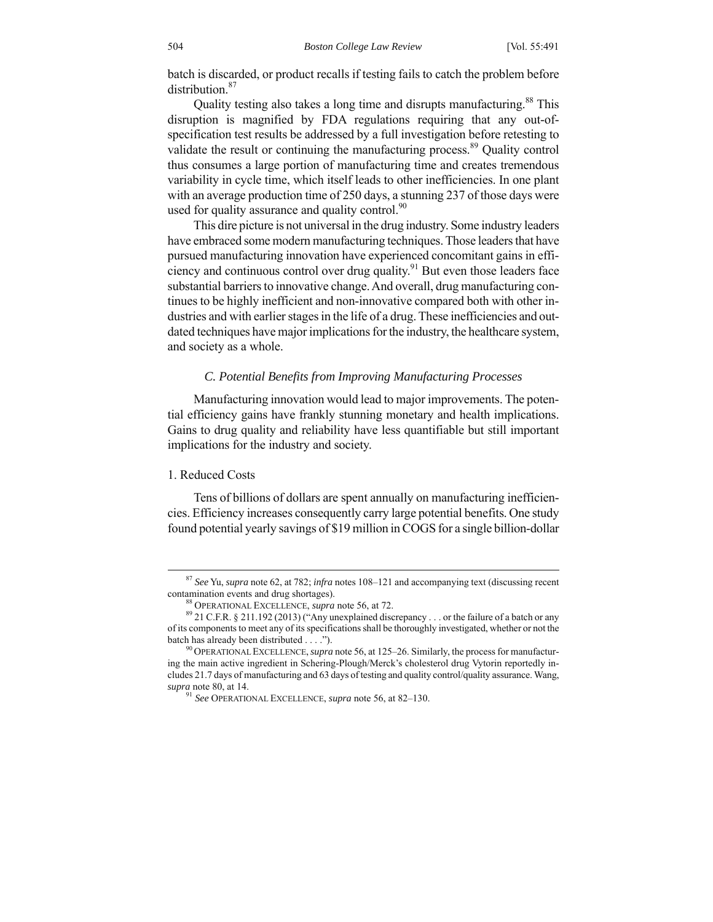batch is discarded, or product recalls if testing fails to catch the problem before distribution.<sup>87</sup>

Quality testing also takes a long time and disrupts manufacturing.<sup>88</sup> This disruption is magnified by FDA regulations requiring that any out-ofspecification test results be addressed by a full investigation before retesting to validate the result or continuing the manufacturing process.<sup>89</sup> Quality control thus consumes a large portion of manufacturing time and creates tremendous variability in cycle time, which itself leads to other inefficiencies. In one plant with an average production time of 250 days, a stunning 237 of those days were used for quality assurance and quality control. $90$ 

This dire picture is not universal in the drug industry. Some industry leaders have embraced some modern manufacturing techniques. Those leaders that have pursued manufacturing innovation have experienced concomitant gains in efficiency and continuous control over drug quality.<sup>91</sup> But even those leaders face substantial barriers to innovative change. And overall, drug manufacturing continues to be highly inefficient and non-innovative compared both with other industries and with earlier stages in the life of a drug. These inefficiencies and outdated techniques have major implications for the industry, the healthcare system, and society as a whole.

#### *C. Potential Benefits from Improving Manufacturing Processes*

Manufacturing innovation would lead to major improvements. The potential efficiency gains have frankly stunning monetary and health implications. Gains to drug quality and reliability have less quantifiable but still important implications for the industry and society.

#### 1. Reduced Costs

Tens of billions of dollars are spent annually on manufacturing inefficiencies. Efficiency increases consequently carry large potential benefits. One study found potential yearly savings of \$19 million in COGS for a single billion-dollar

 <sup>87</sup> *See* Yu, *supra* note 62, at 782; *infra* notes 108–121 and accompanying text (discussing recent contamination events and drug shortages).<br><sup>88</sup> OPERATIONAL EXCELLENCE, *supra* note 56, at 72.<br><sup>89</sup> 21 C.F.R. § 211.192 (2013) ("Any unexplained discrepancy . . . or the failure of a batch or any

of its components to meet any of its specifications shall be thoroughly investigated, whether or not the batch has already been distributed . . . .").<br><sup>90</sup> OPERATIONAL EXCELLENCE, *supra* note 56, at 125–26. Similarly, the process for manufactur-

ing the main active ingredient in Schering-Plough/Merck's cholesterol drug Vytorin reportedly includes 21.7 days of manufacturing and 63 days of testing and quality control/quality assurance. Wang, *supra* note 80, at 14.

<sup>91</sup> *See* OPERATIONAL EXCELLENCE, *supra* note 56, at 82–130.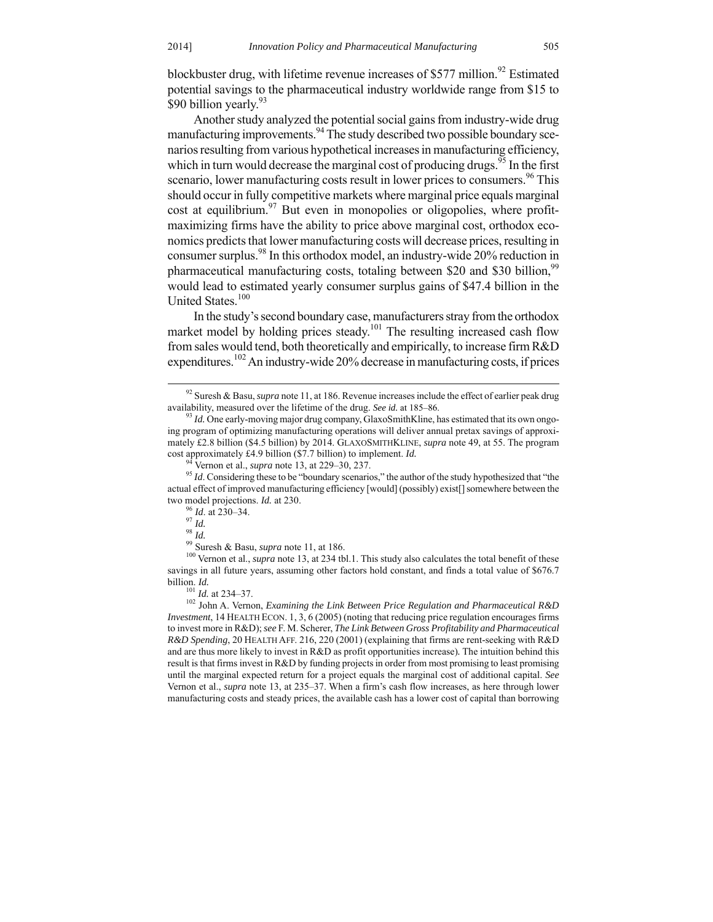blockbuster drug, with lifetime revenue increases of \$577 million.<sup>92</sup> Estimated potential savings to the pharmaceutical industry worldwide range from \$15 to \$90 billion yearly.<sup>93</sup>

Another study analyzed the potential social gains from industry-wide drug manufacturing improvements.<sup>94</sup> The study described two possible boundary scenarios resulting from various hypothetical increases in manufacturing efficiency, which in turn would decrease the marginal cost of producing drugs.<sup>95</sup> In the first scenario, lower manufacturing costs result in lower prices to consumers.<sup>96</sup> This should occur in fully competitive markets where marginal price equals marginal cost at equilibrium.<sup>97</sup> But even in monopolies or oligopolies, where profitmaximizing firms have the ability to price above marginal cost, orthodox economics predicts that lower manufacturing costs will decrease prices, resulting in consumer surplus.<sup>98</sup> In this orthodox model, an industry-wide 20% reduction in pharmaceutical manufacturing costs, totaling between \$20 and \$30 billion,<sup>99</sup> would lead to estimated yearly consumer surplus gains of \$47.4 billion in the United States.100

In the study's second boundary case, manufacturers stray from the orthodox market model by holding prices steady.<sup>101</sup> The resulting increased cash flow from sales would tend, both theoretically and empirically, to increase firm R&D expenditures.<sup>102</sup> An industry-wide  $20\%$  decrease in manufacturing costs, if prices

<sup>100</sup> Vernon et al., *supra* note 13, at 234 tbl.1. This study also calculates the total benefit of these savings in all future years, assuming other factors hold constant, and finds a total value of \$676.7 billion. *Id.* <sup>101</sup> *Id.* at 234–37. 102 John A. Vernon, *Examining the Link Between Price Regulation and Pharmaceutical R&D* 

*Investment*, 14 HEALTH ECON. 1, 3, 6 (2005) (noting that reducing price regulation encourages firms to invest more in R&D); *see* F. M. Scherer, *The Link Between Gross Profitability and Pharmaceutical R&D Spending*, 20 HEALTH AFF. 216, 220 (2001) (explaining that firms are rent-seeking with R&D and are thus more likely to invest in R&D as profit opportunities increase)*.* The intuition behind this result is that firms invest in R&D by funding projects in order from most promising to least promising until the marginal expected return for a project equals the marginal cost of additional capital. *See* Vernon et al., *supra* note 13, at 235–37. When a firm's cash flow increases, as here through lower manufacturing costs and steady prices, the available cash has a lower cost of capital than borrowing

<sup>&</sup>lt;sup>92</sup> Suresh & Basu, *supra* note 11, at 186. Revenue increases include the effect of earlier peak drug availability, measured over the lifetime of the drug. *See id.* at 185–86.

<sup>&</sup>lt;sup>3</sup> *Id.* One early-moving major drug company, GlaxoSmithKline, has estimated that its own ongoing program of optimizing manufacturing operations will deliver annual pretax savings of approximately £2.8 billion (\$4.5 billion) by 2014. GLAXOSMITHKLINE, *supra* note 49, at 55. The program cost approximately £4.9 billion (\$7.7 billion) to implement. *Id.*<br><sup>94</sup> Vernon et al., *supra* note 13, at 229–30, 237.<br><sup>95</sup> *Id.* Considering these to be "boundary scenarios," the author of the study hypothesized that "t

actual effect of improved manufacturing efficiency [would] (possibly) exist[] somewhere between the two model projections. *Id.* at 230.<br><sup>96</sup> *Id.* at 230–34.<br><sup>97</sup> *Id.* 98 *Id.* 99 Suresh & Basu, *supra* note 11, at 186.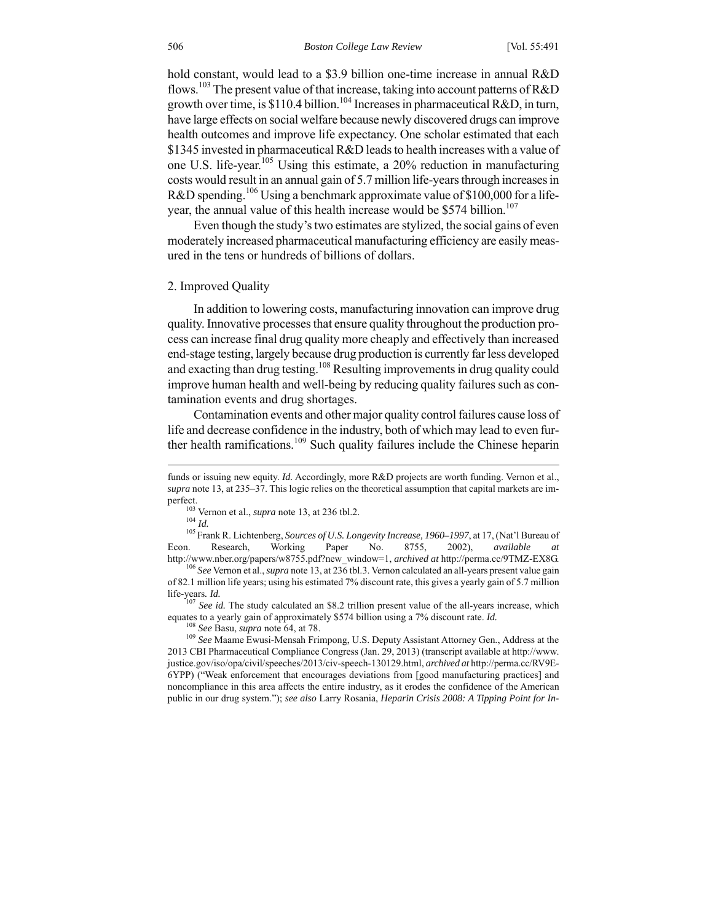hold constant, would lead to a \$3.9 billion one-time increase in annual R&D flows.<sup>103</sup> The present value of that increase, taking into account patterns of R&D growth over time, is \$110.4 billion.<sup>104</sup> Increases in pharmaceutical R&D, in turn, have large effects on social welfare because newly discovered drugs can improve health outcomes and improve life expectancy. One scholar estimated that each \$1345 invested in pharmaceutical R&D leads to health increases with a value of one U.S. life-year.<sup>105</sup> Using this estimate, a 20% reduction in manufacturing costs would result in an annual gain of 5.7 million life-years through increases in R&D spending.<sup>106</sup> Using a benchmark approximate value of \$100,000 for a lifeyear, the annual value of this health increase would be \$574 billion.<sup>107</sup>

Even though the study's two estimates are stylized, the social gains of even moderately increased pharmaceutical manufacturing efficiency are easily measured in the tens or hundreds of billions of dollars.

#### 2. Improved Quality

In addition to lowering costs, manufacturing innovation can improve drug quality. Innovative processes that ensure quality throughout the production process can increase final drug quality more cheaply and effectively than increased end-stage testing, largely because drug production is currently far less developed and exacting than drug testing.<sup>108</sup> Resulting improvements in drug quality could improve human health and well-being by reducing quality failures such as contamination events and drug shortages.

Contamination events and other major quality control failures cause loss of life and decrease confidence in the industry, both of which may lead to even further health ramifications.<sup>109</sup> Such quality failures include the Chinese heparin

 $\overline{a}$ 

perfect. <sup>103</sup> Vernon et al., *supra* note 13, at 236 tbl.2. <sup>104</sup> *Id.* <sup>104</sup> *Id.* <sup>104</sup> *Id.* <sup>105</sup> Frank R. Lichtenberg, *Sources of U.S. Longevity Increase, 1960–1997*, at 17, (Nat'l Bureau of Econ. Research, Working Paper No. 8755, 2002), *available at* http://www.nber.org/papers/w8755.pdf?new\_window=1, *archived at* http://perma.cc/9TMZ-EX8G. <sup>106</sup> *See* Vernon et al., *supra* note 13, at 236 tbl.3. Vernon calculated an all-years present value gain

of 82.1 million life years; using his estimated 7% discount rate, this gives a yearly gain of 5.7 million life-years*. Id.* <sup>107</sup> *See id.* The study calculated an \$8.2 trillion present value of the all-years increase, which

equates to a yearly gain of approximately \$574 billion using a 7% discount rate. *Id.*<br><sup>108</sup> See Basu, *supra* note 64, at 78.<br><sup>109</sup> See Maame Ewusi-Mensah Frimpong, U.S. Deputy Assistant Attorney Gen., Address at the 2013 CBI Pharmaceutical Compliance Congress (Jan. 29, 2013) (transcript available at http://www. justice.gov/iso/opa/civil/speeches/2013/civ-speech-130129.html, *archived at* http://perma.cc/RV9E-6YPP) ("Weak enforcement that encourages deviations from [good manufacturing practices] and noncompliance in this area affects the entire industry, as it erodes the confidence of the American public in our drug system."); *see also* Larry Rosania, *Heparin Crisis 2008: A Tipping Point for In-*

funds or issuing new equity. *Id.* Accordingly, more R&D projects are worth funding. Vernon et al., *supra* note 13, at 235–37. This logic relies on the theoretical assumption that capital markets are im-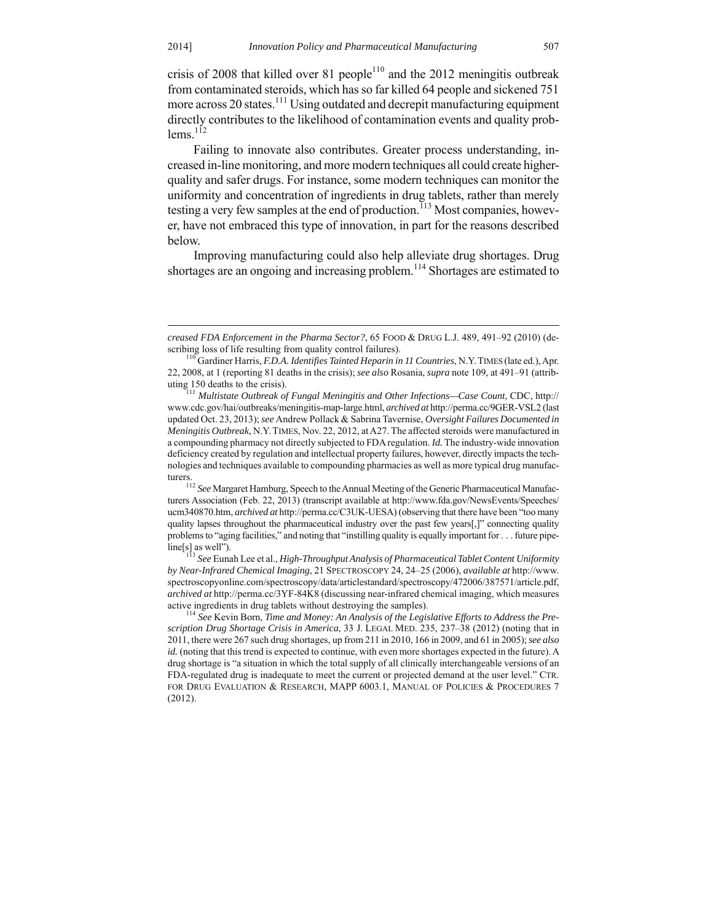crisis of 2008 that killed over 81 people $1^{10}$  and the 2012 meningitis outbreak from contaminated steroids, which has so far killed 64 people and sickened 751 more across 20 states.<sup>111</sup> Using outdated and decrepit manufacturing equipment directly contributes to the likelihood of contamination events and quality prob $lems.<sup>112</sup>$ 

Failing to innovate also contributes. Greater process understanding, increased in-line monitoring, and more modern techniques all could create higherquality and safer drugs. For instance, some modern techniques can monitor the uniformity and concentration of ingredients in drug tablets, rather than merely testing a very few samples at the end of production.<sup>113</sup> Most companies, however, have not embraced this type of innovation, in part for the reasons described below.

Improving manufacturing could also help alleviate drug shortages. Drug shortages are an ongoing and increasing problem.<sup>114</sup> Shortages are estimated to

-

line[s] as well"). 113 *See* Eunah Lee et al., *High-Throughput Analysis of Pharmaceutical Tablet Content Uniformity by Near-Infrared Chemical Imaging*, 21 SPECTROSCOPY 24, 24–25 (2006), *available at* http://www. spectroscopyonline.com/spectroscopy/data/articlestandard/spectroscopy/472006/387571/article.pdf, *archived at* http://perma.cc/3YF-84K8 (discussing near-infrared chemical imaging, which measures active ingredients in drug tablets without destroying the samples).<br><sup>114</sup> *See* Kevin Born, *Time and Money: An Analysis of the Legislative Efforts to Address the Pre-*

*scription Drug Shortage Crisis in America*, 33 J. LEGAL MED. 235, 237–38 (2012) (noting that in 2011, there were 267 such drug shortages, up from 211 in 2010, 166 in 2009, and 61 in 2005); *see also id.* (noting that this trend is expected to continue, with even more shortages expected in the future). A drug shortage is "a situation in which the total supply of all clinically interchangeable versions of an FDA-regulated drug is inadequate to meet the current or projected demand at the user level." CTR. FOR DRUG EVALUATION & RESEARCH, MAPP 6003.1, MANUAL OF POLICIES & PROCEDURES 7 (2012).

*creased FDA Enforcement in the Pharma Sector?*, 65 FOOD & DRUG L.J. 489, 491–92 (2010) (describing loss of life resulting from quality control failures).<br><sup>110</sup> Gardiner Harris, *F.D.A. Identifies Tainted Heparin in 11 Countries*, N.Y. TIMES (late ed.), Apr.

<sup>22, 2008,</sup> at 1 (reporting 81 deaths in the crisis); *see also* Rosania, *supra* note 109, at 491–91 (attributing 150 deaths to the crisis). 111 *Multistate Outbreak of Fungal Meningitis and Other Infections—Case Count*, CDC, http://

www.cdc.gov/hai/outbreaks/meningitis-map-large.html, *archived at* http://perma.cc/9GER-VSL2 (last updated Oct. 23, 2013); *see* Andrew Pollack & Sabrina Tavernise, *Oversight Failures Documented in Meningitis Outbreak*, N.Y.TIMES, Nov. 22, 2012, at A27. The affected steroids were manufactured in a compounding pharmacy not directly subjected to FDA regulation. *Id.* The industry-wide innovation deficiency created by regulation and intellectual property failures, however, directly impacts the technologies and techniques available to compounding pharmacies as well as more typical drug manufac-

turers. 112 *See* Margaret Hamburg, Speech to the Annual Meeting of the Generic Pharmaceutical Manufacturers Association (Feb. 22, 2013) (transcript available at http://www.fda.gov/NewsEvents/Speeches/ ucm340870.htm, *archived at* http://perma.cc/C3UK-UESA) (observing that there have been "too many quality lapses throughout the pharmaceutical industry over the past few years[,]" connecting quality problems to "aging facilities," and noting that "instilling quality is equally important for . . . future pipe-<br>line[s] as well").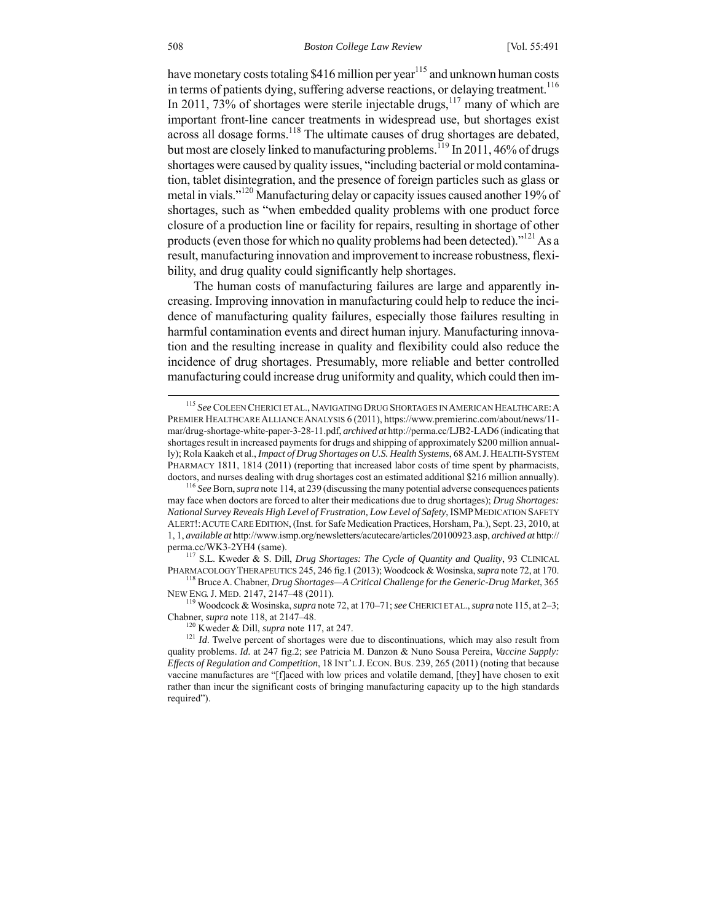have monetary costs totaling \$416 million per year<sup>115</sup> and unknown human costs in terms of patients dying, suffering adverse reactions, or delaying treatment.<sup>116</sup> In 2011, 73% of shortages were sterile injectable drugs, $117$  many of which are important front-line cancer treatments in widespread use, but shortages exist across all dosage forms.<sup>118</sup> The ultimate causes of drug shortages are debated, but most are closely linked to manufacturing problems.<sup>119</sup> In 2011, 46% of drugs shortages were caused by quality issues, "including bacterial or mold contamination, tablet disintegration, and the presence of foreign particles such as glass or metal in vials."120 Manufacturing delay or capacity issues caused another 19% of shortages, such as "when embedded quality problems with one product force closure of a production line or facility for repairs, resulting in shortage of other products (even those for which no quality problems had been detected)."<sup>121</sup> As a result, manufacturing innovation and improvement to increase robustness, flexibility, and drug quality could significantly help shortages.

The human costs of manufacturing failures are large and apparently increasing. Improving innovation in manufacturing could help to reduce the incidence of manufacturing quality failures, especially those failures resulting in harmful contamination events and direct human injury. Manufacturing innovation and the resulting increase in quality and flexibility could also reduce the incidence of drug shortages. Presumably, more reliable and better controlled manufacturing could increase drug uniformity and quality, which could then im-

PHARMACOLOGY THERAPEUTICS 245, 246 fig.1 (2013); Woodcock & Wosinska, *supra* note 72, at 170.<br><sup>118</sup> Bruce A. Chabner, *Drug Shortages—A Critical Challenge for the Generic-Drug Market*, 365<br>NEW ENG. J. MED. 2147, 2147–48 (

<sup>119</sup> Woodcock & Wosinska, *supra* note 72, at 170–71; *see* CHERICI ET AL., *supra* note 115, at 2–3;

 <sup>115</sup> *See* COLEEN CHERICI ET AL., NAVIGATING DRUG SHORTAGES IN AMERICAN HEALTHCARE:A PREMIER HEALTHCARE ALLIANCE ANALYSIS 6 (2011), https://www.premierinc.com/about/news/11 mar/drug-shortage-white-paper-3-28-11.pdf, *archived at* http://perma.cc/LJB2-LAD6 (indicating that shortages result in increased payments for drugs and shipping of approximately \$200 million annually); Rola Kaakeh et al., *Impact of Drug Shortages on U.S. Health Systems*, 68 AM.J. HEALTH-SYSTEM PHARMACY 1811, 1814 (2011) (reporting that increased labor costs of time spent by pharmacists,

doctors, and nurses dealing with drug shortages cost an estimated additional \$216 million annually). 116 *See* Born, *supra* note 114, at 239 (discussing the many potential adverse consequences patients may face when doctors are forced to alter their medications due to drug shortages); *Drug Shortages: National Survey Reveals High Level of Frustration, Low Level of Safety*, ISMPMEDICATION SAFETY ALERT!:ACUTE CARE EDITION, (Inst. for Safe Medication Practices, Horsham, Pa.), Sept. 23, 2010, at 1, 1, *available at* http://www.ismp.org/newsletters/acutecare/articles/20100923.asp, *archived at* http://

perma.cc/WK3-2YH4 (same). 117 S.L. Kweder & S. Dill, *Drug Shortages: The Cycle of Quantity and Quality*, 93 CLINICAL

Chabner, *supra* note 118, at 2147–48.<br><sup>120</sup> Kweder & Dill, *supra* note 117, at 247.<br><sup>121</sup> *Id*. Twelve percent of shortages were due to discontinuations, which may also result from quality problems. *Id.* at 247 fig.2; *see* Patricia M. Danzon & Nuno Sousa Pereira, *Vaccine Supply: Effects of Regulation and Competition*, 18 INT'L J. ECON. BUS. 239, 265 (2011) (noting that because vaccine manufactures are "[f]aced with low prices and volatile demand, [they] have chosen to exit rather than incur the significant costs of bringing manufacturing capacity up to the high standards required").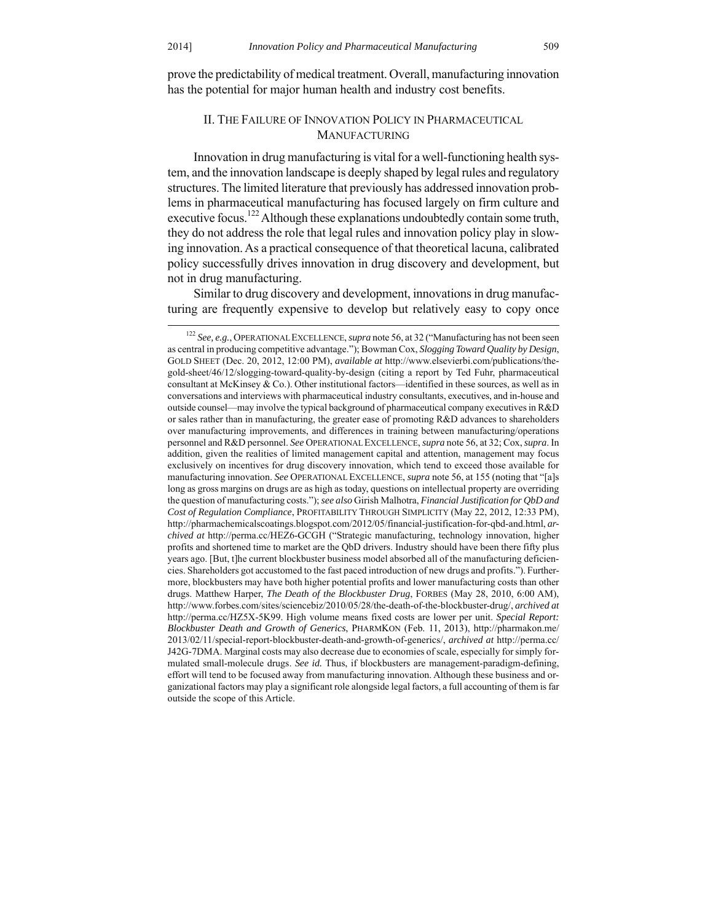prove the predictability of medical treatment. Overall, manufacturing innovation has the potential for major human health and industry cost benefits.

#### II. THE FAILURE OF INNOVATION POLICY IN PHARMACEUTICAL MANUFACTURING

Innovation in drug manufacturing is vital for a well-functioning health system, and the innovation landscape is deeply shaped by legal rules and regulatory structures. The limited literature that previously has addressed innovation problems in pharmaceutical manufacturing has focused largely on firm culture and executive focus.<sup>122</sup> Although these explanations undoubtedly contain some truth, they do not address the role that legal rules and innovation policy play in slowing innovation. As a practical consequence of that theoretical lacuna, calibrated policy successfully drives innovation in drug discovery and development, but not in drug manufacturing.

Similar to drug discovery and development, innovations in drug manufacturing are frequently expensive to develop but relatively easy to copy once

 <sup>122</sup> *See, e.g.*, OPERATIONAL EXCELLENCE, *supra* note 56, at 32 ("Manufacturing has not been seen as central in producing competitive advantage."); Bowman Cox, *Slogging Toward Quality by Design*, GOLD SHEET (Dec. 20, 2012, 12:00 PM), *available at* http://www.elsevierbi.com/publications/thegold-sheet/46/12/slogging-toward-quality-by-design (citing a report by Ted Fuhr, pharmaceutical consultant at McKinsey & Co.). Other institutional factors—identified in these sources, as well as in conversations and interviews with pharmaceutical industry consultants, executives, and in-house and outside counsel—may involve the typical background of pharmaceutical company executives in R&D or sales rather than in manufacturing, the greater ease of promoting R&D advances to shareholders over manufacturing improvements, and differences in training between manufacturing/operations personnel and R&D personnel. *See* OPERATIONAL EXCELLENCE, *supra* note 56, at 32; Cox, *supra*. In addition, given the realities of limited management capital and attention, management may focus exclusively on incentives for drug discovery innovation, which tend to exceed those available for manufacturing innovation. *See* OPERATIONAL EXCELLENCE, *supra* note 56, at 155 (noting that "[a]s long as gross margins on drugs are as high as today, questions on intellectual property are overriding the question of manufacturing costs."); *see also* Girish Malhotra, *Financial Justification for QbD and Cost of Regulation Compliance*, PROFITABILITY THROUGH SIMPLICITY (May 22, 2012, 12:33 PM), http://pharmachemicalscoatings.blogspot.com/2012/05/financial-justification-for-qbd-and.html, *archived at* http://perma.cc/HEZ6-GCGH ("Strategic manufacturing, technology innovation, higher profits and shortened time to market are the QbD drivers. Industry should have been there fifty plus years ago. [But, t]he current blockbuster business model absorbed all of the manufacturing deficiencies. Shareholders got accustomed to the fast paced introduction of new drugs and profits."). Furthermore, blockbusters may have both higher potential profits and lower manufacturing costs than other drugs. Matthew Harper, *The Death of the Blockbuster Drug*, FORBES (May 28, 2010, 6:00 AM), http://www.forbes.com/sites/sciencebiz/2010/05/28/the-death-of-the-blockbuster-drug/, *archived at* http://perma.cc/HZ5X-5K99. High volume means fixed costs are lower per unit. *Special Report: Blockbuster Death and Growth of Generics*, PHARMKON (Feb. 11, 2013), http://pharmakon.me/ 2013/02/11/special-report-blockbuster-death-and-growth-of-generics/, *archived at* http://perma.cc/ J42G-7DMA. Marginal costs may also decrease due to economies of scale, especially for simply formulated small-molecule drugs. *See id.* Thus, if blockbusters are management-paradigm-defining, effort will tend to be focused away from manufacturing innovation. Although these business and organizational factors may play a significant role alongside legal factors, a full accounting of them is far outside the scope of this Article.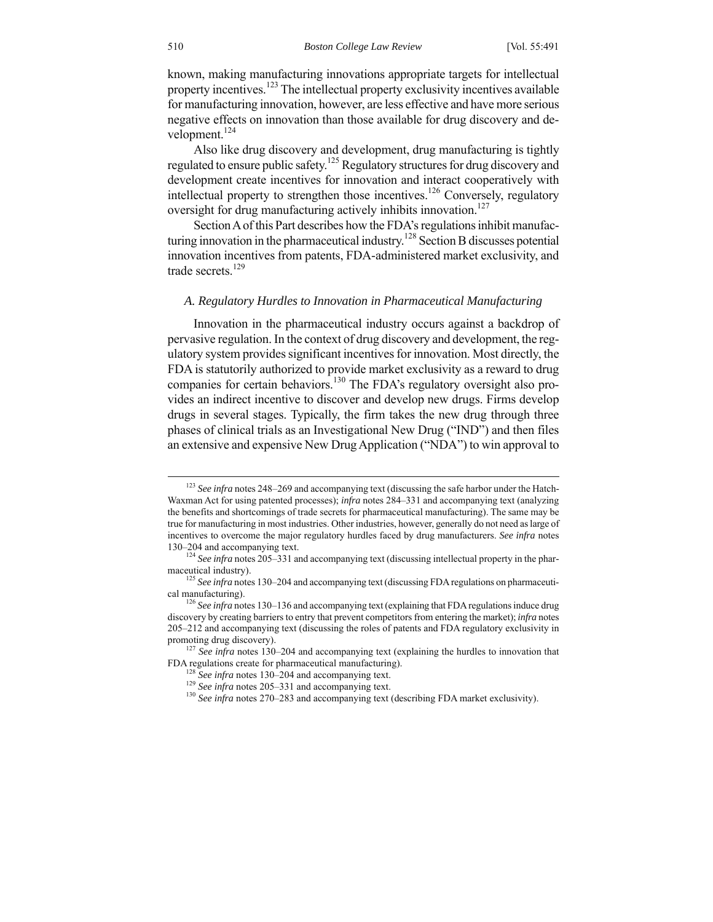known, making manufacturing innovations appropriate targets for intellectual property incentives.123 The intellectual property exclusivity incentives available for manufacturing innovation, however, are less effective and have more serious negative effects on innovation than those available for drug discovery and development.<sup>124</sup>

Also like drug discovery and development, drug manufacturing is tightly regulated to ensure public safety.125 Regulatory structures for drug discovery and development create incentives for innovation and interact cooperatively with intellectual property to strengthen those incentives.<sup>126</sup> Conversely, regulatory oversight for drug manufacturing actively inhibits innovation.<sup>127</sup>

Section A of this Part describes how the FDA's regulations inhibit manufacturing innovation in the pharmaceutical industry.<sup>128</sup> Section B discusses potential innovation incentives from patents, FDA-administered market exclusivity, and trade secrets.<sup>129</sup>

#### *A. Regulatory Hurdles to Innovation in Pharmaceutical Manufacturing*

Innovation in the pharmaceutical industry occurs against a backdrop of pervasive regulation. In the context of drug discovery and development, the regulatory system provides significant incentives for innovation. Most directly, the FDA is statutorily authorized to provide market exclusivity as a reward to drug companies for certain behaviors.<sup>130</sup> The FDA's regulatory oversight also provides an indirect incentive to discover and develop new drugs. Firms develop drugs in several stages. Typically, the firm takes the new drug through three phases of clinical trials as an Investigational New Drug ("IND") and then files an extensive and expensive New Drug Application ("NDA") to win approval to

<sup>&</sup>lt;sup>123</sup> See infra notes 248-269 and accompanying text (discussing the safe harbor under the Hatch-Waxman Act for using patented processes); *infra* notes 284–331 and accompanying text (analyzing the benefits and shortcomings of trade secrets for pharmaceutical manufacturing). The same may be true for manufacturing in most industries. Other industries, however, generally do not need as large of incentives to overcome the major regulatory hurdles faced by drug manufacturers. *See infra* notes

<sup>130–204</sup> and accompanying text. 124 *See infra* notes 205–331 and accompanying text (discussing intellectual property in the phar-

<sup>&</sup>lt;sup>125</sup> See infra notes 130–204 and accompanying text (discussing FDA regulations on pharmaceutical manufacturing). 126 *See infra* notes 130–136 and accompanying text (explaining that FDA regulations induce drug

discovery by creating barriers to entry that prevent competitors from entering the market); *infra* notes 205–212 and accompanying text (discussing the roles of patents and FDA regulatory exclusivity in

promoting drug discovery). 127 *See infra* notes 130–204 and accompanying text (explaining the hurdles to innovation that FDA regulations create for pharmaceutical manufacturing).<br><sup>128</sup> See infra notes 130–204 and accompanying text.<br><sup>129</sup> See infra notes 205–331 and accompanying text.<br><sup>130</sup> See infra notes 270–283 and accompanying text (desc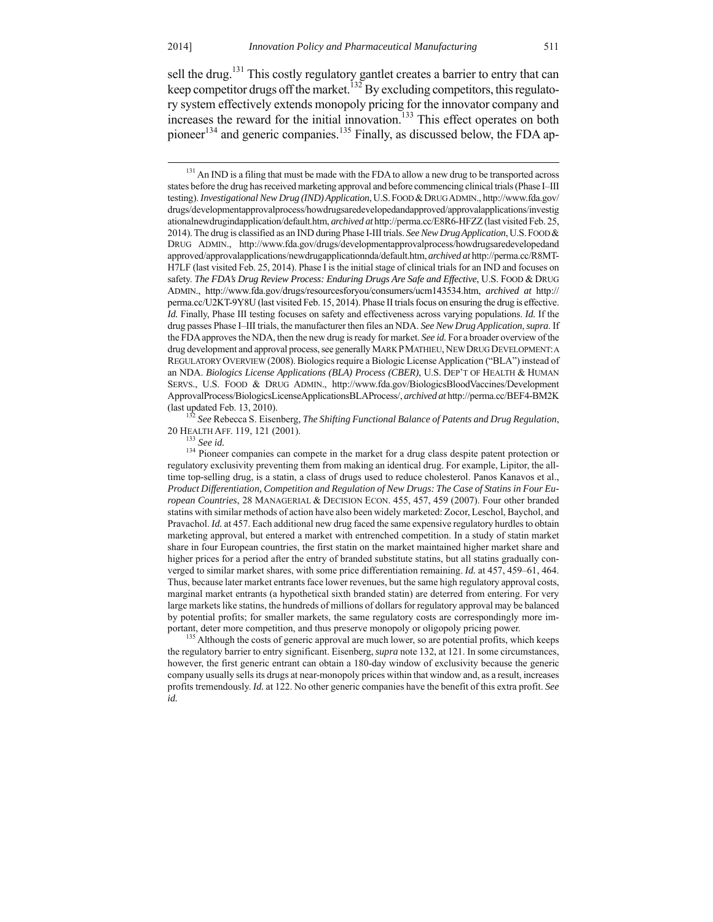sell the drug.<sup>131</sup> This costly regulatory gantlet creates a barrier to entry that can keep competitor drugs off the market.<sup>132</sup> By excluding competitors, this regulatory system effectively extends monopoly pricing for the innovator company and increases the reward for the initial innovation.<sup>133</sup> This effect operates on both pioneer<sup>134</sup> and generic companies.<sup>135</sup> Finally, as discussed below, the FDA ap-

20 HEALTH AFF. 119, 121 (2001). 133 *See id.* 134 Pioneer companies can compete in the market for a drug class despite patent protection or regulatory exclusivity preventing them from making an identical drug. For example, Lipitor, the alltime top-selling drug, is a statin, a class of drugs used to reduce cholesterol. Panos Kanavos et al., *Product Differentiation, Competition and Regulation of New Drugs: The Case of Statins in Four European Countries*, 28 MANAGERIAL & DECISION ECON. 455, 457, 459 (2007). Four other branded statins with similar methods of action have also been widely marketed: Zocor, Leschol, Baychol, and Pravachol. *Id.* at 457. Each additional new drug faced the same expensive regulatory hurdles to obtain marketing approval, but entered a market with entrenched competition. In a study of statin market share in four European countries, the first statin on the market maintained higher market share and higher prices for a period after the entry of branded substitute statins, but all statins gradually converged to similar market shares, with some price differentiation remaining. *Id.* at 457, 459–61, 464. Thus, because later market entrants face lower revenues, but the same high regulatory approval costs, marginal market entrants (a hypothetical sixth branded statin) are deterred from entering. For very large markets like statins, the hundreds of millions of dollars for regulatory approval may be balanced by potential profits; for smaller markets, the same regulatory costs are correspondingly more important, deter more competition, and thus preserve monopoly or oligopoly pricing power.<br><sup>135</sup> Although the costs of generic approval are much lower, so are potential profits, which keeps

the regulatory barrier to entry significant. Eisenberg, *supra* note 132, at 121. In some circumstances, however, the first generic entrant can obtain a 180-day window of exclusivity because the generic company usually sells its drugs at near-monopoly prices within that window and, as a result, increases profits tremendously. *Id.* at 122. No other generic companies have the benefit of this extra profit. *See id.* 

<sup>&</sup>lt;sup>131</sup> An IND is a filing that must be made with the FDA to allow a new drug to be transported across states before the drug has received marketing approval and before commencing clinical trials (Phase I–III testing). *Investigational New Drug (IND) Application*, U.S. FOOD & DRUG ADMIN., http://www.fda.gov/ drugs/developmentapprovalprocess/howdrugsaredevelopedandapproved/approvalapplications/investig ationalnewdrugindapplication/default.htm, *archived at* http://perma.cc/E8R6-HFZZ (last visited Feb. 25, 2014). The drug is classified as an IND during Phase I-III trials. *See New Drug Application*, U.S.FOOD & DRUG ADMIN., http://www.fda.gov/drugs/developmentapprovalprocess/howdrugsaredevelopedand approved/approvalapplications/newdrugapplicationnda/default.htm, *archived at* http://perma.cc/R8MT-H7LF (last visited Feb. 25, 2014). Phase I is the initial stage of clinical trials for an IND and focuses on safety. *The FDA's Drug Review Process: Enduring Drugs Are Safe and Effective*, U.S. FOOD & DRUG ADMIN., http://www.fda.gov/drugs/resourcesforyou/consumers/ucm143534.htm, *archived at* http:// perma.cc/U2KT-9Y8U (last visited Feb. 15, 2014). Phase II trials focus on ensuring the drug is effective. *Id.* Finally, Phase III testing focuses on safety and effectiveness across varying populations. *Id.* If the drug passes Phase I–III trials, the manufacturer then files an NDA. *See New Drug Application*, *supra*. If the FDA approves the NDA, then the new drug is ready for market. *See id.* For a broader overview of the drug development and approval process, see generally MARK PMATHIEU, NEW DRUG DEVELOPMENT: A REGULATORY OVERVIEW (2008). Biologics require a Biologic License Application ("BLA") instead of an NDA. *Biologics License Applications (BLA) Process (CBER)*, U.S. DEP'T OF HEALTH & HUMAN SERVS., U.S. FOOD & DRUG ADMIN., http://www.fda.gov/BiologicsBloodVaccines/Development ApprovalProcess/BiologicsLicenseApplicationsBLAProcess/, *archived at* http://perma.cc/BEF4-BM2K (last updated Feb. 13, 2010). 132 *See* Rebecca S. Eisenberg, *The Shifting Functional Balance of Patents and Drug Regulation*,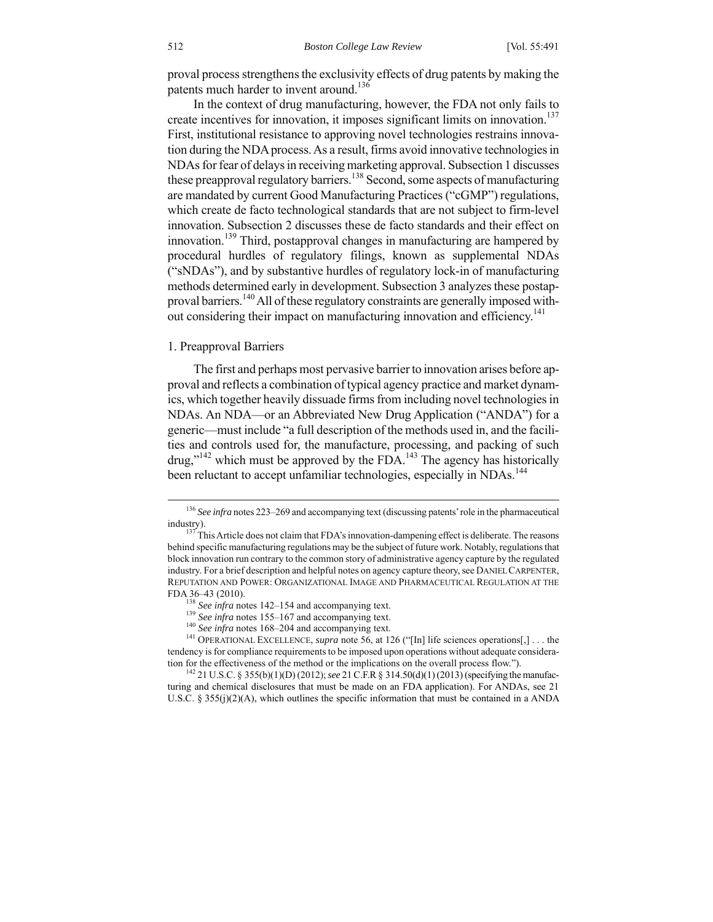proval process strengthens the exclusivity effects of drug patents by making the patents much harder to invent around.<sup>136</sup>

In the context of drug manufacturing, however, the FDA not only fails to create incentives for innovation, it imposes significant limits on innovation.<sup>137</sup> First, institutional resistance to approving novel technologies restrains innovation during the NDA process. As a result, firms avoid innovative technologies in NDAs for fear of delays in receiving marketing approval. Subsection 1 discusses these preapproval regulatory barriers.<sup>138</sup> Second, some aspects of manufacturing are mandated by current Good Manufacturing Practices ("cGMP") regulations, which create de facto technological standards that are not subject to firm-level innovation. Subsection 2 discusses these de facto standards and their effect on innovation.<sup>139</sup> Third, postapproval changes in manufacturing are hampered by procedural hurdles of regulatory filings, known as supplemental NDAs ("sNDAs"), and by substantive hurdles of regulatory lock-in of manufacturing methods determined early in development. Subsection 3 analyzes these postapproval barriers.<sup>140</sup> All of these regulatory constraints are generally imposed without considering their impact on manufacturing innovation and efficiency.<sup>141</sup>

#### 1. Preapproval Barriers

The first and perhaps most pervasive barrier to innovation arises before approval and reflects a combination of typical agency practice and market dynamics, which together heavily dissuade firms from including novel technologies in NDAs. An NDA—or an Abbreviated New Drug Application ("ANDA") for a generic—must include "a full description of the methods used in, and the facilities and controls used for, the manufacture, processing, and packing of such drug,"<sup>142</sup> which must be approved by the FDA.<sup>143</sup> The agency has historically been reluctant to accept unfamiliar technologies, especially in NDAs.<sup>144</sup>

<sup>&</sup>lt;sup>136</sup> See infra notes 223–269 and accompanying text (discussing patents' role in the pharmaceutical

industry). 137 This Article does not claim that FDA's innovation-dampening effect is deliberate. The reasons behind specific manufacturing regulations may be the subject of future work. Notably, regulations that block innovation run contrary to the common story of administrative agency capture by the regulated industry. For a brief description and helpful notes on agency capture theory, see DANIEL CARPENTER, REPUTATION AND POWER: ORGANIZATIONAL IMAGE AND PHARMACEUTICAL REGULATION AT THE

FDA 36–43 (2010).<br><sup>138</sup> *See infra* notes 142–154 and accompanying text.<br><sup>139</sup> *See infra* notes 155–167 and accompanying text.<br><sup>140</sup> *See infra* notes 168–204 and accompanying text.<br><sup>141</sup> OPERATIONAL EXCELLENCE, *supra* tendency is for compliance requirements to be imposed upon operations without adequate considera-

tion for the effectiveness of the method or the implications on the overall process flow.").<br><sup>142</sup> 21 U.S.C. § 355(b)(1)(D) (2012); *see* 21 C.F.R § 314.50(d)(1) (2013) (specifying the manufacturing and chemical disclosures that must be made on an FDA application). For ANDAs, see 21 U.S.C.  $\S 355(j)(2)(A)$ , which outlines the specific information that must be contained in a ANDA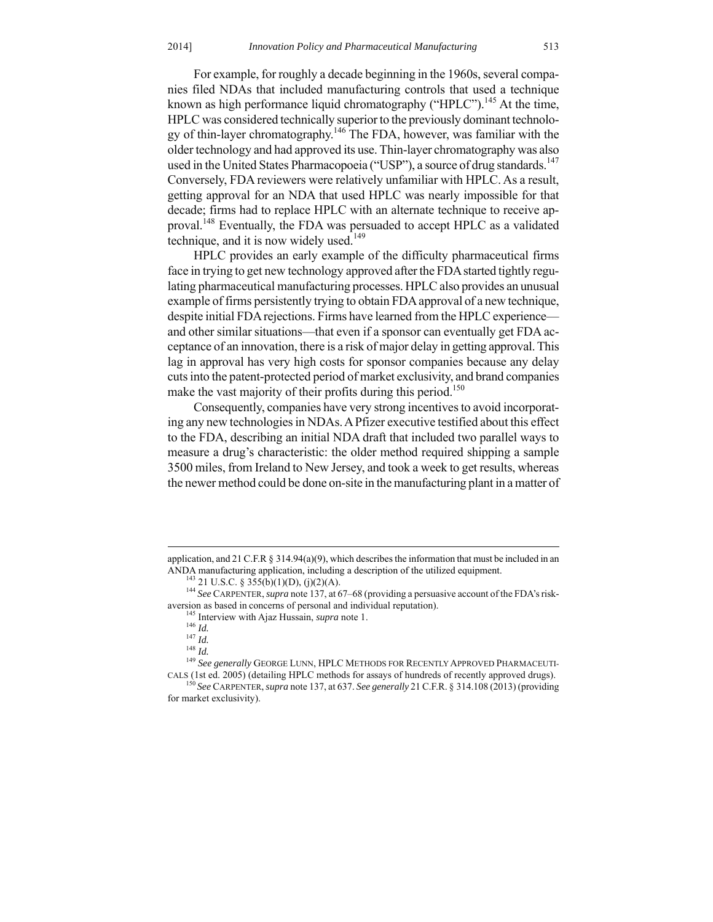For example, for roughly a decade beginning in the 1960s, several companies filed NDAs that included manufacturing controls that used a technique known as high performance liquid chromatography (" $HPLC$ ").<sup>145</sup> At the time, HPLC was considered technically superior to the previously dominant technology of thin-layer chromatography.146 The FDA, however, was familiar with the older technology and had approved its use. Thin-layer chromatography was also used in the United States Pharmacopoeia ("USP"), a source of drug standards.<sup>147</sup> Conversely, FDA reviewers were relatively unfamiliar with HPLC. As a result, getting approval for an NDA that used HPLC was nearly impossible for that decade; firms had to replace HPLC with an alternate technique to receive approval.148 Eventually, the FDA was persuaded to accept HPLC as a validated technique, and it is now widely used.<sup>149</sup>

HPLC provides an early example of the difficulty pharmaceutical firms face in trying to get new technology approved after the FDA started tightly regulating pharmaceutical manufacturing processes. HPLC also provides an unusual example of firms persistently trying to obtain FDA approval of a new technique, despite initial FDA rejections. Firms have learned from the HPLC experience and other similar situations—that even if a sponsor can eventually get FDA acceptance of an innovation, there is a risk of major delay in getting approval. This lag in approval has very high costs for sponsor companies because any delay cuts into the patent-protected period of market exclusivity, and brand companies make the vast majority of their profits during this period.<sup>150</sup>

Consequently, companies have very strong incentives to avoid incorporating any new technologies in NDAs. A Pfizer executive testified about this effect to the FDA, describing an initial NDA draft that included two parallel ways to measure a drug's characteristic: the older method required shipping a sample 3500 miles, from Ireland to New Jersey, and took a week to get results, whereas the newer method could be done on-site in the manufacturing plant in a matter of

 $\overline{a}$ 

application, and 21 C.F.R  $\S$  314.94(a)(9), which describes the information that must be included in an ANDA manufacturing application, including a description of the utilized equipment.<br><sup>143</sup> 21 U.S.C. § 355(b)(1)(D), (j)(2)(A).<br><sup>144</sup> See CARPENTER, *supra* note 137, at 67–68 (providing a persuasive account of the FDA's ri

aversion as based in concerns of personal and individual reputation).<br>
<sup>145</sup> Interview with Ajaz Hussain, *supra* note 1.<br>
<sup>146</sup> *Id.*<br>
<sup>147</sup> *Id.*<br>
<sup>148</sup> *Id.*<br>
<sup>148</sup> *Id.*<br>
<sup>148</sup> *Id.*<br>
<sup>148</sup> *Id.*<br>
<sup>149</sup> *See generally* CALS (1st ed. 2005) (detailing HPLC methods for assays of hundreds of recently approved drugs). 150 *See* CARPENTER, *supra* note 137, at 637. *See generally* 21 C.F.R. § 314.108 (2013) (providing

for market exclusivity).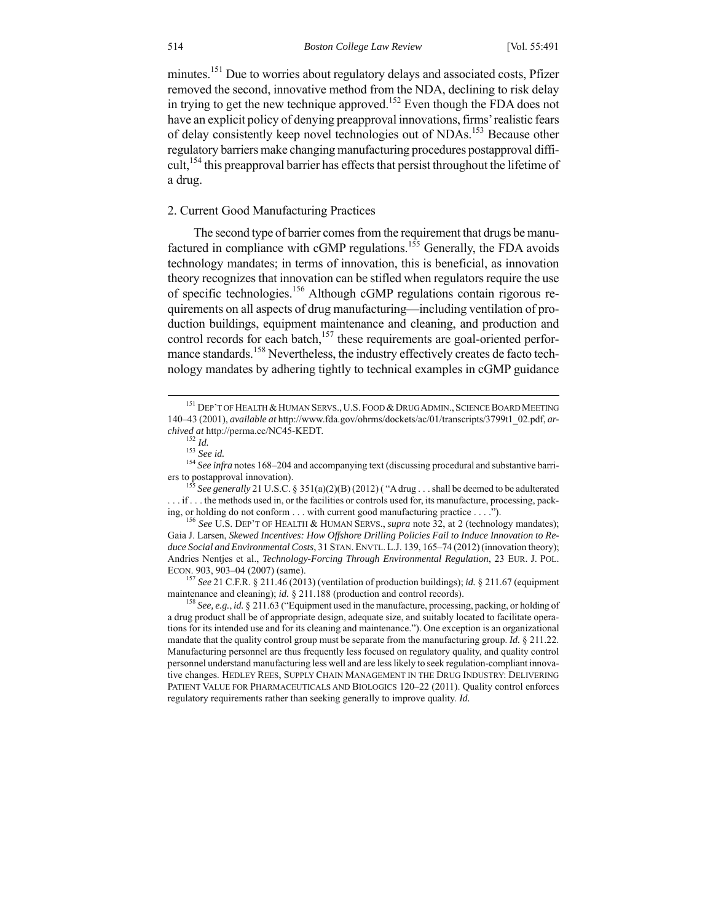minutes.<sup>151</sup> Due to worries about regulatory delays and associated costs, Pfizer removed the second, innovative method from the NDA, declining to risk delay in trying to get the new technique approved.<sup>152</sup> Even though the FDA does not have an explicit policy of denying preapproval innovations, firms' realistic fears of delay consistently keep novel technologies out of NDAs.<sup>153</sup> Because other regulatory barriers make changing manufacturing procedures postapproval difficult,<sup>154</sup> this preapproval barrier has effects that persist throughout the lifetime of a drug.

#### 2. Current Good Manufacturing Practices

The second type of barrier comes from the requirement that drugs be manufactured in compliance with cGMP regulations.<sup>155</sup> Generally, the FDA avoids technology mandates; in terms of innovation, this is beneficial, as innovation theory recognizes that innovation can be stifled when regulators require the use of specific technologies.156 Although cGMP regulations contain rigorous requirements on all aspects of drug manufacturing—including ventilation of production buildings, equipment maintenance and cleaning, and production and control records for each batch,<sup>157</sup> these requirements are goal-oriented performance standards.<sup>158</sup> Nevertheless, the industry effectively creates de facto technology mandates by adhering tightly to technical examples in cGMP guidance

<sup>&</sup>lt;sup>151</sup> DEP'T OF HEALTH & HUMAN SERVS., U.S. FOOD & DRUG ADMIN., SCIENCE BOARD MEETING 140–43 (2001), *available at* http://www.fda.gov/ohrms/dockets/ac/01/transcripts/3799t1\_02.pdf, *ar-*

*chived at* http://perma.cc/NC45-KEDT.<br>
<sup>152</sup> *Id.* <sup>152</sup> *Id.* <sup>153</sup> *See id.* <sup>154</sup> *See infra* notes 168–204 and accompanying text (discussing procedural and substantive barri-<br>
ers to postapproval innovation).

See generally 21 U.S.C. § 351(a)(2)(B) (2012) ( "A drug . . . shall be deemed to be adulterated . . . if . . . the methods used in, or the facilities or controls used for, its manufacture, processing, pack-

ing, or holding do not conform . . . with current good manufacturing practice . . . ."). 156 *See* U.S. DEP'T OF HEALTH & HUMAN SERVS., *supra* note 32, at 2 (technology mandates); Gaia J. Larsen, *Skewed Incentives: How Offshore Drilling Policies Fail to Induce Innovation to Reduce Social and Environmental Costs*, 31 STAN. ENVTL. L.J. 139, 165–74 (2012) (innovation theory); Andries Nentjes et al., *Technology-Forcing Through Environmental Regulation*, 23 EUR. J. POL. ECON. 903, 903–04 (2007) (same).

<sup>&</sup>lt;sup>157</sup> *See* 21 C.F.R. § 211.46 (2013) (ventilation of production buildings); *id.* § 211.67 (equipment maintenance and cleaning); *id.* § 211.188 (production and control records).

<sup>&</sup>lt;sup>158</sup> See, e.g., *id.*  $\S$  211.63 ("Equipment used in the manufacture, processing, packing, or holding of a drug product shall be of appropriate design, adequate size, and suitably located to facilitate operations for its intended use and for its cleaning and maintenance."). One exception is an organizational mandate that the quality control group must be separate from the manufacturing group. *Id.* § 211.22. Manufacturing personnel are thus frequently less focused on regulatory quality, and quality control personnel understand manufacturing less well and are less likely to seek regulation-compliant innovative changes. HEDLEY REES, SUPPLY CHAIN MANAGEMENT IN THE DRUG INDUSTRY: DELIVERING PATIENT VALUE FOR PHARMACEUTICALS AND BIOLOGICS 120–22 (2011). Quality control enforces regulatory requirements rather than seeking generally to improve quality. *Id.*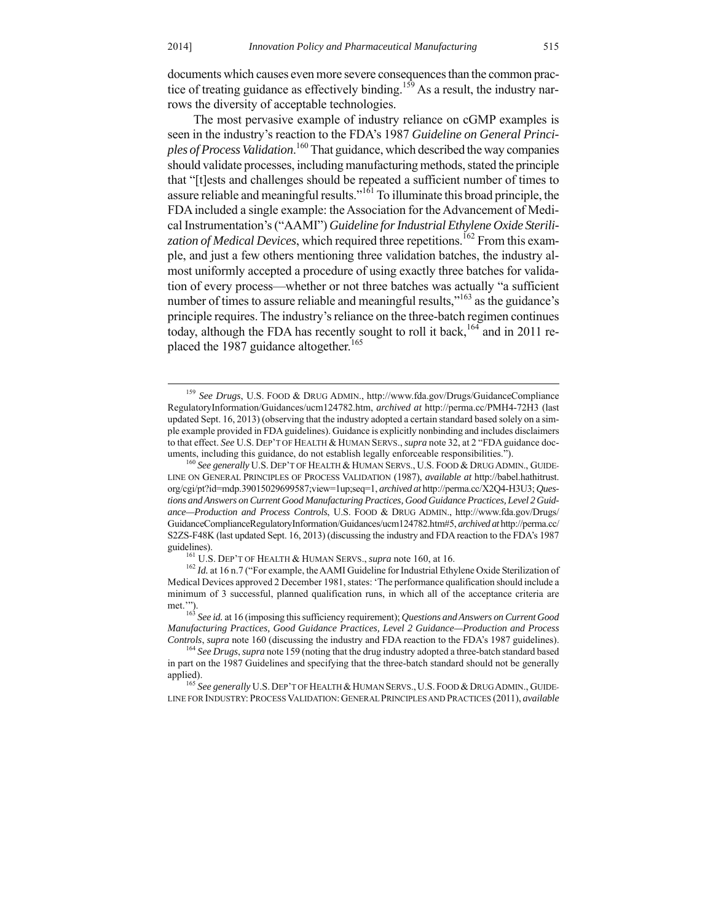documents which causes even more severe consequences than the common practice of treating guidance as effectively binding.<sup>159</sup> As a result, the industry narrows the diversity of acceptable technologies.

The most pervasive example of industry reliance on cGMP examples is seen in the industry's reaction to the FDA's 1987 *Guideline on General Principles of Process Validation*. 160 That guidance, which described the way companies should validate processes, including manufacturing methods, stated the principle that "[t]ests and challenges should be repeated a sufficient number of times to assure reliable and meaningful results." $161$  To illuminate this broad principle, the FDA included a single example: the Association for the Advancement of Medical Instrumentation's ("AAMI") *Guideline for Industrial Ethylene Oxide Sterili*zation of Medical Devices, which required three repetitions.<sup>162</sup> From this example, and just a few others mentioning three validation batches, the industry almost uniformly accepted a procedure of using exactly three batches for validation of every process—whether or not three batches was actually "a sufficient number of times to assure reliable and meaningful results,"<sup>163</sup> as the guidance's principle requires. The industry's reliance on the three-batch regimen continues today, although the FDA has recently sought to roll it back, $164$  and in 2011 replaced the 1987 guidance altogether.<sup>165</sup>

 <sup>159</sup> *See Drugs*, U.S. FOOD & DRUG ADMIN., http://www.fda.gov/Drugs/GuidanceCompliance RegulatoryInformation/Guidances/ucm124782.htm, *archived at* http://perma.cc/PMH4-72H3 (last updated Sept. 16, 2013) (observing that the industry adopted a certain standard based solely on a simple example provided in FDA guidelines). Guidance is explicitly nonbinding and includes disclaimers to that effect. *See* U.S. DEP'T OF HEALTH & HUMAN SERVS., *supra* note 32, at 2 "FDA guidance documents, including this guidance, do not establish legally enforceable responsibilities.").<br><sup>160</sup> *See generally* U.S. DEP'T OF HEALTH & HUMAN SERVS., U.S. FOOD & DRUG ADMIN., GUIDE-

LINE ON GENERAL PRINCIPLES OF PROCESS VALIDATION (1987), *available at* http://babel.hathitrust. org/cgi/pt?id=mdp.39015029699587;view=1up;seq=1, *archived at* http://perma.cc/X2Q4-H3U3; *Questions and Answers on Current Good Manufacturing Practices, Good Guidance Practices, Level 2 Guidance—Production and Process Controls*, U.S. FOOD & DRUG ADMIN., http://www.fda.gov/Drugs/ GuidanceComplianceRegulatoryInformation/Guidances/ucm124782.htm#5, *archived at* http://perma.cc/ S2ZS-F48K (last updated Sept. 16, 2013) (discussing the industry and FDA reaction to the FDA's 1987 guidelines).<br><sup>161</sup> U.S. DEP'T OF HEALTH & HUMAN SERVS., *supra* note 160, at 16.<br><sup>162</sup> *Id.* at 16 n.7 ("For example, the AAMI Guideline for Industrial Ethylene Oxide Sterilization of

Medical Devices approved 2 December 1981, states: 'The performance qualification should include a minimum of 3 successful, planned qualification runs, in which all of the acceptance criteria are

met.'"). 163 *See id.* at 16 (imposing this sufficiency requirement); *Questions and Answers on Current Good Manufacturing Practices, Good Guidance Practices, Level 2 Guidance—Production and Process*  Controls, supra note 160 (discussing the industry and FDA reaction to the FDA's 1987 guidelines).<br><sup>164</sup> See Drugs, supra note 159 (noting that the drug industry adopted a three-batch standard based

in part on the 1987 Guidelines and specifying that the three-batch standard should not be generally applied).<br><sup>165</sup> *See generally* U.S. DEP'T OF HEALTH & HUMAN SERVS., U.S. FOOD & DRUG ADMIN., GUIDE-

LINE FOR INDUSTRY: PROCESS VALIDATION:GENERAL PRINCIPLES AND PRACTICES (2011), *available*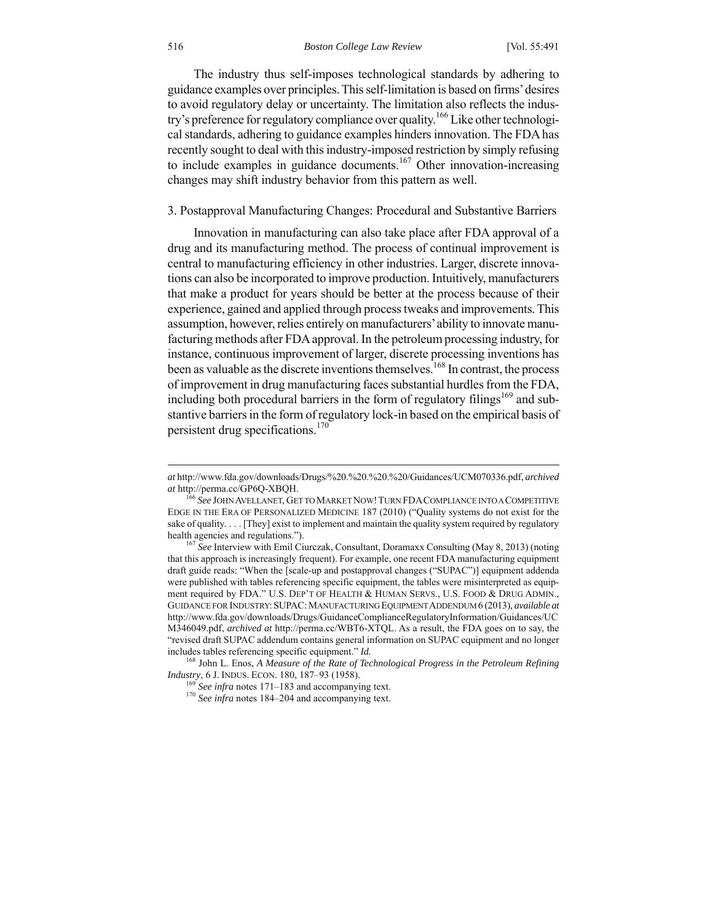The industry thus self-imposes technological standards by adhering to guidance examples over principles. This self-limitation is based on firms' desires to avoid regulatory delay or uncertainty. The limitation also reflects the industry's preference for regulatory compliance over quality.<sup>166</sup> Like other technological standards, adhering to guidance examples hinders innovation. The FDA has recently sought to deal with this industry-imposed restriction by simply refusing to include examples in guidance documents.<sup>167</sup> Other innovation-increasing changes may shift industry behavior from this pattern as well.

#### 3. Postapproval Manufacturing Changes: Procedural and Substantive Barriers

Innovation in manufacturing can also take place after FDA approval of a drug and its manufacturing method. The process of continual improvement is central to manufacturing efficiency in other industries. Larger, discrete innovations can also be incorporated to improve production. Intuitively, manufacturers that make a product for years should be better at the process because of their experience, gained and applied through process tweaks and improvements. This assumption, however, relies entirely on manufacturers' ability to innovate manufacturing methods after FDA approval. In the petroleum processing industry, for instance, continuous improvement of larger, discrete processing inventions has been as valuable as the discrete inventions themselves.<sup>168</sup> In contrast, the process of improvement in drug manufacturing faces substantial hurdles from the FDA, including both procedural barriers in the form of regulatory filings<sup>169</sup> and substantive barriers in the form of regulatory lock-in based on the empirical basis of persistent drug specifications.<sup>170</sup>

includes tables referencing specific equipment." *Id.* 168 John L. Enos, *A Measure of the Rate of Technological Progress in the Petroleum Refining Industry*, 6 J. INDUS. ECON. 180, 187–93 (1958). <sup>169</sup> *See infra* notes 171–183 and accompanying text. <sup>170</sup> *See infra* notes 184–204 and accompanying text.

-

*at* http://www.fda.gov/downloads/Drugs/%20.%20.%20.%20/Guidances/UCM070336.pdf, *archived at* http://perma.cc/GP6Q-XBQH. 166 *See* JOHN AVELLANET, GET TO MARKET NOW!TURN FDACOMPLIANCE INTO A COMPETITIVE

EDGE IN THE ERA OF PERSONALIZED MEDICINE 187 (2010) ("Quality systems do not exist for the sake of quality. . . . [They] exist to implement and maintain the quality system required by regulatory health agencies and regulations."). 167 *See* Interview with Emil Ciurczak, Consultant, Doramaxx Consulting (May 8, 2013) (noting

that this approach is increasingly frequent). For example, one recent FDA manufacturing equipment draft guide reads: "When the [scale-up and postapproval changes ("SUPAC")] equipment addenda were published with tables referencing specific equipment, the tables were misinterpreted as equipment required by FDA." U.S. DEP'T OF HEALTH & HUMAN SERVS., U.S. FOOD & DRUG ADMIN., GUIDANCE FOR INDUSTRY:SUPAC:MANUFACTURING EQUIPMENT ADDENDUM 6 (2013), *available at*  http://www.fda.gov/downloads/Drugs/GuidanceComplianceRegulatoryInformation/Guidances/UC M346049.pdf, *archived at* http://perma.cc/WBT6-XTQL. As a result, the FDA goes on to say, the "revised draft SUPAC addendum contains general information on SUPAC equipment and no longer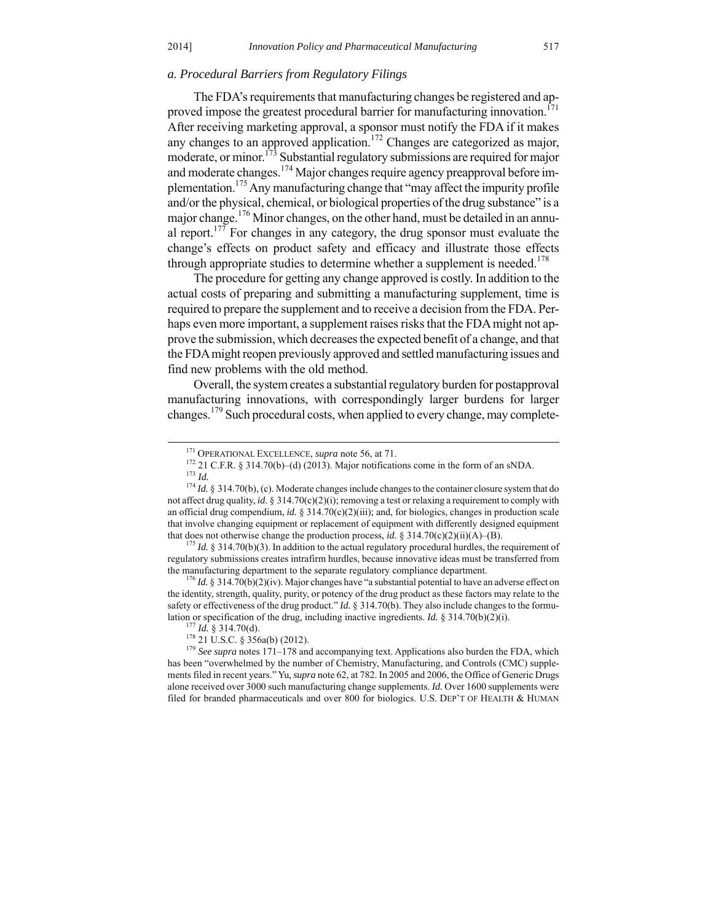#### *a. Procedural Barriers from Regulatory Filings*

The FDA's requirements that manufacturing changes be registered and approved impose the greatest procedural barrier for manufacturing innovation. After receiving marketing approval, a sponsor must notify the FDA if it makes any changes to an approved application.<sup>172</sup> Changes are categorized as major, moderate, or minor.<sup>173</sup> Substantial regulatory submissions are required for major and moderate changes.174 Major changes require agency preapproval before implementation.175 Any manufacturing change that "may affect the impurity profile and/or the physical, chemical, or biological properties of the drug substance" is a major change.<sup>176</sup> Minor changes, on the other hand, must be detailed in an annual report.<sup>177</sup> For changes in any category, the drug sponsor must evaluate the change's effects on product safety and efficacy and illustrate those effects through appropriate studies to determine whether a supplement is needed.<sup>178</sup>

The procedure for getting any change approved is costly. In addition to the actual costs of preparing and submitting a manufacturing supplement, time is required to prepare the supplement and to receive a decision from the FDA. Perhaps even more important, a supplement raises risks that the FDA might not approve the submission, which decreases the expected benefit of a change, and that the FDA might reopen previously approved and settled manufacturing issues and find new problems with the old method.

Overall, the system creates a substantial regulatory burden for postapproval manufacturing innovations, with correspondingly larger burdens for larger changes.179 Such procedural costs, when applied to every change, may complete-

<sup>&</sup>lt;sup>171</sup> OPERATIONAL EXCELLENCE, *supra* note 56, at 71.<br><sup>172</sup> 21 C.F.R. § 314.70(b)–(d) (2013). Major notifications come in the form of an sNDA.<br><sup>173</sup> *Id.*<br><sup>174</sup> *Id.* § 314.70(b), (c). Moderate changes include changes to not affect drug quality, *id.* § 314.70(c)(2)(i); removing a test or relaxing a requirement to comply with an official drug compendium, *id.* § 314.70(c)(2)(iii); and, for biologics, changes in production scale that involve changing equipment or replacement of equipment with differently designed equipment that does not otherwise change the production process, *id.* § 314.70(c)(2)(ii)(A)–(B). <sup>175</sup> *Id.* § 314.70(b)(3). In addition to the actual regulatory procedural hurdles, the requirement of

regulatory submissions creates intrafirm hurdles, because innovative ideas must be transferred from

the manufacturing department to the separate regulatory compliance department.<br><sup>176</sup> *Id.* § 314.70(b)(2)(iv). Major changes have "a substantial potential to have an adverse effect on the identity, strength, quality, purity, or potency of the drug product as these factors may relate to the safety or effectiveness of the drug product." *Id.* § 314.70(b). They also include changes to the formulation or specification of the drug, including inactive ingredients. *Id.* § 314.70(b)(2)(i).<br><sup>177</sup> *Id.* § 314.70(d).<br><sup>178</sup> 21 U.S.C. § 356a(b) (2012).<br><sup>179</sup> *See supra* notes 171–178 and accompanying text. Applications

has been "overwhelmed by the number of Chemistry, Manufacturing, and Controls (CMC) supplements filed in recent years." Yu, *supra* note 62, at 782. In 2005 and 2006, the Office of Generic Drugs alone received over 3000 such manufacturing change supplements. *Id.* Over 1600 supplements were filed for branded pharmaceuticals and over 800 for biologics. U.S. DEP'T OF HEALTH & HUMAN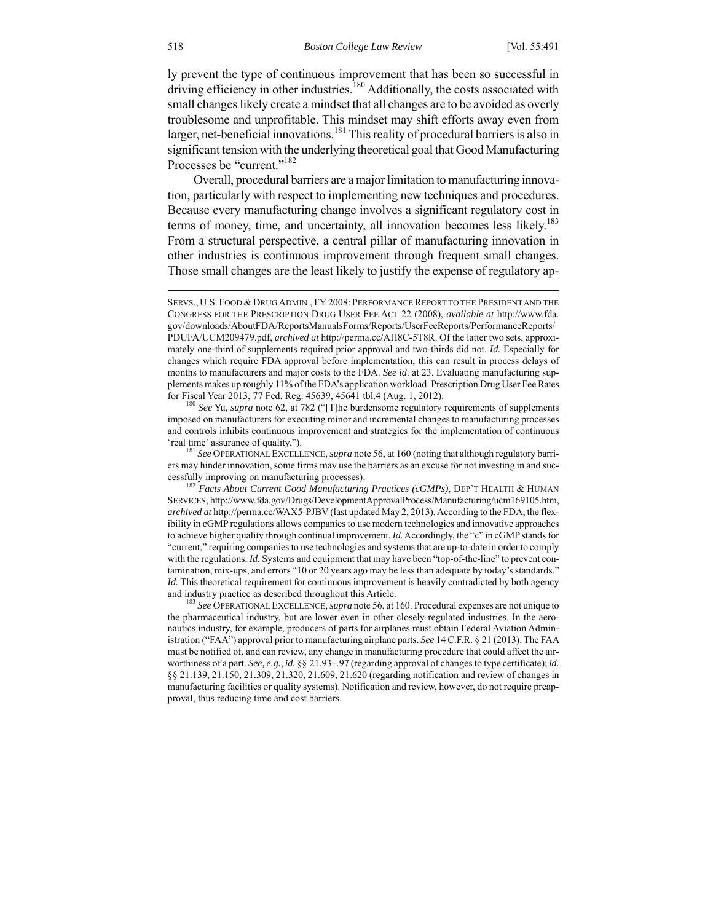ly prevent the type of continuous improvement that has been so successful in driving efficiency in other industries.<sup>180</sup> Additionally, the costs associated with small changes likely create a mindset that all changes are to be avoided as overly troublesome and unprofitable. This mindset may shift efforts away even from larger, net-beneficial innovations.<sup>181</sup> This reality of procedural barriers is also in significant tension with the underlying theoretical goal that Good Manufacturing Processes be "current."<sup>182</sup>

Overall, procedural barriers are a major limitation to manufacturing innovation, particularly with respect to implementing new techniques and procedures. Because every manufacturing change involves a significant regulatory cost in terms of money, time, and uncertainty, all innovation becomes less likely.<sup>183</sup> From a structural perspective, a central pillar of manufacturing innovation in other industries is continuous improvement through frequent small changes. Those small changes are the least likely to justify the expense of regulatory ap-

for Fiscal Year 2013, 77 Fed. Reg. 45639, 45641 tbl.4 (Aug. 1, 2012). 180 *See* Yu, *supra* note 62, at 782 ("[T]he burdensome regulatory requirements of supplements imposed on manufacturers for executing minor and incremental changes to manufacturing processes and controls inhibits continuous improvement and strategies for the implementation of continuous

'real time' assurance of quality."). 181 *See* OPERATIONAL EXCELLENCE, *supra* note 56, at 160 (noting that although regulatory barriers may hinder innovation, some firms may use the barriers as an excuse for not investing in and suc-

cessfully improving on manufacturing processes). 182 *Facts About Current Good Manufacturing Practices (cGMPs)*, DEP'T HEALTH & HUMAN SERVICES, http://www.fda.gov/Drugs/DevelopmentApprovalProcess/Manufacturing/ucm169105.htm, *archived at* http://perma.cc/WAX5-PJBV (last updated May 2, 2013). According to the FDA, the flexibility in cGMP regulations allows companies to use modern technologies and innovative approaches to achieve higher quality through continual improvement. *Id.* Accordingly, the "c" in cGMP stands for "current," requiring companies to use technologies and systems that are up-to-date in order to comply with the regulations. *Id.* Systems and equipment that may have been "top-of-the-line" to prevent contamination, mix-ups, and errors "10 or 20 years ago may be less than adequate by today's standards." *Id.* This theoretical requirement for continuous improvement is heavily contradicted by both agency and industry practice as described throughout this Article. 183 *See* OPERATIONAL EXCELLENCE, *supra* note 56, at 160. Procedural expenses are not unique to

the pharmaceutical industry, but are lower even in other closely-regulated industries. In the aeronautics industry, for example, producers of parts for airplanes must obtain Federal Aviation Administration ("FAA") approval prior to manufacturing airplane parts. *See* 14 C.F.R. § 21 (2013). The FAA must be notified of, and can review, any change in manufacturing procedure that could affect the airworthiness of a part. *See, e.g.*, *id.* §§ 21.93–.97 (regarding approval of changes to type certificate); *id.* §§ 21.139, 21.150, 21.309, 21.320, 21.609, 21.620 (regarding notification and review of changes in manufacturing facilities or quality systems). Notification and review, however, do not require preapproval, thus reducing time and cost barriers.

 $\overline{a}$ 

SERVS., U.S. FOOD & DRUG ADMIN., FY2008: PERFORMANCE REPORT TO THE PRESIDENT AND THE CONGRESS FOR THE PRESCRIPTION DRUG USER FEE ACT 22 (2008), *available at* http://www.fda. gov/downloads/AboutFDA/ReportsManualsForms/Reports/UserFeeReports/PerformanceReports/ PDUFA/UCM209479.pdf, *archived at* http://perma.cc/AH8C-5T8R. Of the latter two sets, approximately one-third of supplements required prior approval and two-thirds did not. *Id.* Especially for changes which require FDA approval before implementation, this can result in process delays of months to manufacturers and major costs to the FDA. *See id*. at 23. Evaluating manufacturing supplements makes up roughly 11% of the FDA's application workload. Prescription Drug User Fee Rates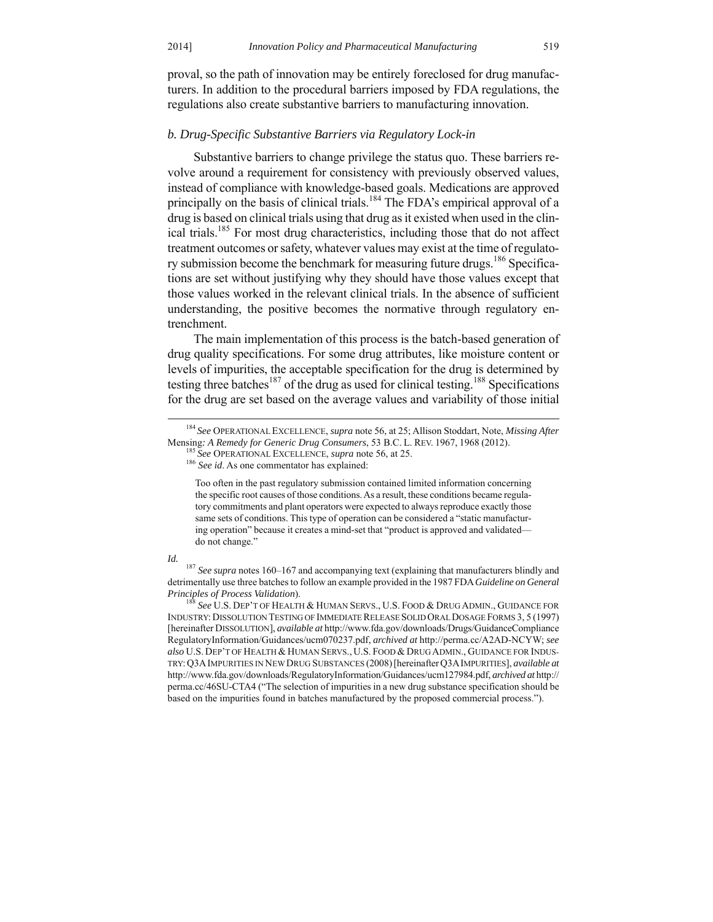proval, so the path of innovation may be entirely foreclosed for drug manufacturers. In addition to the procedural barriers imposed by FDA regulations, the regulations also create substantive barriers to manufacturing innovation.

#### *b. Drug-Specific Substantive Barriers via Regulatory Lock-in*

Substantive barriers to change privilege the status quo. These barriers revolve around a requirement for consistency with previously observed values, instead of compliance with knowledge-based goals. Medications are approved principally on the basis of clinical trials.<sup>184</sup> The FDA's empirical approval of a drug is based on clinical trials using that drug as it existed when used in the clinical trials.<sup>185</sup> For most drug characteristics, including those that do not affect treatment outcomes or safety, whatever values may exist at the time of regulatory submission become the benchmark for measuring future drugs.<sup>186</sup> Specifications are set without justifying why they should have those values except that those values worked in the relevant clinical trials. In the absence of sufficient understanding, the positive becomes the normative through regulatory entrenchment.

The main implementation of this process is the batch-based generation of drug quality specifications. For some drug attributes, like moisture content or levels of impurities, the acceptable specification for the drug is determined by testing three batches<sup>187</sup> of the drug as used for clinical testing.<sup>188</sup> Specifications for the drug are set based on the average values and variability of those initial

Too often in the past regulatory submission contained limited information concerning the specific root causes of those conditions. As a result, these conditions became regulatory commitments and plant operators were expected to always reproduce exactly those same sets of conditions. This type of operation can be considered a "static manufacturing operation" because it creates a mind-set that "product is approved and validated do not change."

 <sup>184</sup> *See* OPERATIONAL EXCELLENCE, *supra* note 56, at 25; Allison Stoddart, Note, *Missing After*  Mensing*: A Remedy for Generic Drug Consumers*, 53 B.C. L. REV. 1967, 1968 (2012).<br><sup>185</sup> *See* OPERATIONAL EXCELLENCE, *supra* note 56, at 25. <sup>186</sup> *See id*. As one commentator has explained:

*Id.* <sup>187</sup> *See supra* notes 160–167 and accompanying text (explaining that manufacturers blindly and detrimentally use three batches to follow an example provided in the 1987 FDA *Guideline on General Principles of Process Validation*). 188 *See* U.S. DEP'T OF HEALTH & HUMAN SERVS., U.S. FOOD & DRUG ADMIN., GUIDANCE FOR

INDUSTRY: DISSOLUTION TESTING OF IMMEDIATE RELEASE SOLID ORAL DOSAGE FORMS 3, 5 (1997) [hereinafter DISSOLUTION], *available at* http://www.fda.gov/downloads/Drugs/GuidanceCompliance RegulatoryInformation/Guidances/ucm070237.pdf, *archived at* http://perma.cc/A2AD-NCYW; *see also* U.S. DEP'T OF HEALTH & HUMAN SERVS., U.S. FOOD & DRUG ADMIN., GUIDANCE FOR INDUS-TRY: Q3AIMPURITIES IN NEW DRUG SUBSTANCES (2008)[hereinafterQ3AIMPURITIES], *available at*  http://www.fda.gov/downloads/RegulatoryInformation/Guidances/ucm127984.pdf, *archived at* http:// perma.cc/46SU-CTA4 ("The selection of impurities in a new drug substance specification should be based on the impurities found in batches manufactured by the proposed commercial process.").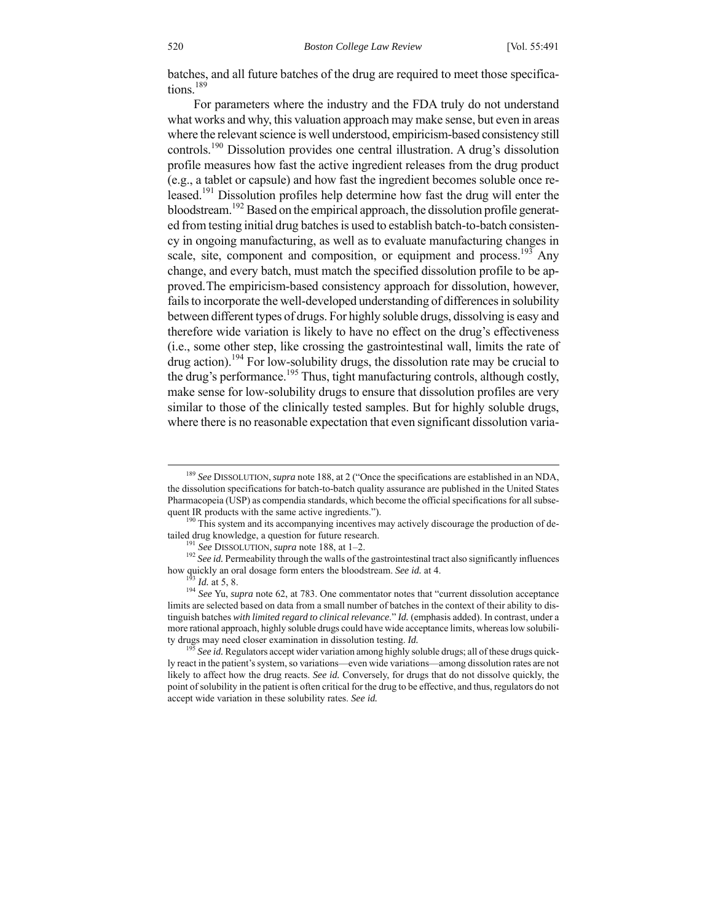batches, and all future batches of the drug are required to meet those specifications.<sup>189</sup>

For parameters where the industry and the FDA truly do not understand what works and why, this valuation approach may make sense, but even in areas where the relevant science is well understood, empiricism-based consistency still controls.190 Dissolution provides one central illustration. A drug's dissolution profile measures how fast the active ingredient releases from the drug product (e.g., a tablet or capsule) and how fast the ingredient becomes soluble once released.191 Dissolution profiles help determine how fast the drug will enter the bloodstream.<sup>192</sup> Based on the empirical approach, the dissolution profile generated from testing initial drug batches is used to establish batch-to-batch consistency in ongoing manufacturing, as well as to evaluate manufacturing changes in scale, site, component and composition, or equipment and process.<sup>193</sup> Any change, and every batch, must match the specified dissolution profile to be approved. The empiricism-based consistency approach for dissolution, however, fails to incorporate the well-developed understanding of differences in solubility between different types of drugs. For highly soluble drugs, dissolving is easy and therefore wide variation is likely to have no effect on the drug's effectiveness (i.e., some other step, like crossing the gastrointestinal wall, limits the rate of drug action).<sup>194</sup> For low-solubility drugs, the dissolution rate may be crucial to the drug's performance.<sup>195</sup> Thus, tight manufacturing controls, although costly, make sense for low-solubility drugs to ensure that dissolution profiles are very similar to those of the clinically tested samples. But for highly soluble drugs, where there is no reasonable expectation that even significant dissolution varia-

 <sup>189</sup> *See* DISSOLUTION,*supra* note 188, at 2 ("Once the specifications are established in an NDA, the dissolution specifications for batch-to-batch quality assurance are published in the United States Pharmacopeia (USP) as compendia standards, which become the official specifications for all subse-

quent IR products with the same active ingredients.").<br><sup>190</sup> This system and its accompanying incentives may actively discourage the production of de-<br>tailed drug knowledge, a question for future research.

<sup>&</sup>lt;sup>191</sup> *See* DISSOLUTION, *supra* note 188, at 1–2. <sup>192</sup> *See id.* Permeability through the walls of the gastrointestinal tract also significantly influences how quickly an oral dosage form enters the bloodstream. *See id* 

<sup>&</sup>lt;sup>193</sup> Id. at 5, 8. *ig. Id.* at 5, 8. *ig.* at 783. One commentator notes that "current dissolution acceptance" are Yu, *supra* note 62, at 783. One commentator notes that "current dissolution acceptance" limits are selected based on data from a small number of batches in the context of their ability to distinguish batches *with limited regard to clinical relevance*." *Id.* (emphasis added). In contrast, under a more rational approach, highly soluble drugs could have wide acceptance limits, whereas low solubility drugs may need closer examination in dissolution testing. *Id.* <sup>195</sup> *See id.* Regulators accept wider variation among highly soluble drugs; all of these drugs quick-

ly react in the patient's system, so variations—even wide variations—among dissolution rates are not likely to affect how the drug reacts. *See id.* Conversely, for drugs that do not dissolve quickly, the point of solubility in the patient is often critical for the drug to be effective, and thus, regulators do not accept wide variation in these solubility rates. *See id.*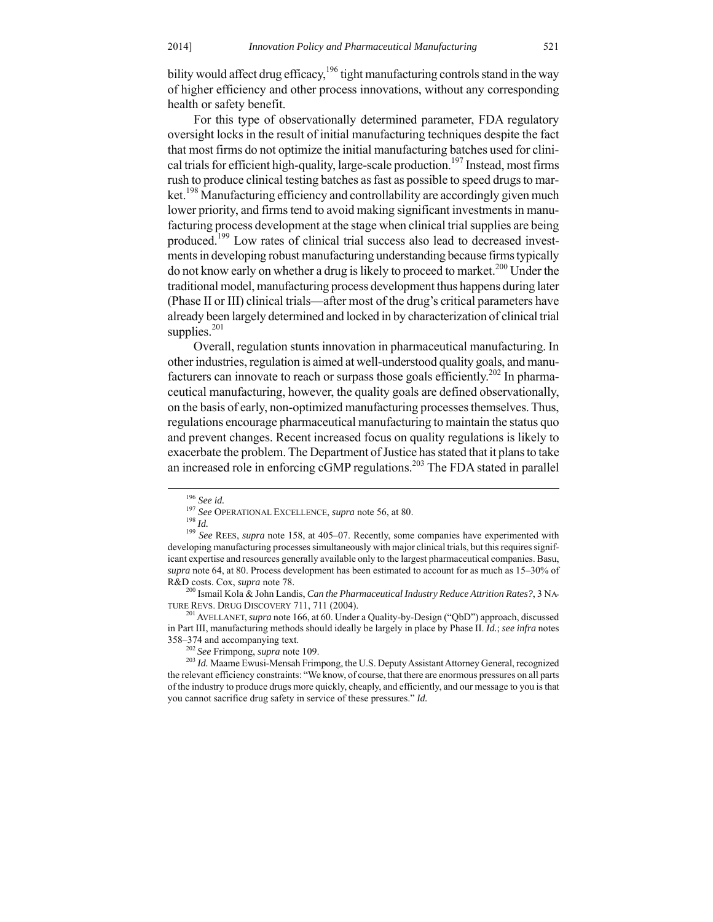bility would affect drug efficacy,<sup>196</sup> tight manufacturing controls stand in the way of higher efficiency and other process innovations, without any corresponding health or safety benefit.

For this type of observationally determined parameter, FDA regulatory oversight locks in the result of initial manufacturing techniques despite the fact that most firms do not optimize the initial manufacturing batches used for clinical trials for efficient high-quality, large-scale production.<sup>197</sup> Instead, most firms rush to produce clinical testing batches as fast as possible to speed drugs to market.<sup>198</sup> Manufacturing efficiency and controllability are accordingly given much lower priority, and firms tend to avoid making significant investments in manufacturing process development at the stage when clinical trial supplies are being produced.199 Low rates of clinical trial success also lead to decreased investments in developing robust manufacturing understanding because firms typically do not know early on whether a drug is likely to proceed to market.<sup>200</sup> Under the traditional model, manufacturing process development thus happens during later (Phase II or III) clinical trials—after most of the drug's critical parameters have already been largely determined and locked in by characterization of clinical trial supplies. $201$ 

Overall, regulation stunts innovation in pharmaceutical manufacturing. In other industries, regulation is aimed at well-understood quality goals, and manufacturers can innovate to reach or surpass those goals efficiently.<sup>202</sup> In pharmaceutical manufacturing, however, the quality goals are defined observationally, on the basis of early, non-optimized manufacturing processes themselves. Thus, regulations encourage pharmaceutical manufacturing to maintain the status quo and prevent changes. Recent increased focus on quality regulations is likely to exacerbate the problem. The Department of Justice has stated that it plans to take an increased role in enforcing cGMP regulations.<sup>203</sup> The FDA stated in parallel

<sup>&</sup>lt;sup>196</sup> *See id.* 197 *See* OPERATIONAL EXCELLENCE, *supra* note 56, at 80. 198 *Id.* 199 *Id.* 199 *See* REES, *supra* note 158, at 405–07. Recently, some companies have experimented with 199 *See* REES, *supra* note 158, a developing manufacturing processes simultaneously with major clinical trials, but this requires significant expertise and resources generally available only to the largest pharmaceutical companies. Basu, *supra* note 64, at 80. Process development has been estimated to account for as much as 15–30% of R&D costs. Cox, *supra* note 78. 200 Ismail Kola & John Landis, *Can the Pharmaceutical Industry Reduce Attrition Rates?*, 3 NA-

TURE REVS. DRUG DISCOVERY 711, 711 (2004).<br><sup>201</sup>AVELLANET, *supra* note 166, at 60. Under a Quality-by-Design ("QbD") approach, discussed

in Part III, manufacturing methods should ideally be largely in place by Phase II. *Id.*; *see infra* notes 358–374 and accompanying text. 202 *See* Frimpong, *supra* note 109. 203 *Id.* Maame Ewusi-Mensah Frimpong, the U.S. Deputy Assistant Attorney General, recognized

the relevant efficiency constraints: "We know, of course, that there are enormous pressures on all parts of the industry to produce drugs more quickly, cheaply, and efficiently, and our message to you is that you cannot sacrifice drug safety in service of these pressures." *Id.*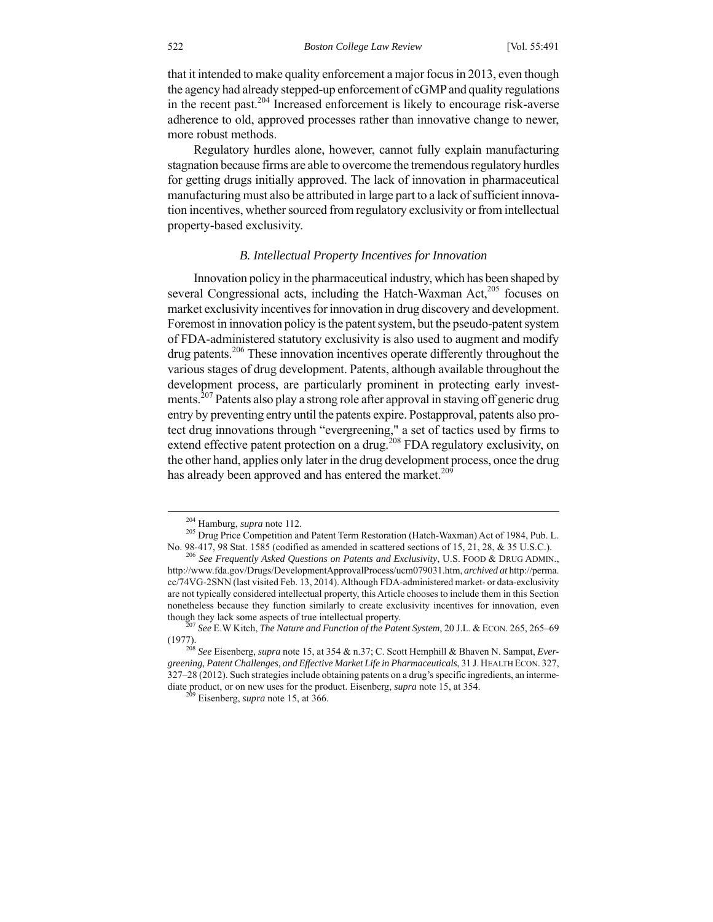that it intended to make quality enforcement a major focus in 2013, even though the agency had already stepped-up enforcement of cGMP and quality regulations in the recent past. $204$  Increased enforcement is likely to encourage risk-averse adherence to old, approved processes rather than innovative change to newer, more robust methods.

Regulatory hurdles alone, however, cannot fully explain manufacturing stagnation because firms are able to overcome the tremendous regulatory hurdles for getting drugs initially approved. The lack of innovation in pharmaceutical manufacturing must also be attributed in large part to a lack of sufficient innovation incentives, whether sourced from regulatory exclusivity or from intellectual property-based exclusivity.

#### *B. Intellectual Property Incentives for Innovation*

Innovation policy in the pharmaceutical industry, which has been shaped by several Congressional acts, including the Hatch-Waxman Act, $^{205}$  focuses on market exclusivity incentives for innovation in drug discovery and development. Foremost in innovation policy is the patent system, but the pseudo-patent system of FDA-administered statutory exclusivity is also used to augment and modify drug patents.206 These innovation incentives operate differently throughout the various stages of drug development. Patents, although available throughout the development process, are particularly prominent in protecting early investments.<sup>207</sup> Patents also play a strong role after approval in staving off generic drug entry by preventing entry until the patents expire. Postapproval, patents also protect drug innovations through "evergreening," a set of tactics used by firms to extend effective patent protection on a drug.<sup>208</sup> FDA regulatory exclusivity, on the other hand, applies only later in the drug development process, once the drug has already been approved and has entered the market.<sup>209</sup>

<sup>&</sup>lt;sup>204</sup> Hamburg, *supra* note 112.<br><sup>205</sup> Drug Price Competition and Patent Term Restoration (Hatch-Waxman) Act of 1984, Pub. L. No. 98-417, 98 Stat. 1585 (codified as amended in scattered sections of 15, 21, 28, & 35 U.S.C.). 206 *See Frequently Asked Questions on Patents and Exclusivity*, U.S. FOOD & DRUG ADMIN.,

http://www.fda.gov/Drugs/DevelopmentApprovalProcess/ucm079031.htm, *archived at* http://perma. cc/74VG-2SNN (last visited Feb. 13, 2014). Although FDA-administered market- or data-exclusivity are not typically considered intellectual property, this Article chooses to include them in this Section nonetheless because they function similarly to create exclusivity incentives for innovation, even though they lack some aspects of true intellectual property. 207 *See* E.W Kitch, *The Nature and Function of the Patent System*, 20 J.L. & ECON. 265, 265–69

<sup>(1977). 208</sup> *See* Eisenberg, *supra* note 15, at 354 & n.37; C. Scott Hemphill & Bhaven N. Sampat, *Evergreening, Patent Challenges, and Effective Market Life in Pharmaceuticals*, 31 J.HEALTH ECON. 327, 327–28 (2012). Such strategies include obtaining patents on a drug's specific ingredients, an intermediate product, or on new uses for the product. Eisenberg, *supra* note 15, at 354. 209 Eisenberg, *supra* note 15, at 366.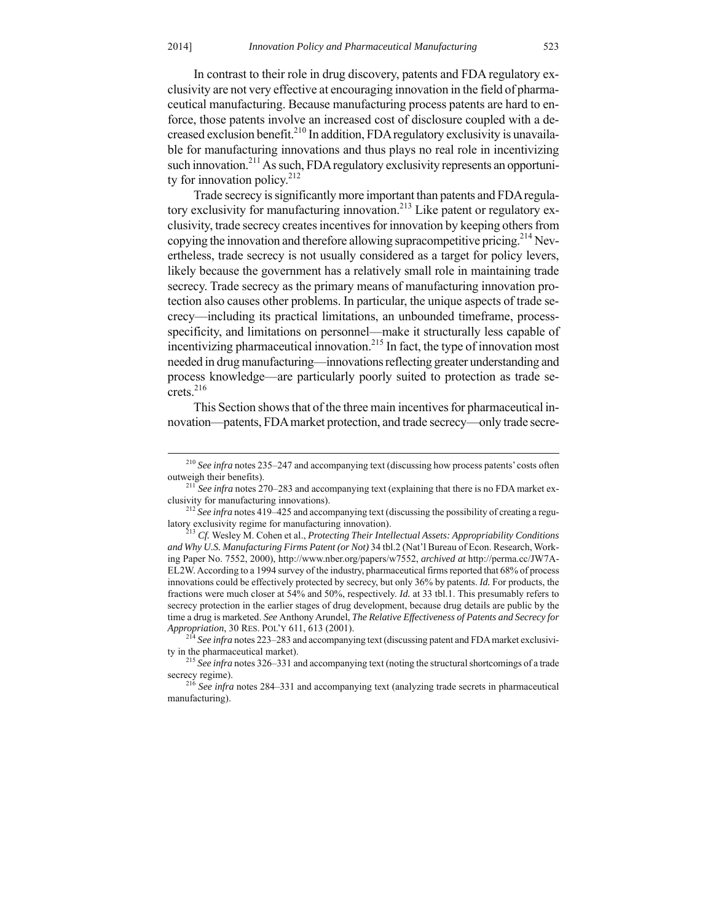In contrast to their role in drug discovery, patents and FDA regulatory ex-

clusivity are not very effective at encouraging innovation in the field of pharmaceutical manufacturing. Because manufacturing process patents are hard to enforce, those patents involve an increased cost of disclosure coupled with a decreased exclusion benefit.<sup>210</sup> In addition, FDA regulatory exclusivity is unavailable for manufacturing innovations and thus plays no real role in incentivizing such innovation.<sup>211</sup> As such, FDA regulatory exclusivity represents an opportunity for innovation policy. $2^{12}$ 

Trade secrecy is significantly more important than patents and FDA regulatory exclusivity for manufacturing innovation.<sup>213</sup> Like patent or regulatory exclusivity, trade secrecy creates incentives for innovation by keeping others from copying the innovation and therefore allowing supracompetitive pricing.<sup>214</sup> Nevertheless, trade secrecy is not usually considered as a target for policy levers, likely because the government has a relatively small role in maintaining trade secrecy. Trade secrecy as the primary means of manufacturing innovation protection also causes other problems. In particular, the unique aspects of trade secrecy—including its practical limitations, an unbounded timeframe, processspecificity, and limitations on personnel—make it structurally less capable of incentivizing pharmaceutical innovation.<sup>215</sup> In fact, the type of innovation most needed in drug manufacturing—innovations reflecting greater understanding and process knowledge—are particularly poorly suited to protection as trade secrets. $^{216}$ 

This Section shows that of the three main incentives for pharmaceutical innovation—patents, FDA market protection, and trade secrecy—only trade secre-

 <sup>210</sup> *See infra* notes 235–247 and accompanying text (discussing how process patents' costs often outweigh their benefits). 211 *See infra* notes 270–283 and accompanying text (explaining that there is no FDA market ex-

clusivity for manufacturing innovations). 212 *See infra* notes 419–425 and accompanying text (discussing the possibility of creating a regu-

latory exclusivity regime for manufacturing innovation). 213 *Cf.* Wesley M. Cohen et al., *Protecting Their Intellectual Assets: Appropriability Conditions* 

*and Why U.S. Manufacturing Firms Patent (or Not)* 34 tbl.2 (Nat'l Bureau of Econ. Research, Working Paper No. 7552, 2000), http://www.nber.org/papers/w7552, *archived at* http://perma.cc/JW7A-EL2W. According to a 1994 survey of the industry, pharmaceutical firms reported that 68% of process innovations could be effectively protected by secrecy, but only 36% by patents. *Id.* For products, the fractions were much closer at 54% and 50%, respectively. *Id.* at 33 tbl.1. This presumably refers to secrecy protection in the earlier stages of drug development, because drug details are public by the time a drug is marketed. *See* Anthony Arundel, *The Relative Effectiveness of Patents and Secrecy for Appropriation*, 30 RES. POL'Y 611, 613 (2001). 214 *See infra* notes 223–283 and accompanying text (discussing patent and FDA market exclusivi-

ty in the pharmaceutical market). 215 *See infra* notes 326–331 and accompanying text (noting the structural shortcomings of a trade secrecy regime).<br><sup>216</sup> *See infra* notes 284–331 and accompanying text (analyzing trade secrets in pharmaceutical

manufacturing).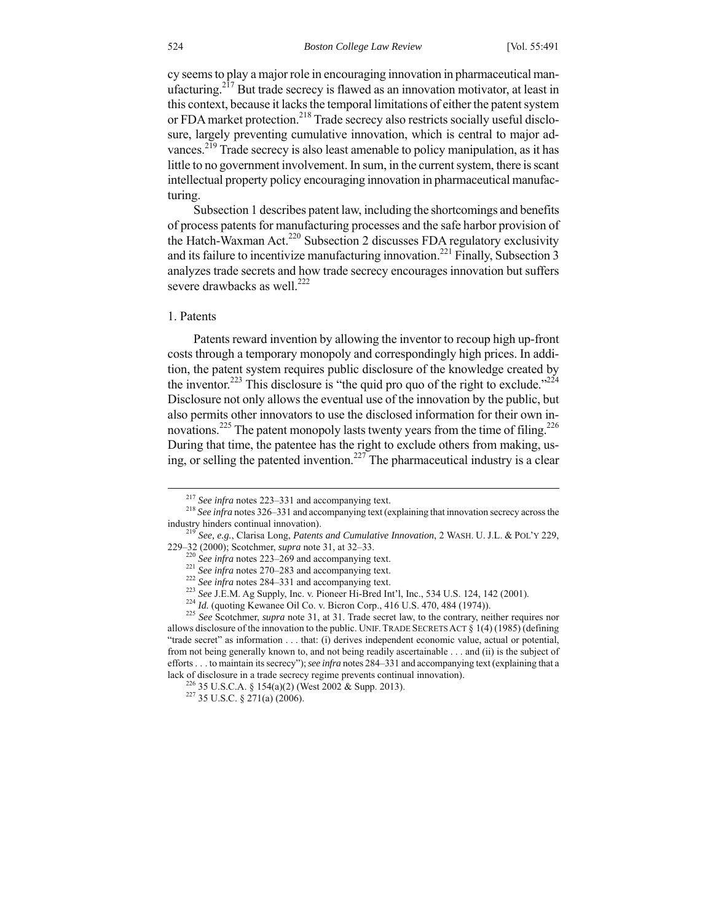cy seems to play a major role in encouraging innovation in pharmaceutical manufacturing.217 But trade secrecy is flawed as an innovation motivator, at least in this context, because it lacks the temporal limitations of either the patent system or FDA market protection.<sup>218</sup> Trade secrecy also restricts socially useful disclosure, largely preventing cumulative innovation, which is central to major advances.<sup>219</sup> Trade secrecy is also least amenable to policy manipulation, as it has little to no government involvement. In sum, in the current system, there is scant intellectual property policy encouraging innovation in pharmaceutical manufacturing.

Subsection 1 describes patent law, including the shortcomings and benefits of process patents for manufacturing processes and the safe harbor provision of the Hatch-Waxman Act.<sup>220</sup> Subsection 2 discusses FDA regulatory exclusivity and its failure to incentivize manufacturing innovation.<sup>221</sup> Finally, Subsection  $\overline{3}$ analyzes trade secrets and how trade secrecy encourages innovation but suffers severe drawbacks as well.<sup>222</sup>

#### 1. Patents

Patents reward invention by allowing the inventor to recoup high up-front costs through a temporary monopoly and correspondingly high prices. In addition, the patent system requires public disclosure of the knowledge created by the inventor.<sup>223</sup> This disclosure is "the quid pro quo of the right to exclude." $2^{24}$ Disclosure not only allows the eventual use of the innovation by the public, but also permits other innovators to use the disclosed information for their own innovations.<sup>225</sup> The patent monopoly lasts twenty years from the time of filing.<sup>226</sup> During that time, the patentee has the right to exclude others from making, using, or selling the patented invention.<sup>227</sup> The pharmaceutical industry is a clear

<sup>&</sup>lt;sup>217</sup> *See infra* notes 223–331 and accompanying text.<br><sup>218</sup> *See infra* notes 326–331 and accompanying text (explaining that innovation secrecy across the industry hinders continual innovation). 219 *See, e.g.*, Clarisa Long, *Patents and Cumulative Innovation*, 2 WASH. U. J.L. & POL'Y 229,

<sup>229–32 (2000);</sup> Scotchmer, *supra* note 31, at 32–33.<br><sup>220</sup> See infra notes 223–269 and accompanying text.<br><sup>221</sup> See infra notes 270–283 and accompanying text.<br><sup>222</sup> See infra notes 284–331 and accompanying text.<br><sup>223</sup> See

allows disclosure of the innovation to the public. UNIF.TRADE SECRETS ACT § 1(4) (1985) (defining "trade secret" as information . . . that: (i) derives independent economic value, actual or potential, from not being generally known to, and not being readily ascertainable . . . and (ii) is the subject of efforts . . . to maintain its secrecy"); *see infra* notes 284–331 and accompanying text (explaining that a lack of disclosure in a trade secrecy regime prevents continual innovation). <sup>226</sup> 35 U.S.C.A. § 154(a)(2) (West 2002 & Supp. 2013). <sup>227</sup> 35 U.S.C. § 271(a) (2006).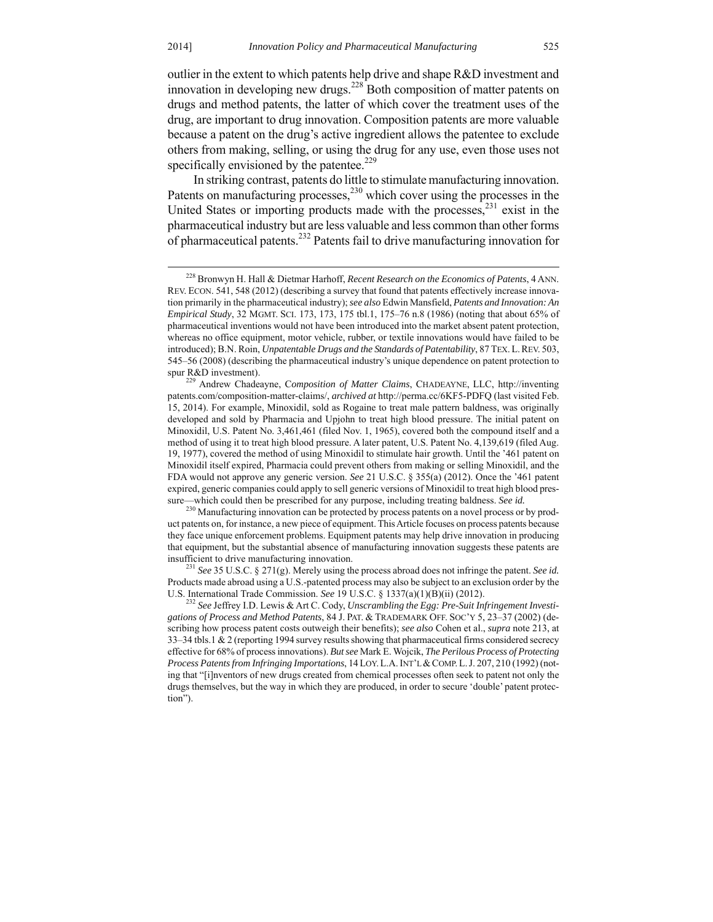outlier in the extent to which patents help drive and shape R&D investment and innovation in developing new drugs.<sup>228</sup> Both composition of matter patents on drugs and method patents, the latter of which cover the treatment uses of the drug, are important to drug innovation. Composition patents are more valuable because a patent on the drug's active ingredient allows the patentee to exclude others from making, selling, or using the drug for any use, even those uses not specifically envisioned by the patentee. $229$ 

In striking contrast, patents do little to stimulate manufacturing innovation. Patents on manufacturing processes, $^{230}$  which cover using the processes in the United States or importing products made with the processes, $231$  exist in the pharmaceutical industry but are less valuable and less common than other forms of pharmaceutical patents.232 Patents fail to drive manufacturing innovation for

229 Andrew Chadeayne, Composition of Matter Claims, CHADEAYNE, LLC, http://inventing patents.com/composition-matter-claims/, *archived at* http://perma.cc/6KF5-PDFQ (last visited Feb. 15, 2014). For example, Minoxidil, sold as Rogaine to treat male pattern baldness, was originally developed and sold by Pharmacia and Upjohn to treat high blood pressure. The initial patent on Minoxidil, U.S. Patent No. 3,461,461 (filed Nov. 1, 1965), covered both the compound itself and a method of using it to treat high blood pressure. A later patent, U.S. Patent No. 4,139,619 (filed Aug. 19, 1977), covered the method of using Minoxidil to stimulate hair growth. Until the '461 patent on Minoxidil itself expired, Pharmacia could prevent others from making or selling Minoxidil, and the FDA would not approve any generic version. *See* 21 U.S.C. § 355(a) (2012). Once the '461 patent expired, generic companies could apply to sell generic versions of Minoxidil to treat high blood pressure—which could then be prescribed for any purpose, including treating baldness. *See id.* <sup>230</sup> Manufacturing innovation can be protected by process patents on a novel process or by prod-

uct patents on, for instance, a new piece of equipment. This Article focuses on process patents because they face unique enforcement problems. Equipment patents may help drive innovation in producing that equipment, but the substantial absence of manufacturing innovation suggests these patents are

insufficient to drive manufacturing innovation. 231 *See* 35 U.S.C. § 271(g). Merely using the process abroad does not infringe the patent. *See id.* Products made abroad using a U.S.-patented process may also be subject to an exclusion order by the U.S. International Trade Commission. *See* 19 U.S.C. § 1337(a)(1)(B)(ii) (2012).<br><sup>232</sup> *See* Jeffrey I.D. Lewis & Art C. Cody, *Unscrambling the Egg: Pre-Suit Infringement Investi-*

*gations of Process and Method Patents*, 84 J. PAT. & TRADEMARK OFF. SOC'Y 5, 23–37 (2002) (describing how process patent costs outweigh their benefits); *see also* Cohen et al., *supra* note 213, at 33–34 tbls.1 & 2 (reporting 1994 survey results showing that pharmaceutical firms considered secrecy effective for 68% of process innovations). *But see* Mark E. Wojcik, *The Perilous Process of Protecting Process Patents from Infringing Importations*, 14LOY.L.A.INT'L &COMP.L.J. 207, 210 (1992) (noting that "[i]nventors of new drugs created from chemical processes often seek to patent not only the drugs themselves, but the way in which they are produced, in order to secure 'double' patent protection").

 <sup>228</sup> Bronwyn H. Hall & Dietmar Harhoff, *Recent Research on the Economics of Patents*, 4 ANN. REV. ECON. 541, 548 (2012) (describing a survey that found that patents effectively increase innovation primarily in the pharmaceutical industry); *see also* Edwin Mansfield, *Patents and Innovation: An Empirical Study*, 32 MGMT. SCI. 173, 173, 175 tbl.1, 175–76 n.8 (1986) (noting that about 65% of pharmaceutical inventions would not have been introduced into the market absent patent protection, whereas no office equipment, motor vehicle, rubber, or textile innovations would have failed to be introduced); B.N. Roin, *Unpatentable Drugs and the Standards of Patentability*, 87 TEX.L.REV. 503, 545–56 (2008) (describing the pharmaceutical industry's unique dependence on patent protection to spur R&D investment).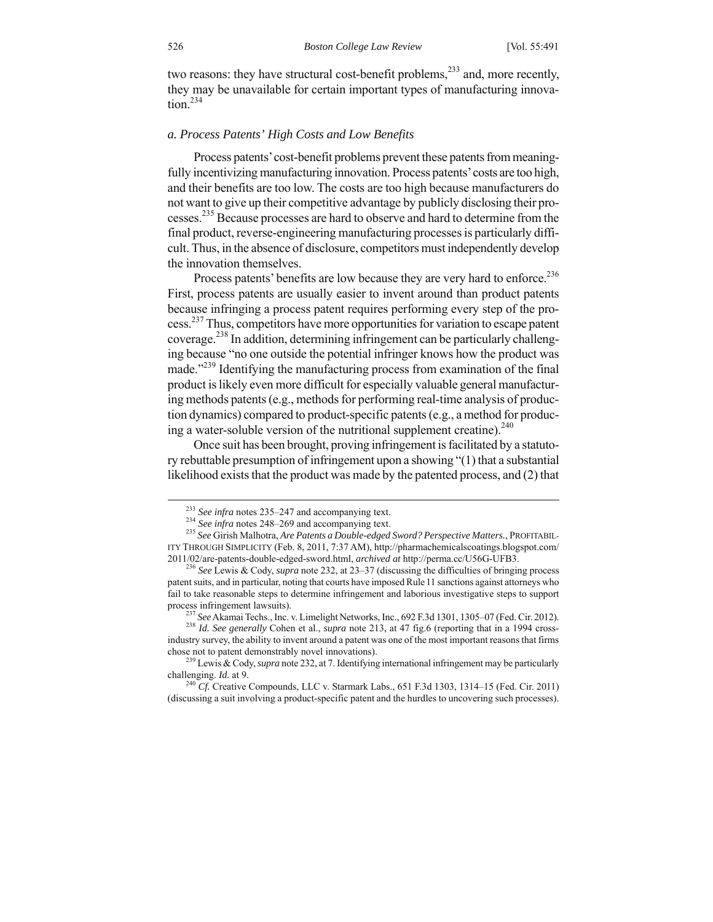two reasons: they have structural cost-benefit problems, $^{233}$  and, more recently, they may be unavailable for certain important types of manufacturing innovation. $234$ 

# *a. Process Patents' High Costs and Low Benefits*

Process patents' cost-benefit problems prevent these patents from meaningfully incentivizing manufacturing innovation. Process patents' costs are too high, and their benefits are too low. The costs are too high because manufacturers do not want to give up their competitive advantage by publicly disclosing their processes.235 Because processes are hard to observe and hard to determine from the final product, reverse-engineering manufacturing processes is particularly difficult. Thus, in the absence of disclosure, competitors must independently develop the innovation themselves.

Process patents' benefits are low because they are very hard to enforce.<sup>236</sup> First, process patents are usually easier to invent around than product patents because infringing a process patent requires performing every step of the process.237 Thus, competitors have more opportunities for variation to escape patent coverage.<sup>238</sup> In addition, determining infringement can be particularly challenging because "no one outside the potential infringer knows how the product was made."<sup>239</sup> Identifying the manufacturing process from examination of the final product is likely even more difficult for especially valuable general manufacturing methods patents (e.g., methods for performing real-time analysis of production dynamics) compared to product-specific patents (e.g., a method for producing a water-soluble version of the nutritional supplement creatine).  $240$ 

Once suit has been brought, proving infringement is facilitated by a statutory rebuttable presumption of infringement upon a showing "(1) that a substantial likelihood exists that the product was made by the patented process, and (2) that

<sup>&</sup>lt;sup>233</sup> See infra notes 235–247 and accompanying text.<br><sup>234</sup> See infra notes 248–269 and accompanying text.<br><sup>235</sup> See Girish Malhotra, *Are Patents a Double-edged Sword? Perspective Matters.*, PROFITABIL-ITY THROUGH SIMPLICITY (Feb. 8, 2011, 7:37 AM), http://pharmachemicalscoatings.blogspot.com/ 2011/02/are-patents-double-edged-sword.html, *archived at* http://perma.cc/U56G-UFB3. 236 *See* Lewis & Cody, *supra* note 232, at 23–37 (discussing the difficulties of bringing process

patent suits, and in particular, noting that courts have imposed Rule11 sanctions against attorneys who fail to take reasonable steps to determine infringement and laborious investigative steps to support

process infringement lawsuits).<br><sup>237</sup> See Akamai Techs., Inc. v. Limelight Networks, Inc., 692 F.3d 1301, 1305–07 (Fed. Cir. 2012).<br><sup>238</sup> Id. See generally Cohen et al., *supra* note 213, at 47 fig.6 (reporting that in a 1 industry survey, the ability to invent around a patent was one of the most important reasons that firms

chose not to patent demonstrably novel innovations). 239 Lewis & Cody, *supra* note 232, at 7. Identifying international infringement may be particularly challenging. *Id.* at 9. 240 *Cf.* Creative Compounds, LLC v. Starmark Labs., 651 F.3d 1303, 1314–15 (Fed. Cir. 2011)

<sup>(</sup>discussing a suit involving a product-specific patent and the hurdles to uncovering such processes).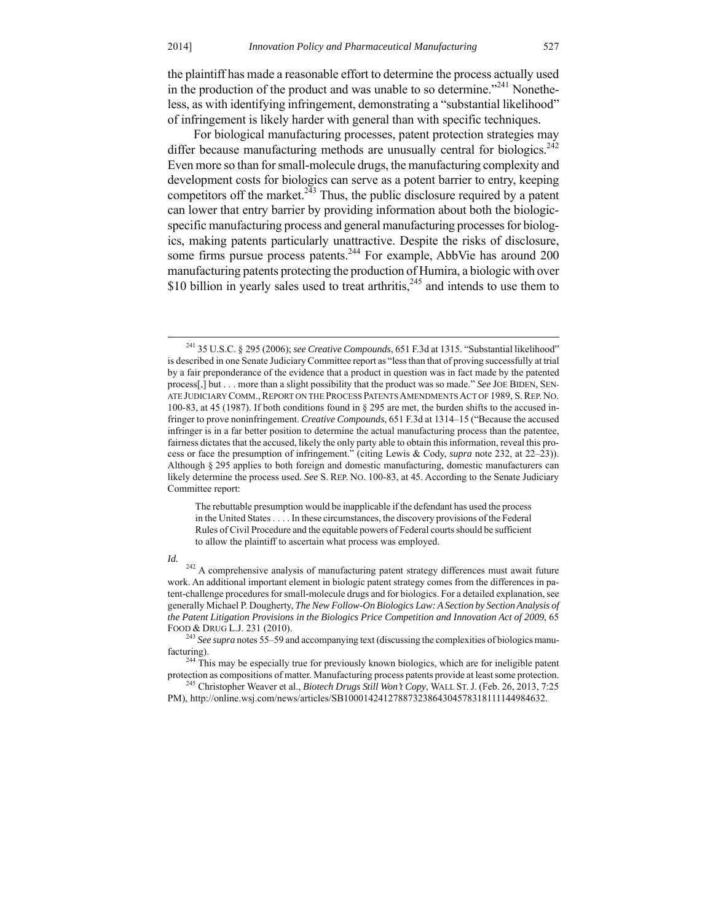the plaintiff has made a reasonable effort to determine the process actually used in the production of the product and was unable to so determine."<sup>241</sup> Nonetheless, as with identifying infringement, demonstrating a "substantial likelihood" of infringement is likely harder with general than with specific techniques.

For biological manufacturing processes, patent protection strategies may differ because manufacturing methods are unusually central for biologics.<sup>242</sup> Even more so than for small-molecule drugs, the manufacturing complexity and development costs for biologics can serve as a potent barrier to entry, keeping competitors off the market.<sup> $2\overline{4}3$ </sup> Thus, the public disclosure required by a patent can lower that entry barrier by providing information about both the biologicspecific manufacturing process and general manufacturing processes for biologics, making patents particularly unattractive. Despite the risks of disclosure, some firms pursue process patents.<sup>244</sup> For example, AbbVie has around 200 manufacturing patents protecting the production of Humira, a biologic with over \$10 billion in yearly sales used to treat arthritis, $245$  and intends to use them to

The rebuttable presumption would be inapplicable if the defendant has used the process in the United States . . . . In these circumstances, the discovery provisions of the Federal Rules of Civil Procedure and the equitable powers of Federal courts should be sufficient to allow the plaintiff to ascertain what process was employed.

 <sup>241 35</sup> U.S.C. § 295 (2006); *see Creative Compounds*, 651 F.3d at 1315. "Substantial likelihood" is described in one Senate Judiciary Committee report as "less than that of proving successfully at trial by a fair preponderance of the evidence that a product in question was in fact made by the patented process[,] but . . . more than a slight possibility that the product was so made." *See* JOE BIDEN, SEN-ATE JUDICIARY COMM.,REPORT ON THE PROCESS PATENTS AMENDMENTS ACT OF 1989, S.REP. NO. 100-83, at 45 (1987). If both conditions found in § 295 are met, the burden shifts to the accused infringer to prove noninfringement. *Creative Compounds*, 651 F.3d at 1314–15 ("Because the accused infringer is in a far better position to determine the actual manufacturing process than the patentee, fairness dictates that the accused, likely the only party able to obtain this information, reveal this process or face the presumption of infringement." (citing Lewis & Cody, *supra* note 232, at 22–23)). Although § 295 applies to both foreign and domestic manufacturing, domestic manufacturers can likely determine the process used. *See* S. REP. NO. 100-83, at 45. According to the Senate Judiciary Committee report:

*Id.* <sup>242</sup> A comprehensive analysis of manufacturing patent strategy differences must await future work. An additional important element in biologic patent strategy comes from the differences in patent-challenge procedures for small-molecule drugs and for biologics. For a detailed explanation, see generally Michael P. Dougherty, *The New Follow-On Biologics Law: A Section by Section Analysis of the Patent Litigation Provisions in the Biologics Price Competition and Innovation Act of 2009*, 65

FOOD & DRUG L.J. 231 (2010). 243 *See supra* notes 55–59 and accompanying text (discussing the complexities of biologics manu-

facturing). 244 This may be especially true for previously known biologics, which are for ineligible patent

protection as compositions of matter. Manufacturing process patents provide at least some protection. 245 Christopher Weaver et al., *Biotech Drugs Still Won't Copy*, WALL ST. J. (Feb. 26, 2013, 7:25 PM), http://online.wsj.com/news/articles/SB10001424127887323864304578318111144984632.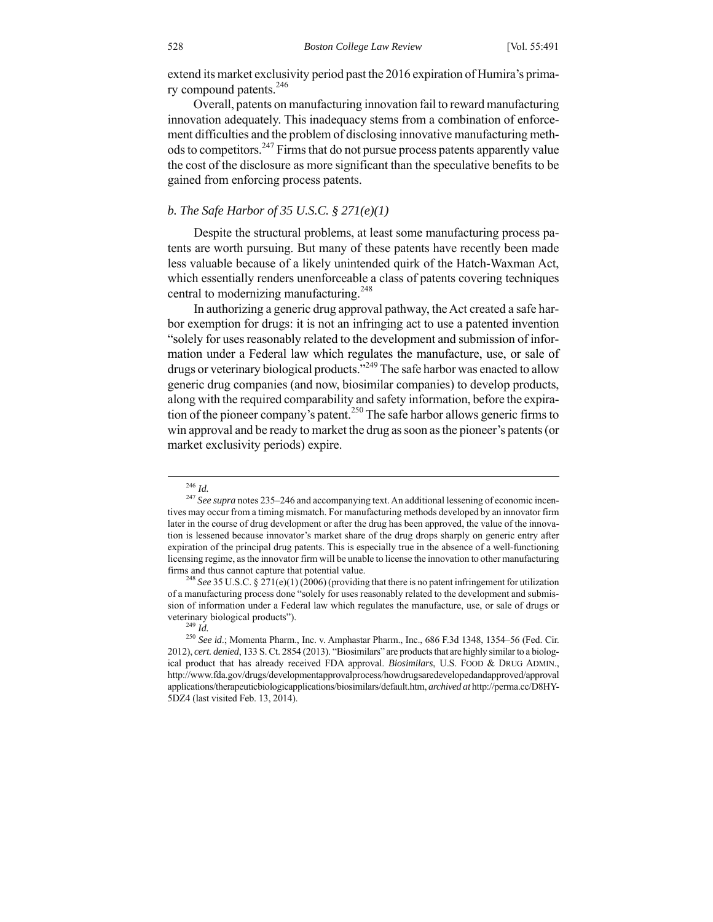extend its market exclusivity period past the 2016 expiration of Humira's primary compound patents.<sup>246</sup>

Overall, patents on manufacturing innovation fail to reward manufacturing innovation adequately. This inadequacy stems from a combination of enforcement difficulties and the problem of disclosing innovative manufacturing methods to competitors.<sup>247</sup> Firms that do not pursue process patents apparently value the cost of the disclosure as more significant than the speculative benefits to be gained from enforcing process patents.

# *b. The Safe Harbor of 35 U.S.C. § 271(e)(1)*

Despite the structural problems, at least some manufacturing process patents are worth pursuing. But many of these patents have recently been made less valuable because of a likely unintended quirk of the Hatch-Waxman Act, which essentially renders unenforceable a class of patents covering techniques central to modernizing manufacturing.<sup>248</sup>

In authorizing a generic drug approval pathway, the Act created a safe harbor exemption for drugs: it is not an infringing act to use a patented invention "solely for uses reasonably related to the development and submission of information under a Federal law which regulates the manufacture, use, or sale of drugs or veterinary biological products.<sup>7249</sup> The safe harbor was enacted to allow generic drug companies (and now, biosimilar companies) to develop products, along with the required comparability and safety information, before the expiration of the pioneer company's patent.<sup>250</sup> The safe harbor allows generic firms to win approval and be ready to market the drug as soon as the pioneer's patents (or market exclusivity periods) expire.

firms and thus cannot capture that potential value. 248 *See* 35 U.S.C. § 271(e)(1) (2006) (providing that there is no patent infringement for utilization of a manufacturing process done "solely for uses reasonably related to the development and submission of information under a Federal law which regulates the manufacture, use, or sale of drugs or veterinary biological products").<br><sup>249</sup> *Id. 250 See id.*; Momenta Pharm., Inc. v. Amphastar Pharm., Inc., 686 F.3d 1348, 1354–56 (Fed. Cir.

<sup>246</sup> *Id.* <sup>247</sup> *See supra* notes 235–246 and accompanying text. An additional lessening of economic incentives may occur from a timing mismatch. For manufacturing methods developed by an innovator firm later in the course of drug development or after the drug has been approved, the value of the innovation is lessened because innovator's market share of the drug drops sharply on generic entry after expiration of the principal drug patents. This is especially true in the absence of a well-functioning licensing regime, as the innovator firm will be unable to license the innovation to other manufacturing

<sup>2012),</sup> *cert. denied*, 133 S. Ct. 2854 (2013). "Biosimilars" are products that are highly similar to a biological product that has already received FDA approval. *Biosimilars*, U.S. FOOD & DRUG ADMIN., http://www.fda.gov/drugs/developmentapprovalprocess/howdrugsaredevelopedandapproved/approval applications/therapeuticbiologicapplications/biosimilars/default.htm, *archived at* http://perma.cc/D8HY-5DZ4 (last visited Feb. 13, 2014).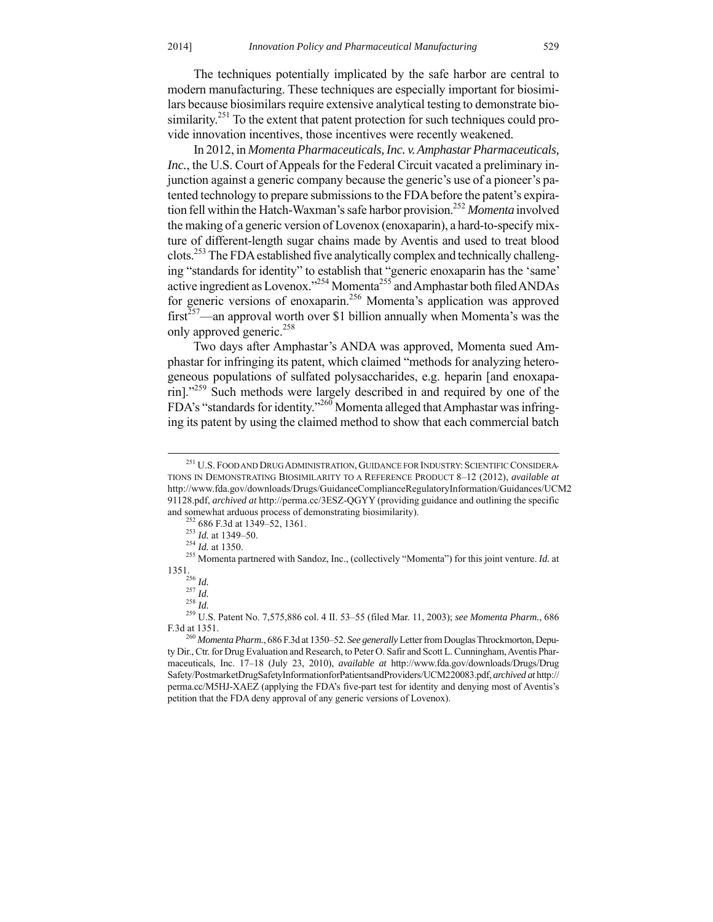The techniques potentially implicated by the safe harbor are central to modern manufacturing. These techniques are especially important for biosimilars because biosimilars require extensive analytical testing to demonstrate biosimilarity.<sup>251</sup> To the extent that patent protection for such techniques could provide innovation incentives, those incentives were recently weakened.

In 2012, in *Momenta Pharmaceuticals, Inc. v. Amphastar Pharmaceuticals, Inc.*, the U.S. Court of Appeals for the Federal Circuit vacated a preliminary injunction against a generic company because the generic's use of a pioneer's patented technology to prepare submissions to the FDA before the patent's expiration fell within the Hatch-Waxman's safe harbor provision.252 *Momenta* involved the making of a generic version of Lovenox (enoxaparin), a hard-to-specify mixture of different-length sugar chains made by Aventis and used to treat blood clots.253 The FDA established five analytically complex and technically challenging "standards for identity" to establish that "generic enoxaparin has the 'same' active ingredient as Lovenox."254 Momenta255 and Amphastar both filed ANDAs for generic versions of enoxaparin.256 Momenta's application was approved first<sup>257</sup>—an approval worth over \$1 billion annually when Momenta's was the only approved generic.<sup>258</sup>

Two days after Amphastar's ANDA was approved, Momenta sued Amphastar for infringing its patent, which claimed "methods for analyzing heterogeneous populations of sulfated polysaccharides, e.g. heparin [and enoxaparin]."259 Such methods were largely described in and required by one of the FDA's "standards for identity."<sup>260</sup> Momenta alleged that Amphastar was infringing its patent by using the claimed method to show that each commercial batch

and somewhat arduous process of demonstrating biosimilarity).<br>
<sup>252</sup> 686 F.3d at 1349–52, 1361.<br>
<sup>253</sup> *Id.* at 1349–50.<br>
<sup>254</sup> *Id.* at 1350.<br>
<sup>255</sup> Momenta partnered with Sandoz, Inc., (collectively "Momenta") for this

<sup>&</sup>lt;sup>251</sup> U.S. FOOD AND DRUG ADMINISTRATION, GUIDANCE FOR INDUSTRY: SCIENTIFIC CONSIDERA-TIONS IN DEMONSTRATING BIOSIMILARITY TO A REFERENCE PRODUCT 8–12 (2012), *available at*  http://www.fda.gov/downloads/Drugs/GuidanceComplianceRegulatoryInformation/Guidances/UCM2 91128.pdf, *archived at* http://perma.cc/3ESZ-QGYY (providing guidance and outlining the specific

<sup>1351. 256</sup> *Id.* <sup>257</sup> *Id.* <sup>258</sup> *Id.* 259 U.S. Patent No. 7,575,886 col. 4 II. 53–55 (filed Mar. 11, 2003); *see Momenta Pharm.*, 686 F.3d at 1351. 260 *Momenta Pharm.*, 686 F.3d at 1350–52. *See generally* Letter from Douglas Throckmorton, Depu-

ty Dir., Ctr. for Drug Evaluation and Research, to Peter O. Safir and Scott L. Cunningham, Aventis Pharmaceuticals, Inc. 17–18 (July 23, 2010), *available at* http://www.fda.gov/downloads/Drugs/Drug Safety/PostmarketDrugSafetyInformationforPatientsandProviders/UCM220083.pdf, *archived at* http:// perma.cc/M5HJ-XAEZ (applying the FDA's five-part test for identity and denying most of Aventis's petition that the FDA deny approval of any generic versions of Lovenox).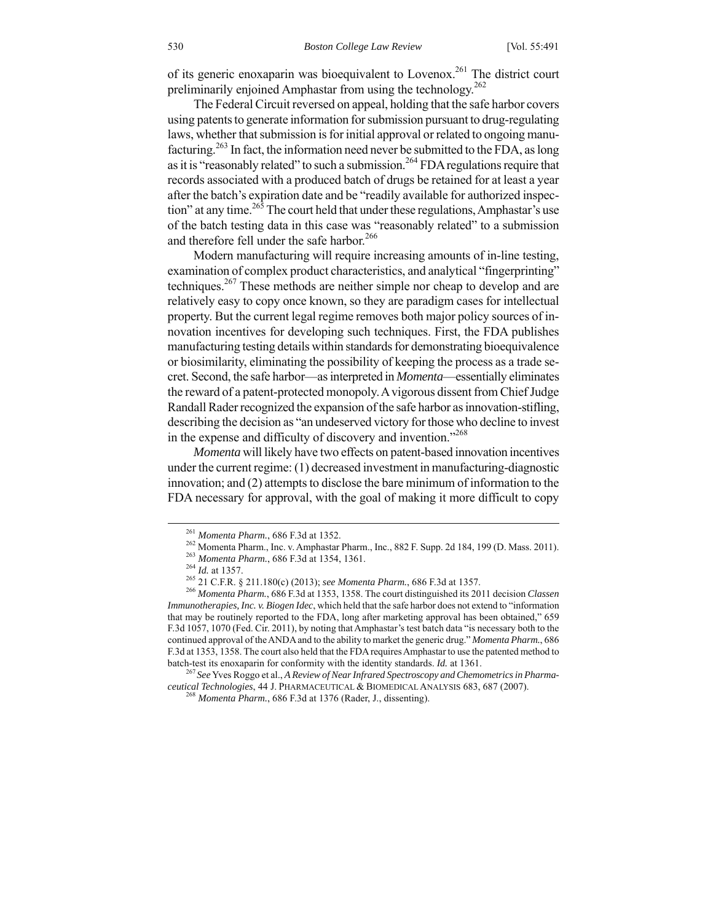of its generic enoxaparin was bioequivalent to Lovenox.261 The district court preliminarily enjoined Amphastar from using the technology.<sup>262</sup>

The Federal Circuit reversed on appeal, holding that the safe harbor covers using patents to generate information for submission pursuant to drug-regulating laws, whether that submission is for initial approval or related to ongoing manufacturing.<sup>263</sup> In fact, the information need never be submitted to the FDA, as long as it is "reasonably related" to such a submission.<sup>264</sup> FDA regulations require that records associated with a produced batch of drugs be retained for at least a year after the batch's expiration date and be "readily available for authorized inspection" at any time.<sup>265</sup> The court held that under these regulations, Amphastar's use of the batch testing data in this case was "reasonably related" to a submission and therefore fell under the safe harbor.<sup>266</sup>

Modern manufacturing will require increasing amounts of in-line testing, examination of complex product characteristics, and analytical "fingerprinting" techniques.<sup>267</sup> These methods are neither simple nor cheap to develop and are relatively easy to copy once known, so they are paradigm cases for intellectual property. But the current legal regime removes both major policy sources of innovation incentives for developing such techniques. First, the FDA publishes manufacturing testing details within standards for demonstrating bioequivalence or biosimilarity, eliminating the possibility of keeping the process as a trade secret. Second, the safe harbor—as interpreted in *Momenta*—essentially eliminates the reward of a patent-protected monopoly. A vigorous dissent from Chief Judge Randall Rader recognized the expansion of the safe harbor as innovation-stifling, describing the decision as "an undeserved victory for those who decline to invest in the expense and difficulty of discovery and invention."268

*Momenta* will likely have two effects on patent-based innovation incentives under the current regime: (1) decreased investment in manufacturing-diagnostic innovation; and (2) attempts to disclose the bare minimum of information to the FDA necessary for approval, with the goal of making it more difficult to copy

*ceutical Technologies*, 44 J. PHARMACEUTICAL & BIOMEDICAL ANALYSIS 683, 687 (2007). 268 *Momenta Pharm.*, 686 F.3d at 1376 (Rader, J., dissenting).

<sup>&</sup>lt;sup>261</sup> Momenta Pharm., 686 F.3d at 1352.<br><sup>262</sup> Momenta Pharm., Inc. v. Amphastar Pharm., Inc., 882 F. Supp. 2d 184, 199 (D. Mass. 2011).<br><sup>263</sup> Momenta Pharm., 686 F.3d at 1354, 1361.<br><sup>264</sup> Id. at 1357.<br><sup>265</sup> 21 C.F.R. § 21 *Immunotherapies, Inc. v. Biogen Idec*, which held that the safe harbor does not extend to "information that may be routinely reported to the FDA, long after marketing approval has been obtained," 659 F.3d 1057, 1070 (Fed. Cir. 2011), by noting that Amphastar's test batch data "is necessary both to the continued approval of the ANDA and to the ability to market the generic drug." *Momenta Pharm.*, 686 F.3d at 1353, 1358. The court also held that the FDA requires Amphastar to use the patented method to batch-test its enoxaparin for conformity with the identity standards. *Id.* at 1361. 267 *See* Yves Roggo et al., *A Review of Near Infrared Spectroscopy and Chemometrics in Pharma-*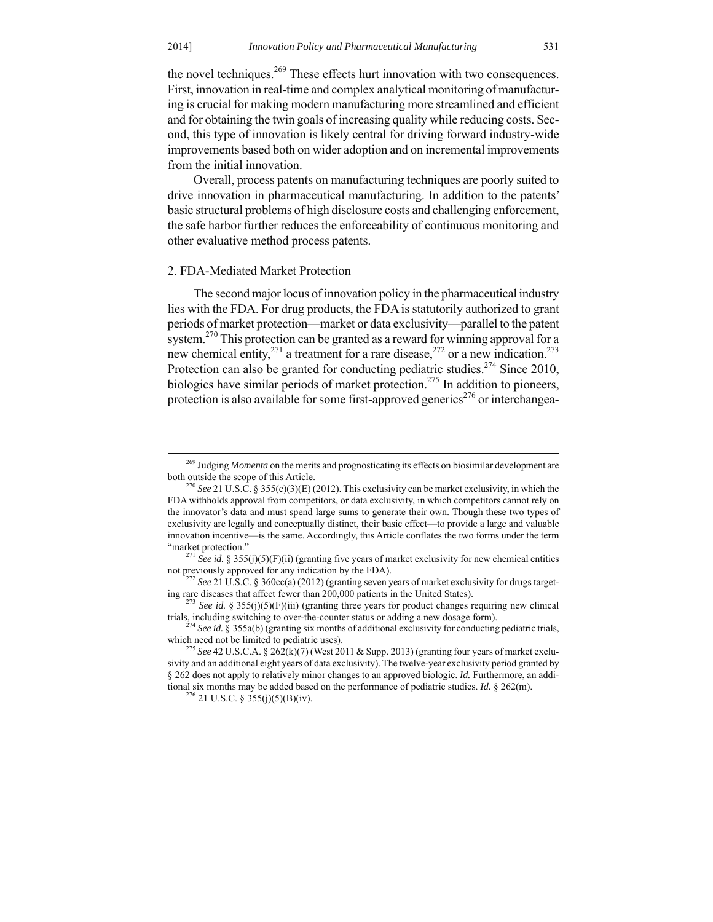the novel techniques.<sup>269</sup> These effects hurt innovation with two consequences. First, innovation in real-time and complex analytical monitoring of manufacturing is crucial for making modern manufacturing more streamlined and efficient and for obtaining the twin goals of increasing quality while reducing costs. Second, this type of innovation is likely central for driving forward industry-wide improvements based both on wider adoption and on incremental improvements from the initial innovation.

Overall, process patents on manufacturing techniques are poorly suited to drive innovation in pharmaceutical manufacturing. In addition to the patents' basic structural problems of high disclosure costs and challenging enforcement, the safe harbor further reduces the enforceability of continuous monitoring and other evaluative method process patents.

## 2. FDA-Mediated Market Protection

The second major locus of innovation policy in the pharmaceutical industry lies with the FDA. For drug products, the FDA is statutorily authorized to grant periods of market protection—market or data exclusivity—parallel to the patent system.<sup>270</sup> This protection can be granted as a reward for winning approval for a new chemical entity,<sup>271</sup> a treatment for a rare disease,<sup>272</sup> or a new indication.<sup>273</sup> Protection can also be granted for conducting pediatric studies.<sup>274</sup> Since 2010, biologics have similar periods of market protection.<sup>275</sup> In addition to pioneers, protection is also available for some first-approved generics<sup>276</sup> or interchangea-

<sup>&</sup>lt;sup>269</sup> Judging *Momenta* on the merits and prognosticating its effects on biosimilar development are both outside the scope of this Article.

 $b^{270}$  *See* 21 U.S.C. § 355(c)(3)(E) (2012). This exclusivity can be market exclusivity, in which the FDA withholds approval from competitors, or data exclusivity, in which competitors cannot rely on the innovator's data and must spend large sums to generate their own. Though these two types of exclusivity are legally and conceptually distinct, their basic effect—to provide a large and valuable innovation incentive—is the same. Accordingly, this Article conflates the two forms under the term

<sup>&</sup>quot;market protection." <sup>271</sup> *See id.* § 355(j)(5)(F)(ii) (granting five years of market exclusivity for new chemical entities not previously approved for any indication by the FDA).

<sup>&</sup>lt;sup>272</sup> *See* 21 U.S.C. § 360cc(a) (2012) (granting seven years of market exclusivity for drugs targeting rare diseases that affect fewer than 200,000 patients in the United States).

<sup>&</sup>lt;sup>273</sup> See id. § 355(j)(5)(F)(iii) (granting three years for product changes requiring new clinical trials, including switching to over-the-counter status or adding a new dosage form). 274 *See id.* § 355a(b) (granting six months of additional exclusivity for conducting pediatric trials,

which need not be limited to pediatric uses).<br><sup>275</sup> *See* 42 U.S.C.A. § 262(k)(7) (West 2011 & Supp. 2013) (granting four years of market exclu-

sivity and an additional eight years of data exclusivity). The twelve-year exclusivity period granted by § 262 does not apply to relatively minor changes to an approved biologic. *Id.* Furthermore, an additional six months may be added based on the performance of pediatric studies. *Id.* § 262(m). <sup>276</sup> 21 U.S.C. § 355(j)(5)(B)(iv).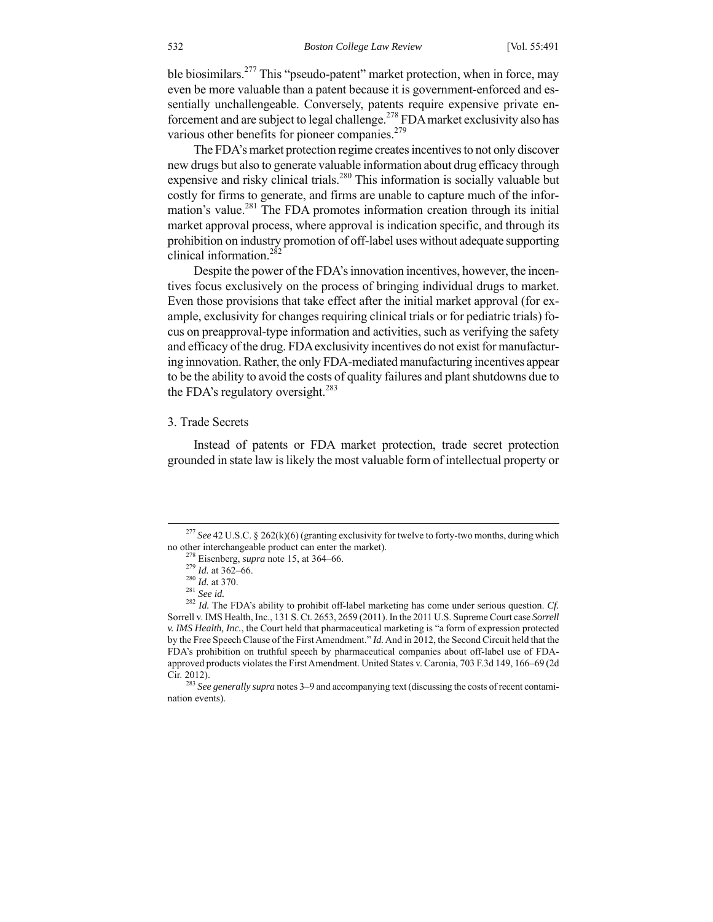ble biosimilars.<sup>277</sup> This "pseudo-patent" market protection, when in force, may even be more valuable than a patent because it is government-enforced and essentially unchallengeable. Conversely, patents require expensive private enforcement and are subject to legal challenge.278 FDA market exclusivity also has various other benefits for pioneer companies.<sup>279</sup>

The FDA's market protection regime creates incentives to not only discover new drugs but also to generate valuable information about drug efficacy through expensive and risky clinical trials.<sup>280</sup> This information is socially valuable but costly for firms to generate, and firms are unable to capture much of the information's value.<sup>281</sup> The FDA promotes information creation through its initial market approval process, where approval is indication specific, and through its prohibition on industry promotion of off-label uses without adequate supporting clinical information.282

Despite the power of the FDA's innovation incentives, however, the incentives focus exclusively on the process of bringing individual drugs to market. Even those provisions that take effect after the initial market approval (for example, exclusivity for changes requiring clinical trials or for pediatric trials) focus on preapproval-type information and activities, such as verifying the safety and efficacy of the drug. FDA exclusivity incentives do not exist for manufacturing innovation. Rather, the only FDA-mediated manufacturing incentives appear to be the ability to avoid the costs of quality failures and plant shutdowns due to the FDA's regulatory oversight. $283$ 

# 3. Trade Secrets

Instead of patents or FDA market protection, trade secret protection grounded in state law is likely the most valuable form of intellectual property or

<sup>&</sup>lt;sup>277</sup> See 42 U.S.C. § 262(k)(6) (granting exclusivity for twelve to forty-two months, during which no other interchangeable product can enter the market).<br>
<sup>278</sup> Eisenberg, *supra* note 15, at 364–66.<br>
<sup>279</sup> Id. at 362–66.<br>
<sup>280</sup> Id. at 370.<br>
<sup>281</sup> See id.<br>
<sup>282</sup> Id. The FDA's ability to prohibit off-label marketing ha

Sorrell v. IMS Health, Inc., 131 S. Ct. 2653, 2659 (2011). In the 2011 U.S. Supreme Court case *Sorrell v. IMS Health, Inc.*, the Court held that pharmaceutical marketing is "a form of expression protected by the Free Speech Clause of the First Amendment." *Id.* And in 2012, the Second Circuit held that the FDA's prohibition on truthful speech by pharmaceutical companies about off-label use of FDAapproved products violates the First Amendment. United States v. Caronia, 703 F.3d 149, 166–69 (2d

Cir. 2012). 283 *See generally supra* notes 3–9 and accompanying text (discussing the costs of recent contamination events).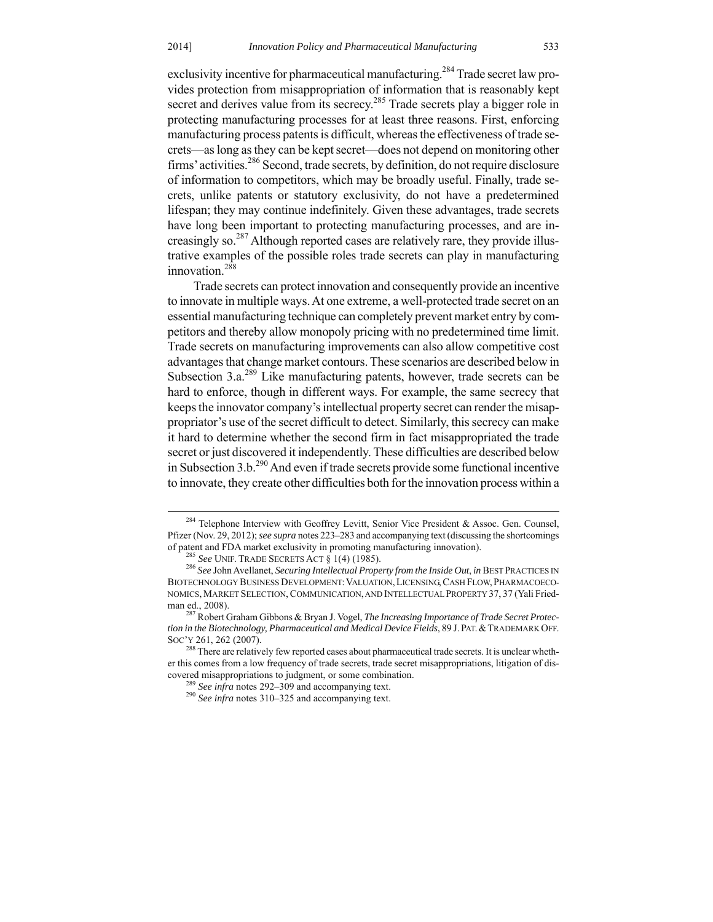exclusivity incentive for pharmaceutical manufacturing.<sup>284</sup> Trade secret law provides protection from misappropriation of information that is reasonably kept secret and derives value from its secrecy.<sup>285</sup> Trade secrets play a bigger role in protecting manufacturing processes for at least three reasons. First, enforcing manufacturing process patents is difficult, whereas the effectiveness of trade secrets—as long as they can be kept secret—does not depend on monitoring other firms' activities.286 Second, trade secrets, by definition, do not require disclosure of information to competitors, which may be broadly useful. Finally, trade secrets, unlike patents or statutory exclusivity, do not have a predetermined lifespan; they may continue indefinitely. Given these advantages, trade secrets have long been important to protecting manufacturing processes, and are increasingly so.<sup>287</sup> Although reported cases are relatively rare, they provide illustrative examples of the possible roles trade secrets can play in manufacturing innovation.<sup>288</sup>

Trade secrets can protect innovation and consequently provide an incentive to innovate in multiple ways. At one extreme, a well-protected trade secret on an essential manufacturing technique can completely prevent market entry by competitors and thereby allow monopoly pricing with no predetermined time limit. Trade secrets on manufacturing improvements can also allow competitive cost advantages that change market contours. These scenarios are described below in Subsection  $3.a.^{289}$  Like manufacturing patents, however, trade secrets can be hard to enforce, though in different ways. For example, the same secrecy that keeps the innovator company's intellectual property secret can render the misappropriator's use of the secret difficult to detect. Similarly, this secrecy can make it hard to determine whether the second firm in fact misappropriated the trade secret or just discovered it independently. These difficulties are described below in Subsection 3.b.290 And even if trade secrets provide some functional incentive to innovate, they create other difficulties both for the innovation process within a

<sup>&</sup>lt;sup>284</sup> Telephone Interview with Geoffrey Levitt, Senior Vice President & Assoc. Gen. Counsel, Pfizer (Nov. 29, 2012); *see supra* notes 223–283 and accompanying text (discussing the shortcomings of patent and FDA market exclusivity in promoting manufacturing innovation).<br><sup>285</sup> See UNIF. TRADE SECRETS ACT § 1(4) (1985).<br><sup>286</sup> See John Avellanet, *Securing Intellectual Property from the Inside Out, in* BEST PRACTIC

BIOTECHNOLOGY BUSINESS DEVELOPMENT: VALUATION, LICENSING, CASH FLOW, PHARMACOECO-NOMICS, MARKET SELECTION,COMMUNICATION, AND INTELLECTUAL PROPERTY 37, 37 (Yali Fried-

man ed., 2008).<br><sup>287</sup> Robert Graham Gibbons & Bryan J. Vogel, *The Increasing Importance of Trade Secret Protection in the Biotechnology, Pharmaceutical and Medical Device Fields*, 89 J. PAT.&TRADEMARK OFF. SOC'Y 261, 262 (2007). 288 There are relatively few reported cases about pharmaceutical trade secrets. It is unclear wheth-

er this comes from a low frequency of trade secrets, trade secret misappropriations, litigation of discovered misappropriations to judgment, or some combination. 289 *See infra* notes 292–309 and accompanying text. 290 *See infra* notes 310–325 and accompanying text.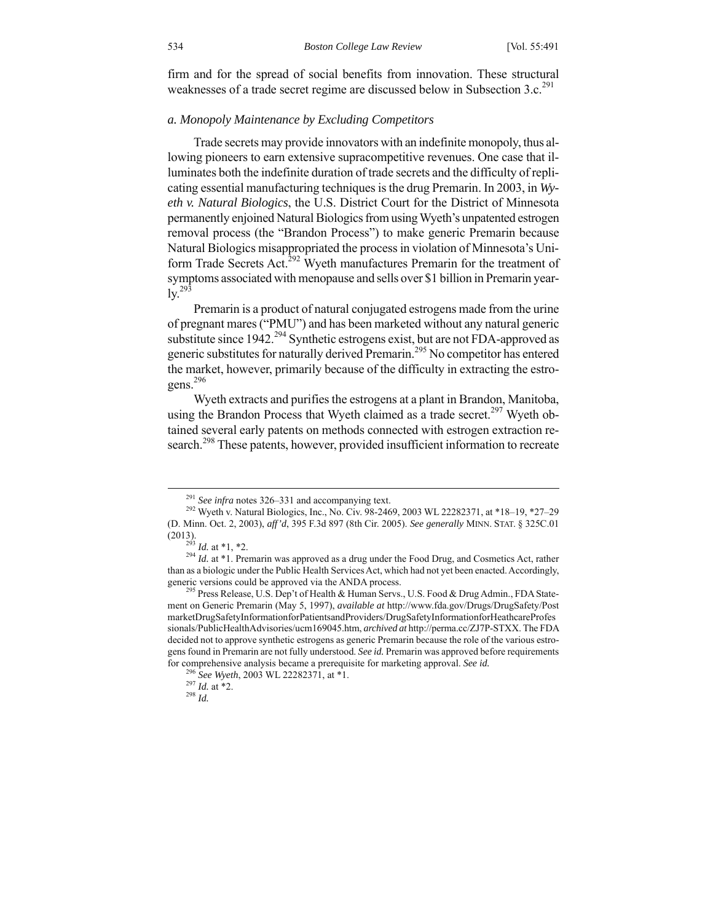firm and for the spread of social benefits from innovation. These structural weaknesses of a trade secret regime are discussed below in Subsection 3.c.<sup>291</sup>

### *a. Monopoly Maintenance by Excluding Competitors*

Trade secrets may provide innovators with an indefinite monopoly, thus allowing pioneers to earn extensive supracompetitive revenues. One case that illuminates both the indefinite duration of trade secrets and the difficulty of replicating essential manufacturing techniques is the drug Premarin. In 2003, in *Wyeth v. Natural Biologics*, the U.S. District Court for the District of Minnesota permanently enjoined Natural Biologics from using Wyeth's unpatented estrogen removal process (the "Brandon Process") to make generic Premarin because Natural Biologics misappropriated the process in violation of Minnesota's Uniform Trade Secrets Act.<sup>292</sup> Wyeth manufactures Premarin for the treatment of symptoms associated with menopause and sells over \$1 billion in Premarin year- $\frac{1}{9}$ 

Premarin is a product of natural conjugated estrogens made from the urine of pregnant mares ("PMU") and has been marketed without any natural generic substitute since 1942.<sup>294</sup> Synthetic estrogens exist, but are not FDA-approved as generic substitutes for naturally derived Premarin.295 No competitor has entered the market, however, primarily because of the difficulty in extracting the estrogens.296

Wyeth extracts and purifies the estrogens at a plant in Brandon, Manitoba, using the Brandon Process that Wyeth claimed as a trade secret.<sup>297</sup> Wyeth obtained several early patents on methods connected with estrogen extraction research.<sup>298</sup> These patents, however, provided insufficient information to recreate

$$
\int_{0}^{297} I d. \text{ at}
$$

<sup>&</sup>lt;sup>291</sup> *See infra* notes 326–331 and accompanying text.<br><sup>292</sup> Wyeth v. Natural Biologics, Inc., No. Civ. 98-2469, 2003 WL 22282371, at \*18–19, \*27–29 (D. Minn. Oct. 2, 2003), *aff'd*, 395 F.3d 897 (8th Cir. 2005). *See generally* MINN. STAT. § 325C.01

<sup>&</sup>lt;sup>294</sup> *Id.* at \*1. Premarin was approved as a drug under the Food Drug, and Cosmetics Act, rather than as a biologic under the Public Health Services Act, which had not yet been enacted. Accordingly, generic versions could be approved via the ANDA process.<br><sup>295</sup> Press Release, U.S. Dep't of Health & Human Servs., U.S. Food & Drug Admin., FDA State-

ment on Generic Premarin (May 5, 1997), *available at* http://www.fda.gov/Drugs/DrugSafety/Post marketDrugSafetyInformationforPatientsandProviders/DrugSafetyInformationforHeathcareProfes sionals/PublicHealthAdvisories/ucm169045.htm, *archived at* http://perma.cc/ZJ7P-STXX. The FDA decided not to approve synthetic estrogens as generic Premarin because the role of the various estrogens found in Premarin are not fully understood. *See id.* Premarin was approved before requirements for comprehensive analysis became a prerequisite for marketing approval. *See id.* <sup>296</sup> *See Wyeth*, 2003 WL 22282371, at \*1. <sup>297</sup> *Id.* at \*2. <sup>298</sup> *Id.*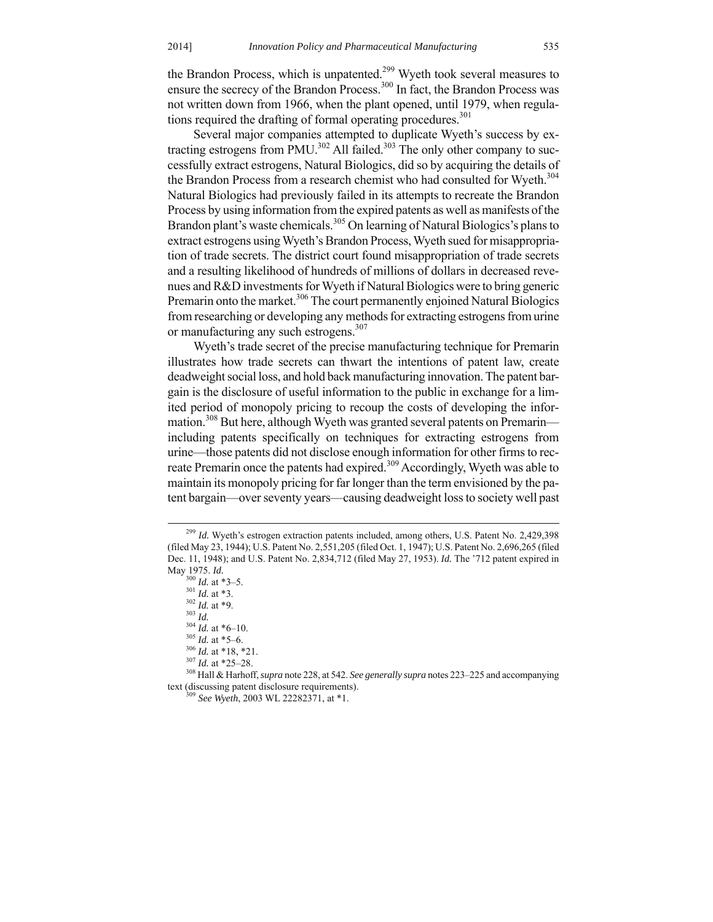the Brandon Process, which is unpatented.<sup>299</sup> Wyeth took several measures to ensure the secrecy of the Brandon Process.<sup>300</sup> In fact, the Brandon Process was not written down from 1966, when the plant opened, until 1979, when regulations required the drafting of formal operating procedures.<sup>301</sup>

Several major companies attempted to duplicate Wyeth's success by extracting estrogens from PMU.<sup>302</sup> All failed.<sup>303</sup> The only other company to successfully extract estrogens, Natural Biologics, did so by acquiring the details of the Brandon Process from a research chemist who had consulted for Wyeth.<sup>304</sup> Natural Biologics had previously failed in its attempts to recreate the Brandon Process by using information from the expired patents as well as manifests of the Brandon plant's waste chemicals.<sup>305</sup> On learning of Natural Biologics's plans to extract estrogens using Wyeth's Brandon Process, Wyeth sued for misappropriation of trade secrets. The district court found misappropriation of trade secrets and a resulting likelihood of hundreds of millions of dollars in decreased revenues and R&D investments for Wyeth if Natural Biologics were to bring generic Premarin onto the market.<sup>306</sup> The court permanently enjoined Natural Biologics from researching or developing any methods for extracting estrogens from urine or manufacturing any such estrogens.<sup>307</sup>

Wyeth's trade secret of the precise manufacturing technique for Premarin illustrates how trade secrets can thwart the intentions of patent law, create deadweight social loss, and hold back manufacturing innovation. The patent bargain is the disclosure of useful information to the public in exchange for a limited period of monopoly pricing to recoup the costs of developing the information.<sup>308</sup> But here, although Wyeth was granted several patents on Premarin including patents specifically on techniques for extracting estrogens from urine—those patents did not disclose enough information for other firms to recreate Premarin once the patents had expired.<sup>309</sup> Accordingly, Wyeth was able to maintain its monopoly pricing for far longer than the term envisioned by the patent bargain—over seventy years—causing deadweight loss to society well past

text (discussing patent disclosure requirements). 309 *See Wyeth*, 2003 WL 22282371, at \*1.

<sup>&</sup>lt;sup>299</sup> Id. Wyeth's estrogen extraction patents included, among others, U.S. Patent No. 2,429,398 (filed May 23, 1944); U.S. Patent No. 2,551,205 (filed Oct. 1, 1947); U.S. Patent No. 2,696,265 (filed Dec. 11, 1948); and U.S. Patent No. 2,834,712 (filed May 27, 1953). *Id.* The '712 patent expired in May 1975. Id.<br>
<sup>300</sup> Id. at \*3–5.<br>
<sup>301</sup> Id. at \*3.<br>
<sup>302</sup> Id. at \*9.<br>
<sup>303</sup> Id.<br>
<sup>303</sup> Id. at \*6–10.<br>
<sup>305</sup> Id. at \*5–6.<br>
<sup>306</sup> Id. at \*18, \*21.<br>
<sup>307</sup> Id. at \*25–28.<br>
<sup>308</sup> Hall & Harhoff, *supra* note 228, at 542. *See*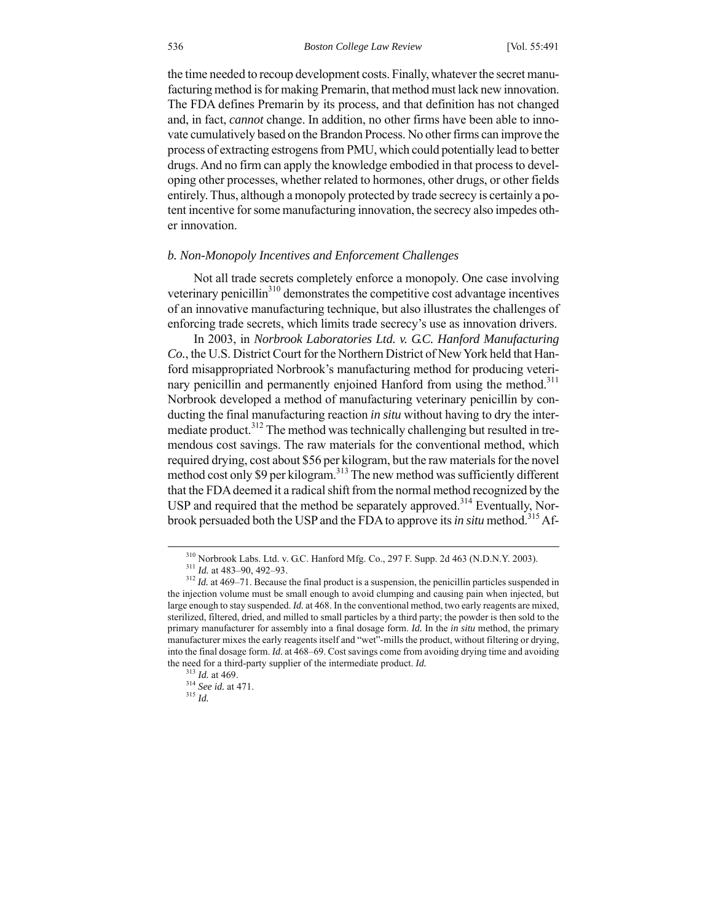the time needed to recoup development costs. Finally, whatever the secret manufacturing method is for making Premarin, that method must lack new innovation. The FDA defines Premarin by its process, and that definition has not changed and, in fact, *cannot* change. In addition, no other firms have been able to innovate cumulatively based on the Brandon Process. No other firms can improve the process of extracting estrogens from PMU, which could potentially lead to better drugs. And no firm can apply the knowledge embodied in that process to developing other processes, whether related to hormones, other drugs, or other fields entirely. Thus, although a monopoly protected by trade secrecy is certainly a potent incentive for some manufacturing innovation, the secrecy also impedes other innovation.

# *b. Non-Monopoly Incentives and Enforcement Challenges*

Not all trade secrets completely enforce a monopoly. One case involving veterinary penicillin<sup>310</sup> demonstrates the competitive cost advantage incentives of an innovative manufacturing technique, but also illustrates the challenges of enforcing trade secrets, which limits trade secrecy's use as innovation drivers.

In 2003, in *Norbrook Laboratories Ltd. v. G.C. Hanford Manufacturing Co.*, the U.S. District Court for the Northern District of New York held that Hanford misappropriated Norbrook's manufacturing method for producing veterinary penicillin and permanently enjoined Hanford from using the method.<sup>311</sup> Norbrook developed a method of manufacturing veterinary penicillin by conducting the final manufacturing reaction *in situ* without having to dry the intermediate product.<sup>312</sup> The method was technically challenging but resulted in tremendous cost savings. The raw materials for the conventional method, which required drying, cost about \$56 per kilogram, but the raw materials for the novel method cost only \$9 per kilogram.<sup>313</sup> The new method was sufficiently different that the FDA deemed it a radical shift from the normal method recognized by the USP and required that the method be separately approved.<sup>314</sup> Eventually, Norbrook persuaded both the USP and the FDA to approve its *in situ* method.315 Af-

<sup>&</sup>lt;sup>310</sup> Norbrook Labs. Ltd. v. G.C. Hanford Mfg. Co., 297 F. Supp. 2d 463 (N.D.N.Y. 2003).<br><sup>311</sup> *Id.* at 483–90, 492–93.<br><sup>312</sup> *Id.* at 469–71. Because the final product is a suspension, the penicillin particles suspended the injection volume must be small enough to avoid clumping and causing pain when injected, but large enough to stay suspended. *Id.* at 468. In the conventional method, two early reagents are mixed, sterilized, filtered, dried, and milled to small particles by a third party; the powder is then sold to the primary manufacturer for assembly into a final dosage form. *Id.* In the *in situ* method, the primary manufacturer mixes the early reagents itself and "wet"-mills the product, without filtering or drying, into the final dosage form. *Id.* at 468–69. Cost savings come from avoiding drying time and avoiding the need for a third-party supplier of the intermediate product. *Id.* <sup>313</sup> *Id.* at 469. <sup>314</sup> *See id.* at 471.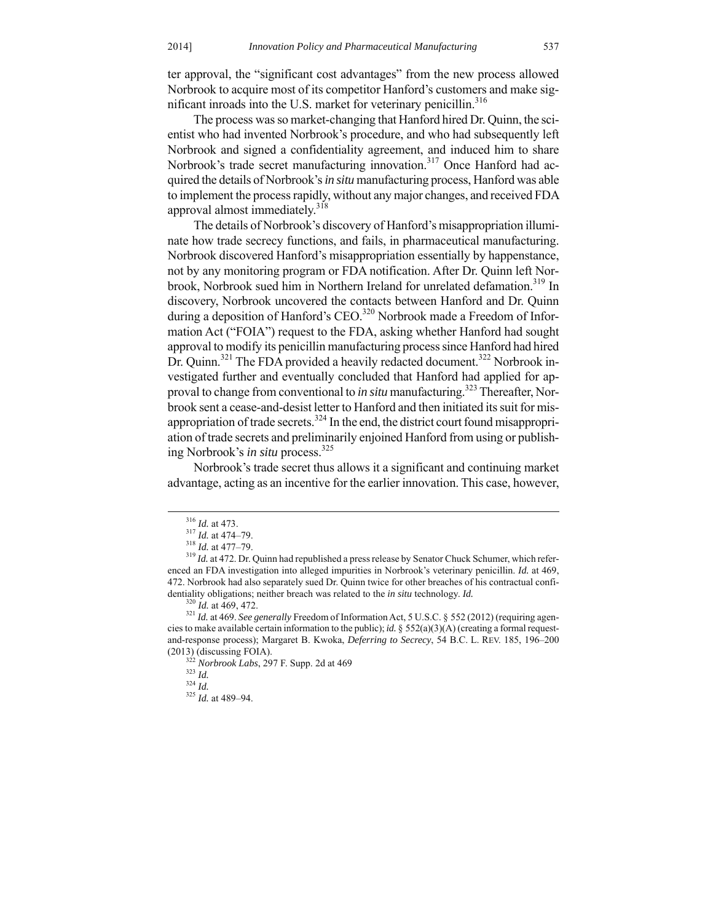ter approval, the "significant cost advantages" from the new process allowed Norbrook to acquire most of its competitor Hanford's customers and make significant inroads into the U.S. market for veterinary penicillin.<sup>316</sup>

The process was so market-changing that Hanford hired Dr. Quinn, the scientist who had invented Norbrook's procedure, and who had subsequently left Norbrook and signed a confidentiality agreement, and induced him to share Norbrook's trade secret manufacturing innovation.<sup>317</sup> Once Hanford had acquired the details of Norbrook's *in situ* manufacturing process, Hanford was able to implement the process rapidly, without any major changes, and received FDA approval almost immediately.<sup>318</sup>

The details of Norbrook's discovery of Hanford's misappropriation illuminate how trade secrecy functions, and fails, in pharmaceutical manufacturing. Norbrook discovered Hanford's misappropriation essentially by happenstance, not by any monitoring program or FDA notification. After Dr. Quinn left Norbrook, Norbrook sued him in Northern Ireland for unrelated defamation.<sup>319</sup> In discovery, Norbrook uncovered the contacts between Hanford and Dr. Quinn during a deposition of Hanford's CEO.<sup>320</sup> Norbrook made a Freedom of Information Act ("FOIA") request to the FDA, asking whether Hanford had sought approval to modify its penicillin manufacturing process since Hanford had hired Dr. Quinn.<sup>321</sup> The FDA provided a heavily redacted document.<sup>322</sup> Norbrook investigated further and eventually concluded that Hanford had applied for approval to change from conventional to *in situ* manufacturing.<sup>323</sup> Thereafter, Norbrook sent a cease-and-desist letter to Hanford and then initiated its suit for misappropriation of trade secrets.<sup>324</sup> In the end, the district court found misappropriation of trade secrets and preliminarily enjoined Hanford from using or publishing Norbrook's *in situ* process.<sup>325</sup>

Norbrook's trade secret thus allows it a significant and continuing market advantage, acting as an incentive for the earlier innovation. This case, however,

<sup>&</sup>lt;sup>316</sup> *Id.* at 473.<br><sup>317</sup> *Id.* at 474–79.<br><sup>318</sup> *Id.* at 477–79.<br><sup>319</sup> *Id.* at 472. Dr. Quinn had republished a press release by Senator Chuck Schumer, which referenced an FDA investigation into alleged impurities in Norbrook's veterinary penicillin. *Id.* at 469, 472. Norbrook had also separately sued Dr. Quinn twice for other breaches of his contractual confidentiality obligations; neither breach was related to the *in situ* technology. *Id.*<br><sup>320</sup> *Id.* at 469, 472.<br><sup>321</sup> *Id.* at 469. *See generally* Freedom of Information Act, 5 U.S.C. § 552 (2012) (requiring agen-

cies to make available certain information to the public); *id.* § 552(a)(3)(A) (creating a formal requestand-response process); Margaret B. Kwoka, *Deferring to Secrecy*, 54 B.C. L. REV. 185, 196–200 (2013) (discussing FOIA). 322 *Norbrook Labs*, 297 F. Supp. 2d at 469 323 *Id.* <sup>324</sup> *Id.* <sup>325</sup> *Id.* at 489–94.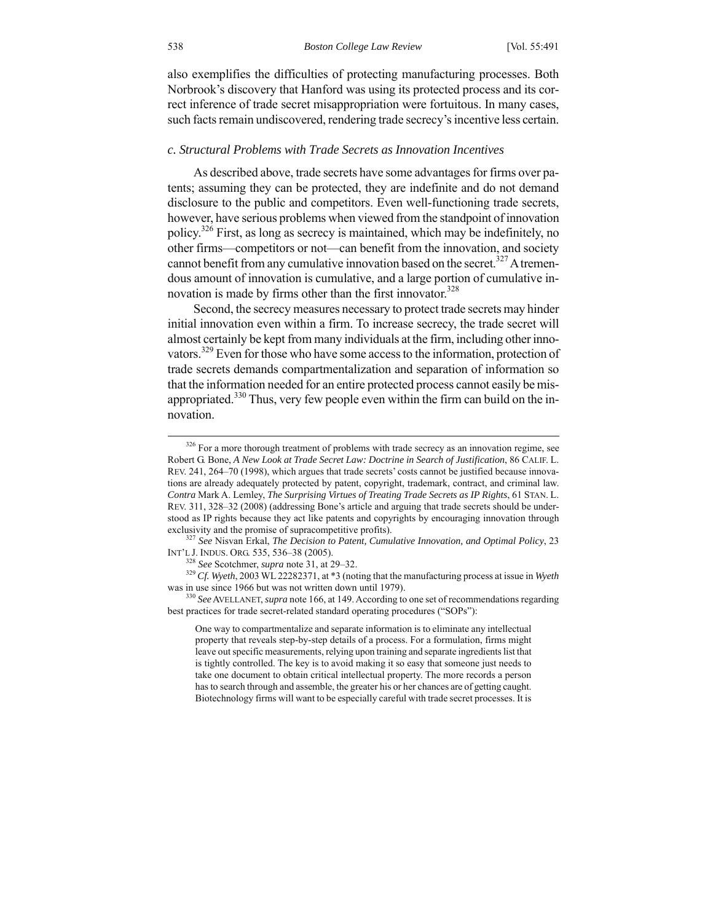also exemplifies the difficulties of protecting manufacturing processes. Both Norbrook's discovery that Hanford was using its protected process and its correct inference of trade secret misappropriation were fortuitous. In many cases, such facts remain undiscovered, rendering trade secrecy's incentive less certain.

### *c. Structural Problems with Trade Secrets as Innovation Incentives*

As described above, trade secrets have some advantages for firms over patents; assuming they can be protected, they are indefinite and do not demand disclosure to the public and competitors. Even well-functioning trade secrets, however, have serious problems when viewed from the standpoint of innovation policy.326 First, as long as secrecy is maintained, which may be indefinitely, no other firms—competitors or not—can benefit from the innovation, and society cannot benefit from any cumulative innovation based on the secret.<sup>327</sup> A tremendous amount of innovation is cumulative, and a large portion of cumulative innovation is made by firms other than the first innovator.<sup>328</sup>

Second, the secrecy measures necessary to protect trade secrets may hinder initial innovation even within a firm. To increase secrecy, the trade secret will almost certainly be kept from many individuals at the firm, including other innovators.<sup>329</sup> Even for those who have some access to the information, protection of trade secrets demands compartmentalization and separation of information so that the information needed for an entire protected process cannot easily be misappropriated.330 Thus, very few people even within the firm can build on the innovation.

INT'L J. INDUS. ORG. 535, 536–38 (2005).<br><sup>328</sup> See Scotchmer, *supra* note 31, at 29–32.<br><sup>329</sup> *Cf. Wyeth*, 2003 WL 22282371, at \*3 (noting that the manufacturing process at issue in *Wyeth* was in use since 1966 but was

<sup>330</sup> See AVELLANET, *supra* note 166, at 149. According to one set of recommendations regarding best practices for trade secret-related standard operating procedures ("SOPs"):

<sup>&</sup>lt;sup>326</sup> For a more thorough treatment of problems with trade secrecy as an innovation regime, see Robert G. Bone, *A New Look at Trade Secret Law: Doctrine in Search of Justification*, 86 CALIF. L. REV. 241, 264–70 (1998), which argues that trade secrets' costs cannot be justified because innovations are already adequately protected by patent, copyright, trademark, contract, and criminal law. *Contra* Mark A. Lemley, *The Surprising Virtues of Treating Trade Secrets as IP Rights*, 61 STAN. L. REV. 311, 328–32 (2008) (addressing Bone's article and arguing that trade secrets should be understood as IP rights because they act like patents and copyrights by encouraging innovation through exclusivity and the promise of supracompetitive profits). 327 *See* Nisvan Erkal, *The Decision to Patent, Cumulative Innovation, and Optimal Policy*, 23

One way to compartmentalize and separate information is to eliminate any intellectual property that reveals step-by-step details of a process. For a formulation, firms might leave out specific measurements, relying upon training and separate ingredients list that is tightly controlled. The key is to avoid making it so easy that someone just needs to take one document to obtain critical intellectual property. The more records a person has to search through and assemble, the greater his or her chances are of getting caught. Biotechnology firms will want to be especially careful with trade secret processes. It is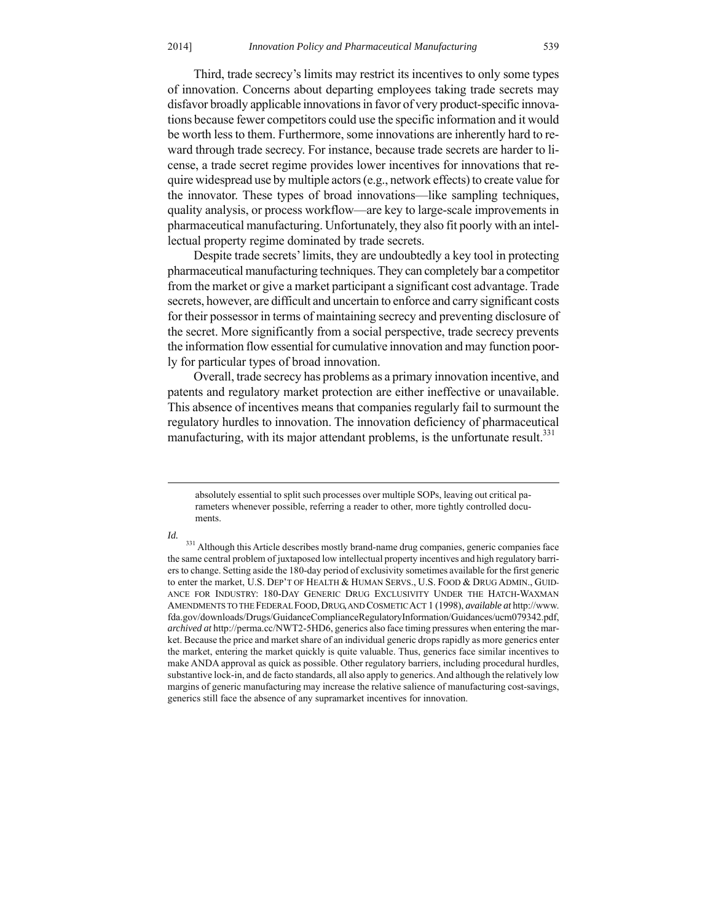Third, trade secrecy's limits may restrict its incentives to only some types of innovation. Concerns about departing employees taking trade secrets may disfavor broadly applicable innovations in favor of very product-specific innovations because fewer competitors could use the specific information and it would be worth less to them. Furthermore, some innovations are inherently hard to reward through trade secrecy. For instance, because trade secrets are harder to license, a trade secret regime provides lower incentives for innovations that require widespread use by multiple actors (e.g., network effects) to create value for the innovator. These types of broad innovations—like sampling techniques, quality analysis, or process workflow—are key to large-scale improvements in pharmaceutical manufacturing. Unfortunately, they also fit poorly with an intellectual property regime dominated by trade secrets.

Despite trade secrets' limits, they are undoubtedly a key tool in protecting pharmaceutical manufacturing techniques. They can completely bar a competitor from the market or give a market participant a significant cost advantage. Trade secrets, however, are difficult and uncertain to enforce and carry significant costs for their possessor in terms of maintaining secrecy and preventing disclosure of the secret. More significantly from a social perspective, trade secrecy prevents the information flow essential for cumulative innovation and may function poorly for particular types of broad innovation.

Overall, trade secrecy has problems as a primary innovation incentive, and patents and regulatory market protection are either ineffective or unavailable. This absence of incentives means that companies regularly fail to surmount the regulatory hurdles to innovation. The innovation deficiency of pharmaceutical manufacturing, with its major attendant problems, is the unfortunate result.<sup>331</sup>

absolutely essential to split such processes over multiple SOPs, leaving out critical parameters whenever possible, referring a reader to other, more tightly controlled documents.

*Id.* <sup>331</sup> Although this Article describes mostly brand-name drug companies, generic companies face the same central problem of juxtaposed low intellectual property incentives and high regulatory barriers to change. Setting aside the 180-day period of exclusivity sometimes available for the first generic to enter the market, U.S. DEP'T OF HEALTH & HUMAN SERVS., U.S. FOOD & DRUG ADMIN., GUID-ANCE FOR INDUSTRY: 180-DAY GENERIC DRUG EXCLUSIVITY UNDER THE HATCH-WAXMAN AMENDMENTS TO THE FEDERAL FOOD,DRUG, AND COSMETIC ACT 1 (1998), *available at* http://www. fda.gov/downloads/Drugs/GuidanceComplianceRegulatoryInformation/Guidances/ucm079342.pdf, *archived at* http://perma.cc/NWT2-5HD6, generics also face timing pressures when entering the market. Because the price and market share of an individual generic drops rapidly as more generics enter the market, entering the market quickly is quite valuable. Thus, generics face similar incentives to make ANDA approval as quick as possible. Other regulatory barriers, including procedural hurdles, substantive lock-in, and de facto standards, all also apply to generics. And although the relatively low margins of generic manufacturing may increase the relative salience of manufacturing cost-savings, generics still face the absence of any supramarket incentives for innovation.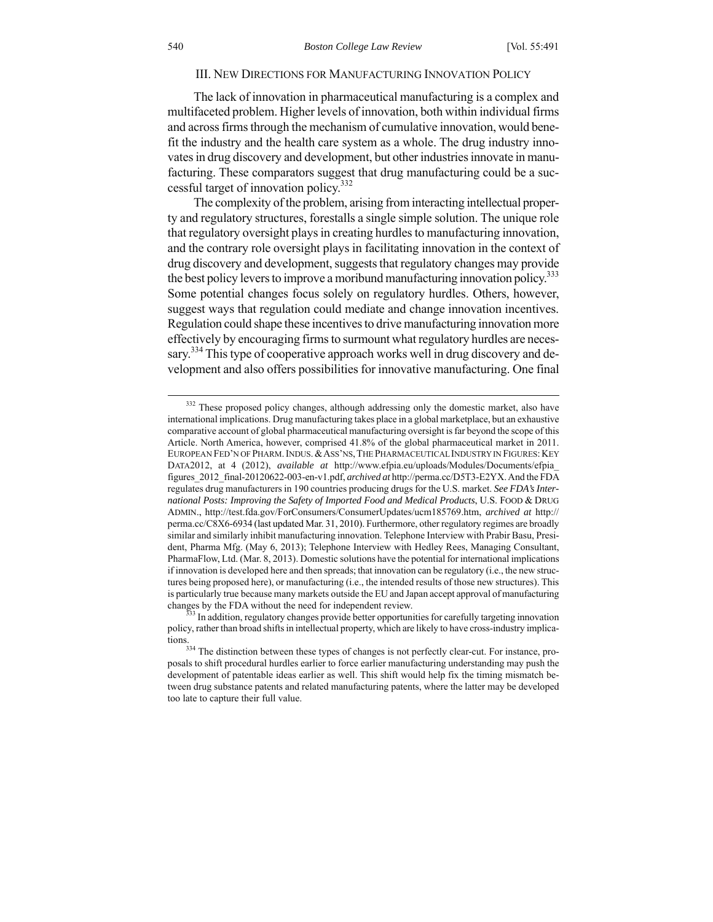### III. NEW DIRECTIONS FOR MANUFACTURING INNOVATION POLICY

The lack of innovation in pharmaceutical manufacturing is a complex and multifaceted problem. Higher levels of innovation, both within individual firms and across firms through the mechanism of cumulative innovation, would benefit the industry and the health care system as a whole. The drug industry innovates in drug discovery and development, but other industries innovate in manufacturing. These comparators suggest that drug manufacturing could be a successful target of innovation policy.<sup>332</sup>

The complexity of the problem, arising from interacting intellectual property and regulatory structures, forestalls a single simple solution. The unique role that regulatory oversight plays in creating hurdles to manufacturing innovation, and the contrary role oversight plays in facilitating innovation in the context of drug discovery and development, suggests that regulatory changes may provide the best policy levers to improve a moribund manufacturing innovation policy.<sup>333</sup> Some potential changes focus solely on regulatory hurdles. Others, however, suggest ways that regulation could mediate and change innovation incentives. Regulation could shape these incentives to drive manufacturing innovation more effectively by encouraging firms to surmount what regulatory hurdles are necessary.<sup>334</sup> This type of cooperative approach works well in drug discovery and development and also offers possibilities for innovative manufacturing. One final

<sup>&</sup>lt;sup>332</sup> These proposed policy changes, although addressing only the domestic market, also have international implications. Drug manufacturing takes place in a global marketplace, but an exhaustive comparative account of global pharmaceutical manufacturing oversight is far beyond the scope of this Article. North America, however, comprised 41.8% of the global pharmaceutical market in 2011. EUROPEAN FED'N OF PHARM. INDUS. & ASS'NS, THE PHARMACEUTICAL INDUSTRY IN FIGURES: KEY DATA2012, at 4 (2012), *available at* http://www.efpia.eu/uploads/Modules/Documents/efpia\_ figures\_2012\_final-20120622-003-en-v1.pdf, *archived at* http://perma.cc/D5T3-E2YX. And the FDA regulates drug manufacturers in 190 countries producing drugs for the U.S. market. *See FDA's International Posts: Improving the Safety of Imported Food and Medical Products*, U.S. FOOD & DRUG ADMIN., http://test.fda.gov/ForConsumers/ConsumerUpdates/ucm185769.htm, *archived at* http:// perma.cc/C8X6-6934 (last updated Mar. 31, 2010). Furthermore, other regulatory regimes are broadly similar and similarly inhibit manufacturing innovation. Telephone Interview with Prabir Basu, President, Pharma Mfg. (May 6, 2013); Telephone Interview with Hedley Rees, Managing Consultant, PharmaFlow, Ltd. (Mar. 8, 2013). Domestic solutions have the potential for international implications if innovation is developed here and then spreads; that innovation can be regulatory (i.e., the new structures being proposed here), or manufacturing (i.e., the intended results of those new structures). This is particularly true because many markets outside the EU and Japan accept approval of manufacturing changes by the FDA without the need for independent review.<br><sup>333</sup> In addition, regulatory changes provide better opportunities for carefully targeting innovation

policy, rather than broad shifts in intellectual property, which are likely to have cross-industry implica-

tions.<br><sup>334</sup> The distinction between these types of changes is not perfectly clear-cut. For instance, proposals to shift procedural hurdles earlier to force earlier manufacturing understanding may push the development of patentable ideas earlier as well. This shift would help fix the timing mismatch between drug substance patents and related manufacturing patents, where the latter may be developed too late to capture their full value.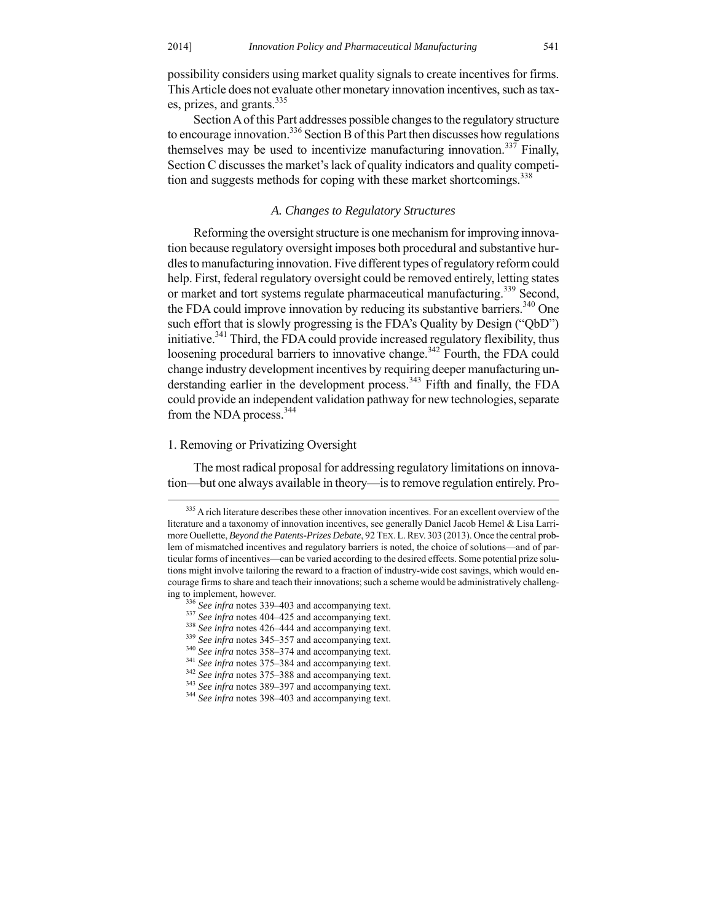possibility considers using market quality signals to create incentives for firms. This Article does not evaluate other monetary innovation incentives, such as taxes, prizes, and grants.<sup>335</sup>

Section A of this Part addresses possible changes to the regulatory structure to encourage innovation.<sup>336</sup> Section B of this Part then discusses how regulations themselves may be used to incentivize manufacturing innovation.<sup>337</sup> Finally, Section C discusses the market's lack of quality indicators and quality competition and suggests methods for coping with these market shortcomings.<sup>338</sup>

# *A. Changes to Regulatory Structures*

Reforming the oversight structure is one mechanism for improving innovation because regulatory oversight imposes both procedural and substantive hurdles to manufacturing innovation. Five different types of regulatory reform could help. First, federal regulatory oversight could be removed entirely, letting states or market and tort systems regulate pharmaceutical manufacturing.<sup>339</sup> Second, the FDA could improve innovation by reducing its substantive barriers.<sup>340</sup> One such effort that is slowly progressing is the FDA's Quality by Design ("QbD") initiative.<sup>341</sup> Third, the FDA could provide increased regulatory flexibility, thus loosening procedural barriers to innovative change.<sup> $342$ </sup> Fourth, the FDA could change industry development incentives by requiring deeper manufacturing understanding earlier in the development process.<sup>343</sup> Fifth and finally, the FDA could provide an independent validation pathway for new technologies, separate from the NDA process.<sup>344</sup>

## 1. Removing or Privatizing Oversight

The most radical proposal for addressing regulatory limitations on innovation—but one always available in theory—is to remove regulation entirely. Pro-

<sup>&</sup>lt;sup>335</sup> A rich literature describes these other innovation incentives. For an excellent overview of the literature and a taxonomy of innovation incentives, see generally Daniel Jacob Hemel & Lisa Larrimore Ouellette, *Beyond the Patents-Prizes Debate*, 92 TEX.L.REV. 303 (2013). Once the central problem of mismatched incentives and regulatory barriers is noted, the choice of solutions—and of particular forms of incentives—can be varied according to the desired effects. Some potential prize solutions might involve tailoring the reward to a fraction of industry-wide cost savings, which would encourage firms to share and teach their innovations; such a scheme would be administratively challenging to implement, however.

<sup>&</sup>lt;sup>336</sup> See infra notes 339–403 and accompanying text.<br><sup>337</sup> See infra notes 404–425 and accompanying text.<br><sup>338</sup> See infra notes 426–444 and accompanying text.<br><sup>339</sup> See infra notes 345–357 and accompanying text.<br><sup>340</sup> See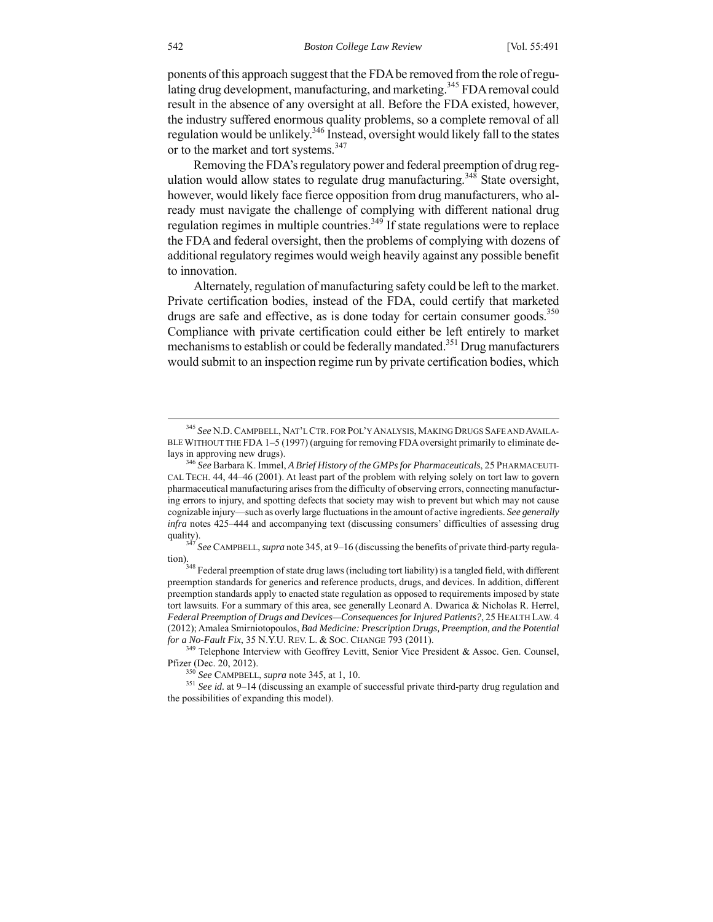ponents of this approach suggest that the FDA be removed from the role of regulating drug development, manufacturing, and marketing.<sup>345</sup> FDA removal could result in the absence of any oversight at all. Before the FDA existed, however, the industry suffered enormous quality problems, so a complete removal of all regulation would be unlikely.346 Instead, oversight would likely fall to the states or to the market and tort systems.<sup>347</sup>

Removing the FDA's regulatory power and federal preemption of drug regulation would allow states to regulate drug manufacturing.<sup>348</sup> State oversight, however, would likely face fierce opposition from drug manufacturers, who already must navigate the challenge of complying with different national drug regulation regimes in multiple countries.<sup>349</sup> If state regulations were to replace the FDA and federal oversight, then the problems of complying with dozens of additional regulatory regimes would weigh heavily against any possible benefit to innovation.

Alternately, regulation of manufacturing safety could be left to the market. Private certification bodies, instead of the FDA, could certify that marketed drugs are safe and effective, as is done today for certain consumer goods. $350$ Compliance with private certification could either be left entirely to market mechanisms to establish or could be federally mandated.<sup>351</sup> Drug manufacturers would submit to an inspection regime run by private certification bodies, which

 <sup>345</sup> *See* N.D.CAMPBELL, NAT'L CTR. FOR POL'Y ANALYSIS, MAKING DRUGS SAFE AND AVAILA-BLE WITHOUT THE FDA 1–5 (1997) (arguing for removing FDA oversight primarily to eliminate delays in approving new drugs). 346 *See* Barbara K. Immel, *A Brief History of the GMPs for Pharmaceuticals*, 25 PHARMACEUTI-

CAL TECH. 44, 44–46 (2001). At least part of the problem with relying solely on tort law to govern pharmaceutical manufacturing arises from the difficulty of observing errors, connecting manufacturing errors to injury, and spotting defects that society may wish to prevent but which may not cause cognizable injury—such as overly large fluctuations in the amount of active ingredients. *See generally infra* notes 425–444 and accompanying text (discussing consumers' difficulties of assessing drug

quality). 347 *See* CAMPBELL, *supra* note 345, at 9–16 (discussing the benefits of private third-party regula-

tion).<br><sup>348</sup> Federal preemption of state drug laws (including tort liability) is a tangled field, with different preemption standards for generics and reference products, drugs, and devices. In addition, different preemption standards apply to enacted state regulation as opposed to requirements imposed by state tort lawsuits. For a summary of this area, see generally Leonard A. Dwarica & Nicholas R. Herrel, *Federal Preemption of Drugs and Devices—Consequences for Injured Patients?*, 25 HEALTH LAW. 4 (2012); Amalea Smirniotopoulos, *Bad Medicine: Prescription Drugs, Preemption, and the Potential* 

*for a No-Fault Fix*, 35 N.Y.U. REV. L. & SOC. CHANGE 793 (2011).<br><sup>349</sup> Telephone Interview with Geoffrey Levitt, Senior Vice President & Assoc. Gen. Counsel,

Pfizer (Dec. 20, 2012). <sup>350</sup> *See* CAMPBELL, *supra* note 345, at 1, 10. 351 *See id.* at 9–14 (discussing an example of successful private third-party drug regulation and the possibilities of expanding this model).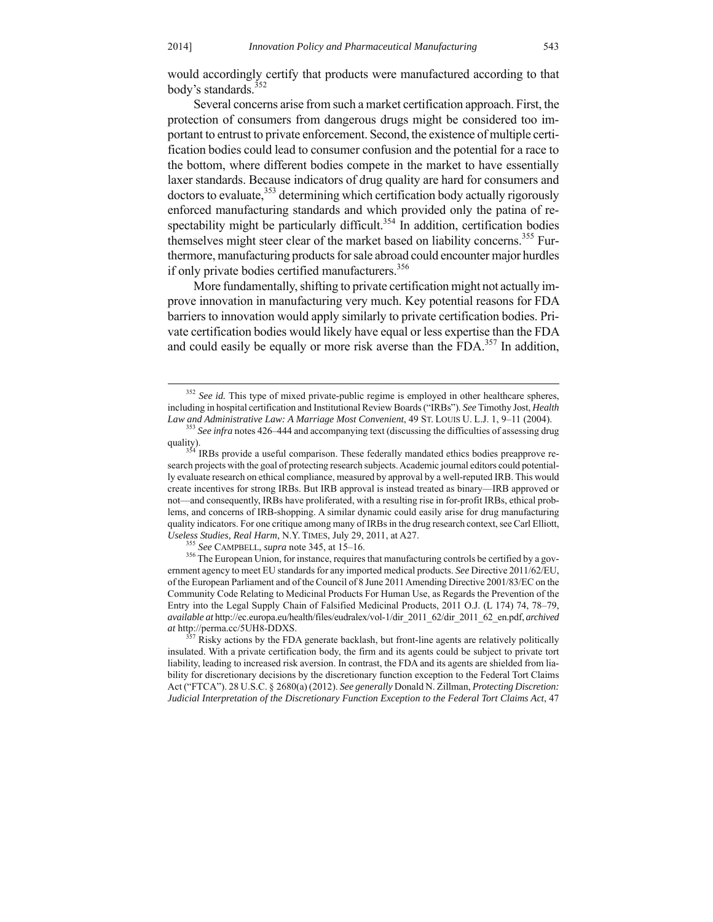would accordingly certify that products were manufactured according to that body's standards.<sup>352</sup>

Several concerns arise from such a market certification approach. First, the protection of consumers from dangerous drugs might be considered too important to entrust to private enforcement. Second, the existence of multiple certification bodies could lead to consumer confusion and the potential for a race to the bottom, where different bodies compete in the market to have essentially laxer standards. Because indicators of drug quality are hard for consumers and  $dotors$  to evaluate, $353$  determining which certification body actually rigorously enforced manufacturing standards and which provided only the patina of respectability might be particularly difficult.<sup>354</sup> In addition, certification bodies themselves might steer clear of the market based on liability concerns.<sup>355</sup> Furthermore, manufacturing products for sale abroad could encounter major hurdles if only private bodies certified manufacturers.<sup>356</sup>

More fundamentally, shifting to private certification might not actually improve innovation in manufacturing very much. Key potential reasons for FDA barriers to innovation would apply similarly to private certification bodies. Private certification bodies would likely have equal or less expertise than the FDA and could easily be equally or more risk averse than the FDA.<sup>357</sup> In addition,

<sup>&</sup>lt;sup>352</sup> See id. This type of mixed private-public regime is employed in other healthcare spheres, including in hospital certification and Institutional Review Boards ("IRBs"). *See* Timothy Jost, *Health Law and Administrative Law: A Marriage Most Convenient*, 49 ST. LOUIS U. L.J. 1, 9–11 (2004). 353 *See infra* notes 426–444 and accompanying text (discussing the difficulties of assessing drug

quality).<br><sup>354</sup> IRBs provide a useful comparison. These federally mandated ethics bodies preapprove re-

search projects with the goal of protecting research subjects. Academic journal editors could potentially evaluate research on ethical compliance, measured by approval by a well-reputed IRB. This would create incentives for strong IRBs. But IRB approval is instead treated as binary—IRB approved or not—and consequently, IRBs have proliferated, with a resulting rise in for-profit IRBs, ethical problems, and concerns of IRB-shopping. A similar dynamic could easily arise for drug manufacturing quality indicators. For one critique among many of IRBs in the drug research context, see Carl Elliott,

Useless Studies, Real Harm, N.Y. TIMES, July 29, 2011, at A27.<br><sup>355</sup> See CAMPBELL, *supra* note 345, at 15–16.<br><sup>356</sup> The European Union, for instance, requires that manufacturing controls be certified by a government agency to meet EU standards for any imported medical products. *See* Directive 2011/62/EU, of the European Parliament and of the Council of 8 June 2011 Amending Directive 2001/83/EC on the Community Code Relating to Medicinal Products For Human Use, as Regards the Prevention of the Entry into the Legal Supply Chain of Falsified Medicinal Products, 2011 O.J. (L 174) 74, 78–79, *available at* http://ec.europa.eu/health/files/eudralex/vol-1/dir\_2011\_62/dir\_2011\_62\_en.pdf, *archived* 

*at* http://perma.cc/5UH8-DDXS. 357 Risky actions by the FDA generate backlash, but front-line agents are relatively politically insulated. With a private certification body, the firm and its agents could be subject to private tort liability, leading to increased risk aversion. In contrast, the FDA and its agents are shielded from liability for discretionary decisions by the discretionary function exception to the Federal Tort Claims Act ("FTCA"). 28 U.S.C. § 2680(a) (2012). *See generally* Donald N. Zillman, *Protecting Discretion: Judicial Interpretation of the Discretionary Function Exception to the Federal Tort Claims Act*, 47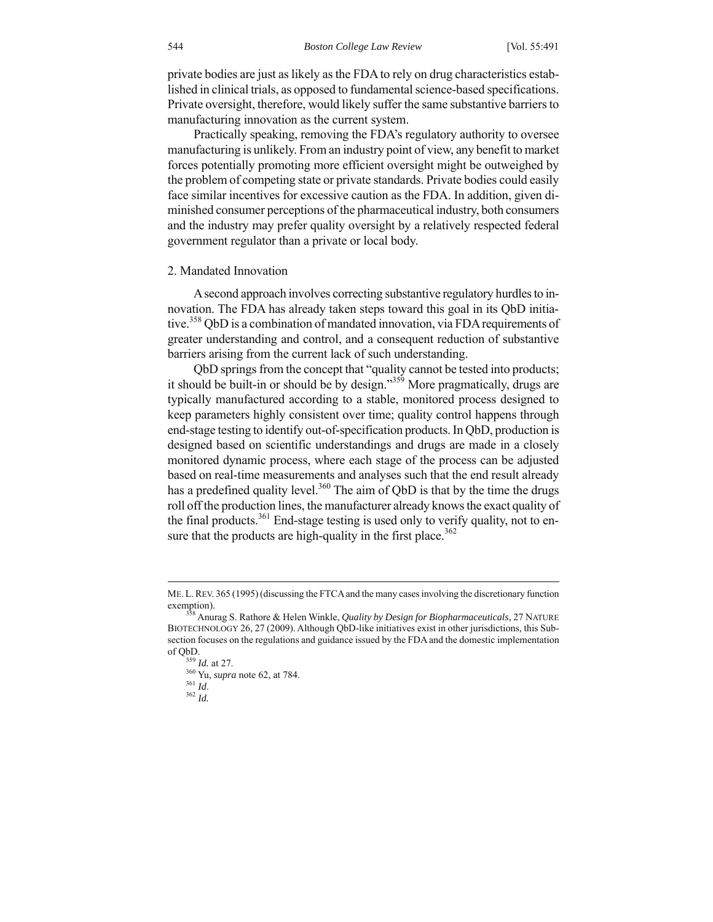private bodies are just as likely as the FDA to rely on drug characteristics established in clinical trials, as opposed to fundamental science-based specifications. Private oversight, therefore, would likely suffer the same substantive barriers to manufacturing innovation as the current system.

Practically speaking, removing the FDA's regulatory authority to oversee manufacturing is unlikely. From an industry point of view, any benefit to market forces potentially promoting more efficient oversight might be outweighed by the problem of competing state or private standards. Private bodies could easily face similar incentives for excessive caution as the FDA. In addition, given diminished consumer perceptions of the pharmaceutical industry, both consumers and the industry may prefer quality oversight by a relatively respected federal government regulator than a private or local body.

### 2. Mandated Innovation

A second approach involves correcting substantive regulatory hurdles to innovation. The FDA has already taken steps toward this goal in its QbD initiative.<sup>358</sup> QbD is a combination of mandated innovation, via FDA requirements of greater understanding and control, and a consequent reduction of substantive barriers arising from the current lack of such understanding.

QbD springs from the concept that "quality cannot be tested into products; it should be built-in or should be by design."<sup>359</sup> More pragmatically, drugs are typically manufactured according to a stable, monitored process designed to keep parameters highly consistent over time; quality control happens through end-stage testing to identify out-of-specification products. In QbD, production is designed based on scientific understandings and drugs are made in a closely monitored dynamic process, where each stage of the process can be adjusted based on real-time measurements and analyses such that the end result already has a predefined quality level. $360$  The aim of QbD is that by the time the drugs roll off the production lines, the manufacturer already knows the exact quality of the final products.<sup>361</sup> End-stage testing is used only to verify quality, not to ensure that the products are high-quality in the first place. $362$ 

of QbD. 359 *Id.* at 27. 360 Yu, *supra* note 62, at 784. 361 *Id*. 362 *Id.*

 $\overline{a}$ 

ME. L.REV. 365 (1995) (discussing the FTCA and the many cases involving the discretionary function exemption). 358 Anurag S. Rathore & Helen Winkle, *Quality by Design for Biopharmaceuticals*, 27 NATURE

BIOTECHNOLOGY 26, 27 (2009). Although QbD-like initiatives exist in other jurisdictions, this Subsection focuses on the regulations and guidance issued by the FDA and the domestic implementation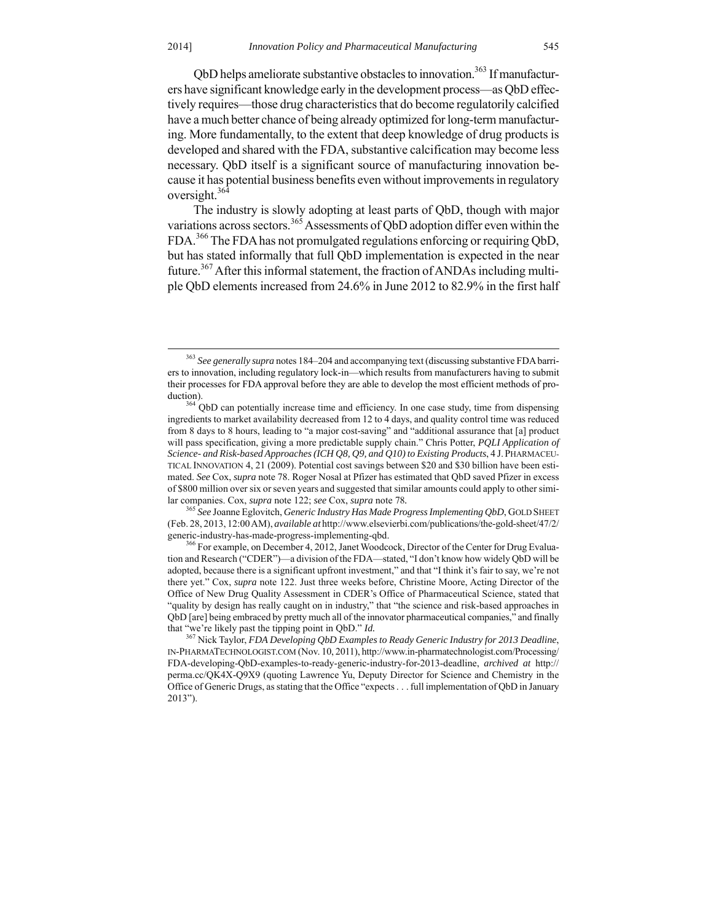QbD helps ameliorate substantive obstacles to innovation.<sup>363</sup> If manufacturers have significant knowledge early in the development process—as QbD effectively requires—those drug characteristics that do become regulatorily calcified have a much better chance of being already optimized for long-term manufacturing. More fundamentally, to the extent that deep knowledge of drug products is developed and shared with the FDA, substantive calcification may become less necessary. QbD itself is a significant source of manufacturing innovation because it has potential business benefits even without improvements in regulatory oversight.364

The industry is slowly adopting at least parts of QbD, though with major variations across sectors.<sup>365</sup> Assessments of QbD adoption differ even within the FDA.366 The FDA has not promulgated regulations enforcing or requiring QbD, but has stated informally that full QbD implementation is expected in the near future.<sup>367</sup> After this informal statement, the fraction of ANDAs including multiple QbD elements increased from 24.6% in June 2012 to 82.9% in the first half

(Feb. 28, 2013, 12:00AM), *available at* http://www.elsevierbi.com/publications/the-gold-sheet/47/2/

generic-industry-has-made-progress-implementing-qbd.<br><sup>366</sup> For example, on December 4, 2012, Janet Woodcock, Director of the Center for Drug Evaluation and Research ("CDER")—a division of the FDA—stated, "I don't know how widely QbD will be adopted, because there is a significant upfront investment," and that "I think it's fair to say, we're not there yet." Cox, *supra* note 122. Just three weeks before, Christine Moore, Acting Director of the Office of New Drug Quality Assessment in CDER's Office of Pharmaceutical Science, stated that "quality by design has really caught on in industry," that "the science and risk-based approaches in QbD [are] being embraced by pretty much all of the innovator pharmaceutical companies," and finally

 <sup>363</sup> *See generally supra* notes 184–204 and accompanying text (discussing substantive FDA barriers to innovation, including regulatory lock-in—which results from manufacturers having to submit their processes for FDA approval before they are able to develop the most efficient methods of production).<br><sup>364</sup> QbD can potentially increase time and efficiency. In one case study, time from dispensing

ingredients to market availability decreased from 12 to 4 days, and quality control time was reduced from 8 days to 8 hours, leading to "a major cost-saving" and "additional assurance that [a] product will pass specification, giving a more predictable supply chain." Chris Potter, *PQLI Application of Science- and Risk-based Approaches (ICH Q8, Q9, and Q10) to Existing Products*, 4 J. PHARMACEU-TICAL INNOVATION 4, 21 (2009). Potential cost savings between \$20 and \$30 billion have been estimated. *See* Cox, *supra* note 78. Roger Nosal at Pfizer has estimated that QbD saved Pfizer in excess of \$800 million over six or seven years and suggested that similar amounts could apply to other similar companies. Cox, *supra* note 122; *see* Cox, *supra* note 78*.* <sup>365</sup> *See* Joanne Eglovitch, *Generic Industry Has Made Progress Implementing QbD*, GOLD SHEET

that "we're likely past the tipping point in QbD." *Id.* <sup>367</sup> Nick Taylor, *FDA Developing QbD Examples to Ready Generic Industry for 2013 Deadline*, IN-PHARMATECHNOLOGIST.COM (Nov. 10, 2011), http://www.in-pharmatechnologist.com/Processing/ FDA-developing-QbD-examples-to-ready-generic-industry-for-2013-deadline, *archived at* http:// perma.cc/QK4X-Q9X9 (quoting Lawrence Yu, Deputy Director for Science and Chemistry in the Office of Generic Drugs, as stating that the Office "expects . . . full implementation of QbD in January 2013").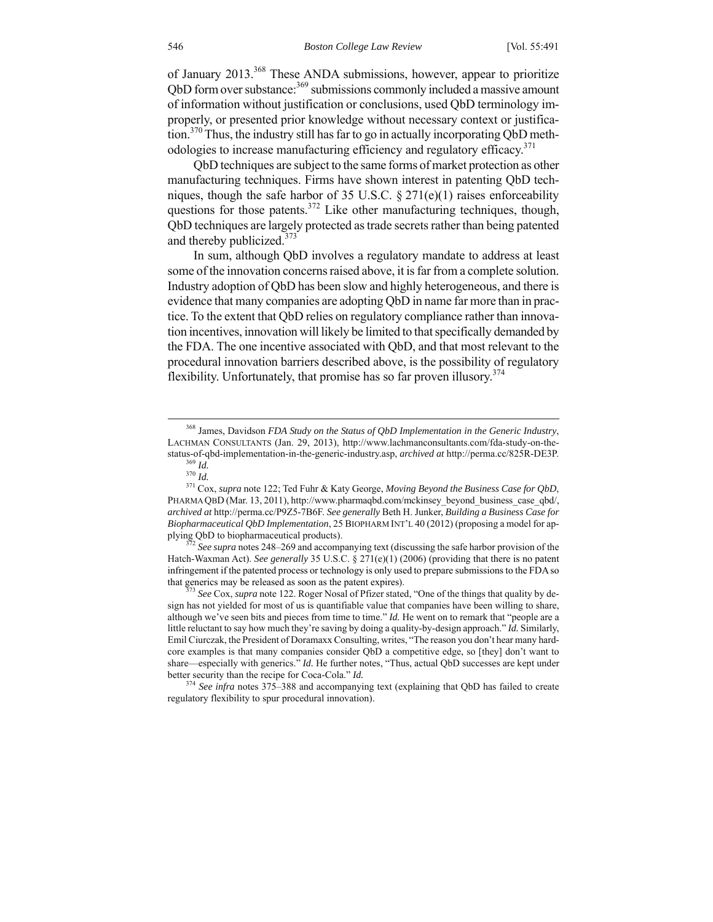of January 2013.368 These ANDA submissions, however, appear to prioritize QbD form over substance:<sup>369</sup> submissions commonly included a massive amount of information without justification or conclusions, used QbD terminology improperly, or presented prior knowledge without necessary context or justification.370 Thus, the industry still has far to go in actually incorporating QbD methodologies to increase manufacturing efficiency and regulatory efficacy.371

QbD techniques are subject to the same forms of market protection as other manufacturing techniques. Firms have shown interest in patenting QbD techniques, though the safe harbor of 35 U.S.C.  $\S 271(e)(1)$  raises enforceability questions for those patents.<sup>372</sup> Like other manufacturing techniques, though, QbD techniques are largely protected as trade secrets rather than being patented and thereby publicized.<sup>373</sup>

In sum, although QbD involves a regulatory mandate to address at least some of the innovation concerns raised above, it is far from a complete solution. Industry adoption of QbD has been slow and highly heterogeneous, and there is evidence that many companies are adopting QbD in name far more than in practice. To the extent that QbD relies on regulatory compliance rather than innovation incentives, innovation will likely be limited to that specifically demanded by the FDA. The one incentive associated with QbD, and that most relevant to the procedural innovation barriers described above, is the possibility of regulatory flexibility. Unfortunately, that promise has so far proven illusory.<sup>374</sup>

Hatch-Waxman Act). *See generally* 35 U.S.C. § 271(e)(1) (2006) (providing that there is no patent infringement if the patented process or technology is only used to prepare submissions to the FDA so that generics may be released as soon as the patent expires). 373 *See* Cox, *supra* note 122. Roger Nosal of Pfizer stated, "One of the things that quality by de-

sign has not yielded for most of us is quantifiable value that companies have been willing to share, although we've seen bits and pieces from time to time." *Id.* He went on to remark that "people are a little reluctant to say how much they're saving by doing a quality-by-design approach." *Id.* Similarly, Emil Ciurczak, the President of Doramaxx Consulting, writes, "The reason you don't hear many hardcore examples is that many companies consider QbD a competitive edge, so [they] don't want to share—especially with generics." *Id.* He further notes, "Thus, actual QbD successes are kept under

better security than the recipe for Coca-Cola." *Id.*  $374$  *See infra* notes 375–388 and accompanying text (explaining that QbD has failed to create regulatory flexibility to spur procedural innovation).

 <sup>368</sup> James, Davidson *FDA Study on the Status of QbD Implementation in the Generic Industry*, LACHMAN CONSULTANTS (Jan. 29, 2013), http://www.lachmanconsultants.com/fda-study-on-thestatus-of-qbd-implementation-in-the-generic-industry.asp, *archived at* http://perma.cc/825R-DE3P.<br><sup>369</sup> Id.<br><sup>370</sup> Id.<br><sup>371</sup> Cox, *supra* note 122; Ted Fuhr & Katy George, *Moving Beyond the Business Case for QbD*,

PHARMA QBD (Mar. 13, 2011), http://www.pharmaqbd.com/mckinsey\_beyond\_business\_case\_qbd/, *archived at* http://perma.cc/P9Z5-7B6F. *See generally* Beth H. Junker, *Building a Business Case for Biopharmaceutical QbD Implementation*, 25 BIOPHARM INT'L 40 (2012) (proposing a model for applying QbD to biopharmaceutical products). 372 *See supra* notes 248–269 and accompanying text (discussing the safe harbor provision of the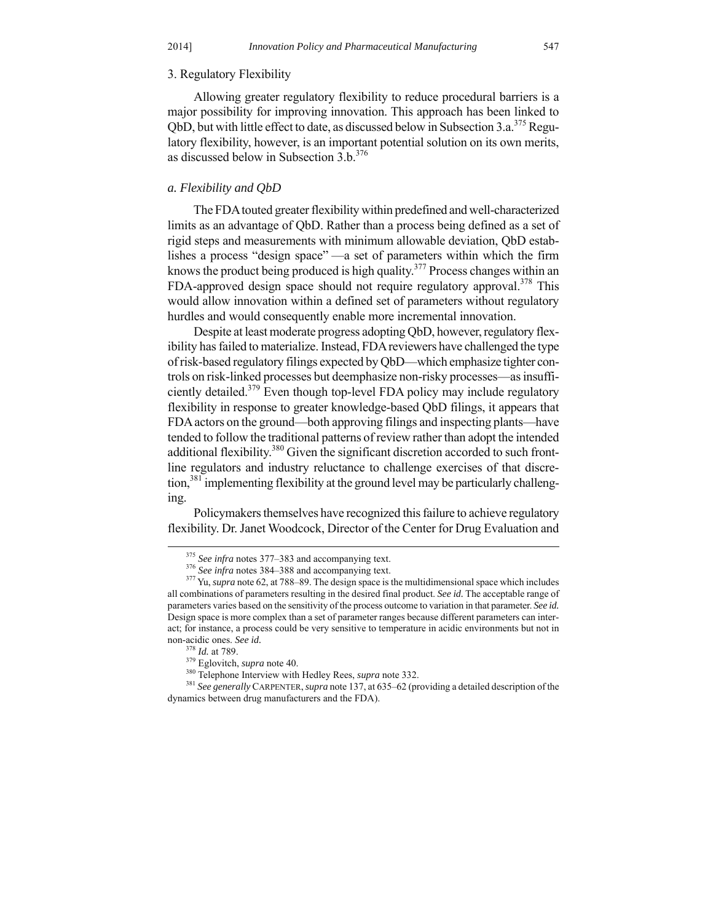#### 3. Regulatory Flexibility

Allowing greater regulatory flexibility to reduce procedural barriers is a major possibility for improving innovation. This approach has been linked to QbD, but with little effect to date, as discussed below in Subsection  $3.a.^{375}$  Regulatory flexibility, however, is an important potential solution on its own merits, as discussed below in Subsection  $3.b.^{3/6}$ 

## *a. Flexibility and QbD*

The FDA touted greater flexibility within predefined and well-characterized limits as an advantage of QbD. Rather than a process being defined as a set of rigid steps and measurements with minimum allowable deviation, QbD establishes a process "design space" —a set of parameters within which the firm knows the product being produced is high quality.<sup>377</sup> Process changes within an FDA-approved design space should not require regulatory approval.<sup>378</sup> This would allow innovation within a defined set of parameters without regulatory hurdles and would consequently enable more incremental innovation.

Despite at least moderate progress adopting QbD, however, regulatory flexibility has failed to materialize. Instead, FDA reviewers have challenged the type of risk-based regulatory filings expected by QbD—which emphasize tighter controls on risk-linked processes but deemphasize non-risky processes—as insufficiently detailed.379 Even though top-level FDA policy may include regulatory flexibility in response to greater knowledge-based QbD filings, it appears that FDA actors on the ground—both approving filings and inspecting plants—have tended to follow the traditional patterns of review rather than adopt the intended additional flexibility.<sup>380</sup> Given the significant discretion accorded to such frontline regulators and industry reluctance to challenge exercises of that discretion,<sup>381</sup> implementing flexibility at the ground level may be particularly challenging.

Policymakers themselves have recognized this failure to achieve regulatory flexibility. Dr. Janet Woodcock, Director of the Center for Drug Evaluation and

<sup>&</sup>lt;sup>375</sup> See infra notes 377–383 and accompanying text.<br><sup>376</sup> See infra notes 384–388 and accompanying text.<br><sup>376</sup> Yu, *supra* note 62, at 788–89. The design space is the multidimensional space which includes all combinations of parameters resulting in the desired final product. *See id.* The acceptable range of parameters varies based on the sensitivity of the process outcome to variation in that parameter. *See id.* Design space is more complex than a set of parameter ranges because different parameters can interact; for instance, a process could be very sensitive to temperature in acidic environments but not in non-acidic ones. *See id.*<br>
<sup>378</sup> *Id.* at 789.<br>
<sup>379</sup> Eglovitch, *supra* note 40.<br>
<sup>380</sup> Telephone Interview with Hedley Rees, *supra* note 332.<br>
<sup>381</sup> *See generally* CARPENTER, *supra* note 137, at 635–62 (providing a

dynamics between drug manufacturers and the FDA).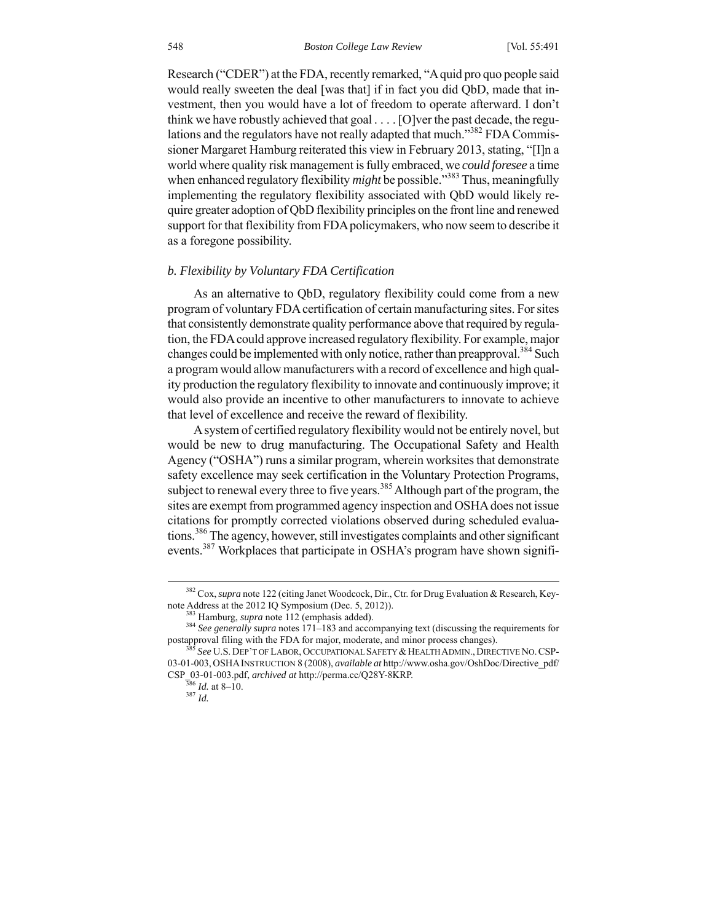Research ("CDER") at the FDA, recently remarked, "A quid pro quo people said would really sweeten the deal [was that] if in fact you did QbD, made that investment, then you would have a lot of freedom to operate afterward. I don't think we have robustly achieved that goal . . . . [O]ver the past decade, the regulations and the regulators have not really adapted that much."<sup>382</sup> FDA Commissioner Margaret Hamburg reiterated this view in February 2013, stating, "[I]n a world where quality risk management is fully embraced, we *could foresee* a time when enhanced regulatory flexibility *might* be possible.<sup>3383</sup> Thus, meaningfully implementing the regulatory flexibility associated with QbD would likely require greater adoption of QbD flexibility principles on the front line and renewed support for that flexibility from FDA policymakers, who now seem to describe it as a foregone possibility.

# *b. Flexibility by Voluntary FDA Certification*

As an alternative to QbD, regulatory flexibility could come from a new program of voluntary FDA certification of certain manufacturing sites. For sites that consistently demonstrate quality performance above that required by regulation, the FDA could approve increased regulatory flexibility. For example, major changes could be implemented with only notice, rather than preapproval.<sup>384</sup> Such a program would allow manufacturers with a record of excellence and high quality production the regulatory flexibility to innovate and continuously improve; it would also provide an incentive to other manufacturers to innovate to achieve that level of excellence and receive the reward of flexibility.

A system of certified regulatory flexibility would not be entirely novel, but would be new to drug manufacturing. The Occupational Safety and Health Agency ("OSHA") runs a similar program, wherein worksites that demonstrate safety excellence may seek certification in the Voluntary Protection Programs, subject to renewal every three to five years.<sup>385</sup> Although part of the program, the sites are exempt from programmed agency inspection and OSHA does not issue citations for promptly corrected violations observed during scheduled evaluations.386 The agency, however, still investigates complaints and other significant events.<sup>387</sup> Workplaces that participate in OSHA's program have shown signifi-

 <sup>382</sup> Cox, *supra* note 122 (citing Janet Woodcock, Dir., Ctr. for Drug Evaluation & Research, Key-

note Address at the 2012 IQ Symposium (Dec. 5, 2012)).<br><sup>383</sup> Hamburg, *supra* note 112 (emphasis added).<br><sup>384</sup> See generally supra notes 171–183 and accompanying text (discussing the requirements for postapproval filing with the FDA for major, moderate, and minor process changes). 385 *See* U.S. DEP'T OF LABOR,OCCUPATIONAL SAFETY &HEALTH ADMIN.,DIRECTIVE NO.CSP-

<sup>03-01-003,</sup> OSHAINSTRUCTION 8 (2008), *available at* http://www.osha.gov/OshDoc/Directive\_pdf/ CSP\_03-01-003.pdf, *archived at* http://perma.cc/Q28Y-8KRP. 386 *Id.* at 8–10. 387 *Id.*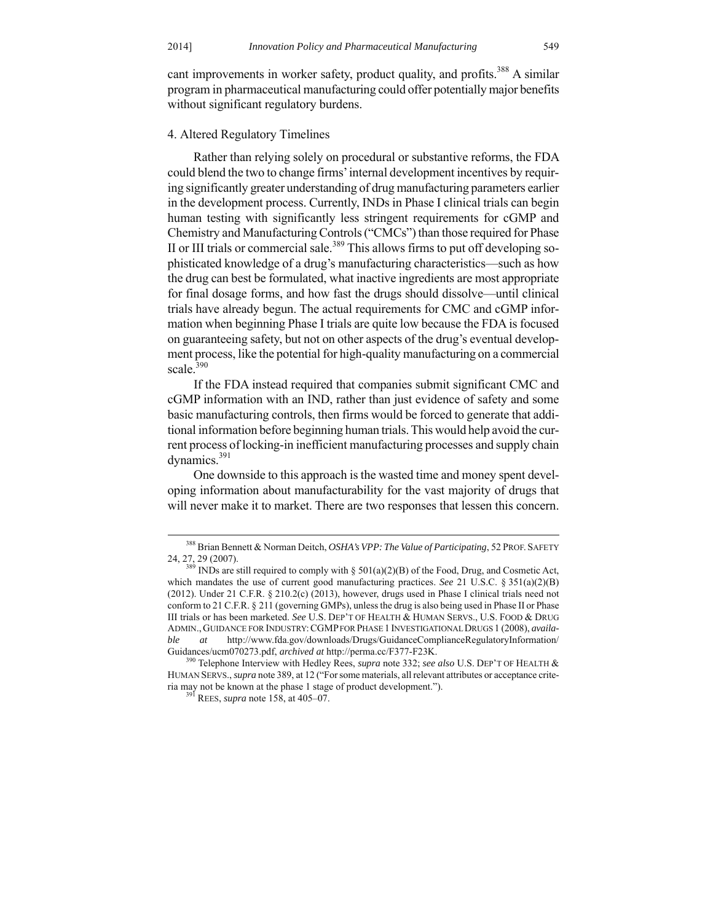cant improvements in worker safety, product quality, and profits.<sup>388</sup> A similar program in pharmaceutical manufacturing could offer potentially major benefits without significant regulatory burdens.

### 4. Altered Regulatory Timelines

Rather than relying solely on procedural or substantive reforms, the FDA could blend the two to change firms' internal development incentives by requiring significantly greater understanding of drug manufacturing parameters earlier in the development process. Currently, INDs in Phase I clinical trials can begin human testing with significantly less stringent requirements for cGMP and Chemistry and Manufacturing Controls ("CMCs") than those required for Phase II or III trials or commercial sale.<sup>389</sup> This allows firms to put off developing sophisticated knowledge of a drug's manufacturing characteristics—such as how the drug can best be formulated, what inactive ingredients are most appropriate for final dosage forms, and how fast the drugs should dissolve—until clinical trials have already begun. The actual requirements for CMC and cGMP information when beginning Phase I trials are quite low because the FDA is focused on guaranteeing safety, but not on other aspects of the drug's eventual development process, like the potential for high-quality manufacturing on a commercial scale.<sup>390</sup>

If the FDA instead required that companies submit significant CMC and cGMP information with an IND, rather than just evidence of safety and some basic manufacturing controls, then firms would be forced to generate that additional information before beginning human trials. This would help avoid the current process of locking-in inefficient manufacturing processes and supply chain dynamics.391

One downside to this approach is the wasted time and money spent developing information about manufacturability for the vast majority of drugs that will never make it to market. There are two responses that lessen this concern.

 <sup>388</sup> Brian Bennett & Norman Deitch, *OSHA's VPP: The Value of Participating*, 52 PROF. SAFETY

<sup>24, 27, 29 (2007).&</sup>lt;br><sup>389</sup> INDs are still required to comply with § 501(a)(2)(B) of the Food, Drug, and Cosmetic Act, which mandates the use of current good manufacturing practices. *See* 21 U.S.C. § 351(a)(2)(B) (2012). Under 21 C.F.R. § 210.2(c) (2013), however, drugs used in Phase I clinical trials need not conform to 21 C.F.R. § 211 (governing GMPs), unless the drug is also being used in Phase II or Phase III trials or has been marketed. *See* U.S. DEP'T OF HEALTH & HUMAN SERVS., U.S. FOOD & DRUG ADMIN., GUIDANCE FOR INDUSTRY:CGMP FOR PHASE 1 INVESTIGATIONAL DRUGS 1 (2008), *available at* http://www.fda.gov/downloads/Drugs/GuidanceComplianceRegulatoryInformation/

Guidances/ucm070273.pdf, *archived at* http://perma.cc/F377-F23K. 390 Telephone Interview with Hedley Rees, *supra* note 332; *see also* U.S. DEP'T OF HEALTH & HUMAN SERVS., *supra* note 389, at 12 ("For some materials, all relevant attributes or acceptance criteria may not be known at the phase 1 stage of product development."). 391 REES, *supra* note 158, at 405–07.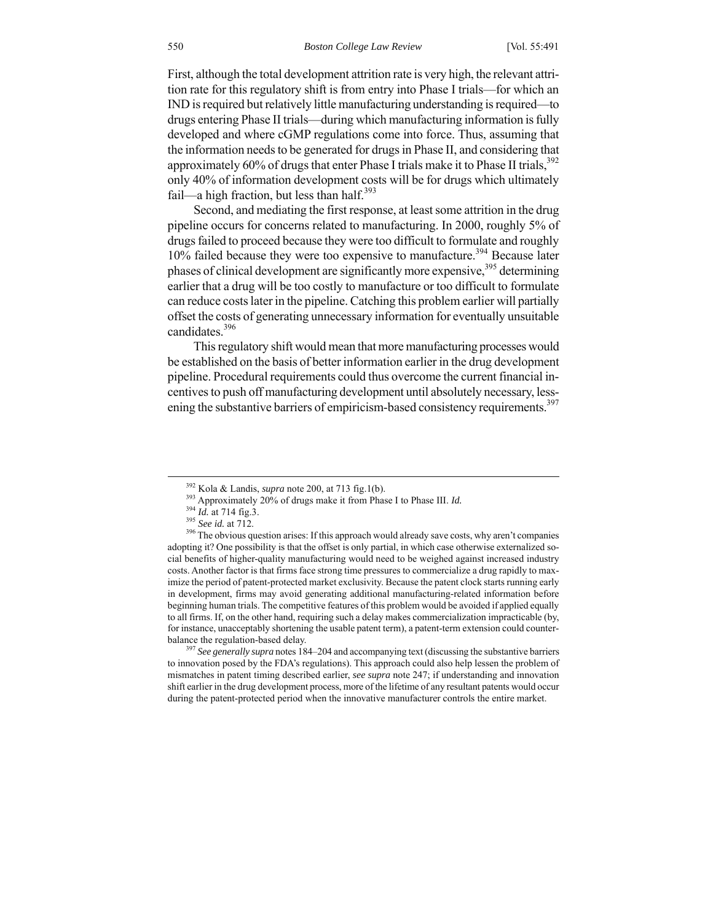First, although the total development attrition rate is very high, the relevant attrition rate for this regulatory shift is from entry into Phase I trials—for which an IND is required but relatively little manufacturing understanding is required—to drugs entering Phase II trials—during which manufacturing information is fully developed and where cGMP regulations come into force. Thus, assuming that the information needs to be generated for drugs in Phase II, and considering that approximately 60% of drugs that enter Phase I trials make it to Phase II trials, $392$ only 40% of information development costs will be for drugs which ultimately fail—a high fraction, but less than half. $393$ 

Second, and mediating the first response, at least some attrition in the drug pipeline occurs for concerns related to manufacturing. In 2000, roughly 5% of drugs failed to proceed because they were too difficult to formulate and roughly 10% failed because they were too expensive to manufacture.<sup>394</sup> Because later phases of clinical development are significantly more expensive,395 determining earlier that a drug will be too costly to manufacture or too difficult to formulate can reduce costs later in the pipeline. Catching this problem earlier will partially offset the costs of generating unnecessary information for eventually unsuitable candidates.<sup>396</sup>

This regulatory shift would mean that more manufacturing processes would be established on the basis of better information earlier in the drug development pipeline. Procedural requirements could thus overcome the current financial incentives to push off manufacturing development until absolutely necessary, lessening the substantive barriers of empiricism-based consistency requirements.<sup>397</sup>

<sup>&</sup>lt;sup>392</sup> Kola & Landis, *supra* note 200, at 713 fig.1(b).<br><sup>393</sup> Approximately 20% of drugs make it from Phase I to Phase III. *Id.*<br><sup>394</sup> *Id.* at 714 fig.3.<br><sup>395</sup> *See id.* at 712.<br><sup>396</sup> The obvious question arises: If thi adopting it? One possibility is that the offset is only partial, in which case otherwise externalized social benefits of higher-quality manufacturing would need to be weighed against increased industry costs. Another factor is that firms face strong time pressures to commercialize a drug rapidly to maximize the period of patent-protected market exclusivity. Because the patent clock starts running early in development, firms may avoid generating additional manufacturing-related information before beginning human trials. The competitive features of this problem would be avoided if applied equally to all firms. If, on the other hand, requiring such a delay makes commercialization impracticable (by, for instance, unacceptably shortening the usable patent term), a patent-term extension could counterbalance the regulation-based delay. 397 *See generally supra* notes 184–204 and accompanying text (discussing the substantive barriers

to innovation posed by the FDA's regulations). This approach could also help lessen the problem of mismatches in patent timing described earlier, *see supra* note 247; if understanding and innovation shift earlier in the drug development process, more of the lifetime of any resultant patents would occur during the patent-protected period when the innovative manufacturer controls the entire market.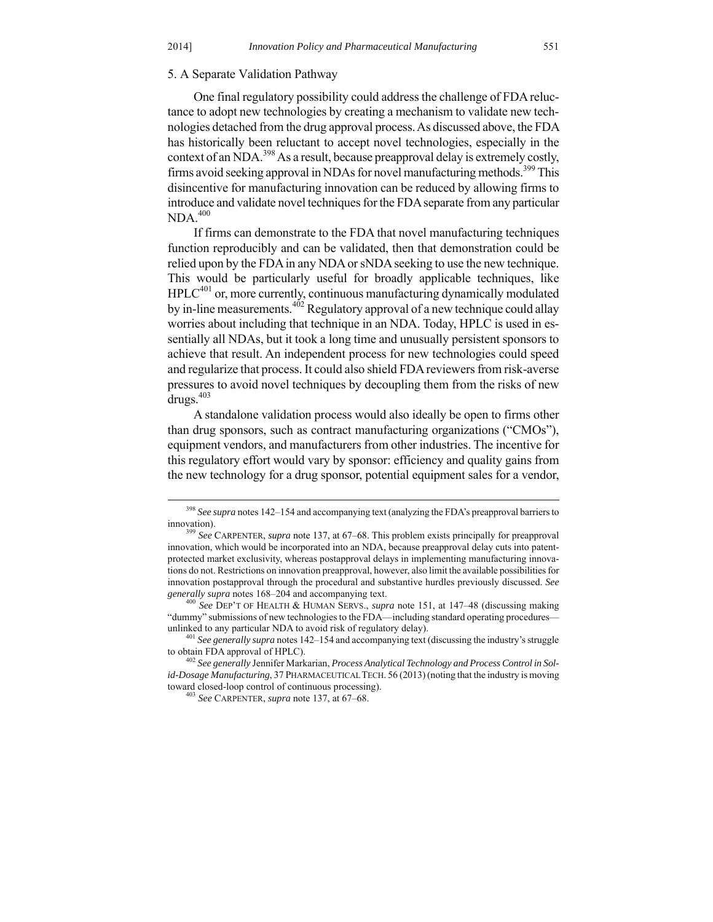### 5. A Separate Validation Pathway

One final regulatory possibility could address the challenge of FDA reluctance to adopt new technologies by creating a mechanism to validate new technologies detached from the drug approval process. As discussed above, the FDA has historically been reluctant to accept novel technologies, especially in the context of an NDA.<sup>398</sup> As a result, because preapproval delay is extremely costly, firms avoid seeking approval in NDAs for novel manufacturing methods.<sup>399</sup> This disincentive for manufacturing innovation can be reduced by allowing firms to introduce and validate novel techniques for the FDA separate from any particular  $NDA.<sup>400</sup>$ 

If firms can demonstrate to the FDA that novel manufacturing techniques function reproducibly and can be validated, then that demonstration could be relied upon by the FDA in any NDA or sNDA seeking to use the new technique. This would be particularly useful for broadly applicable techniques, like  $HPLC<sup>401</sup>$  or, more currently, continuous manufacturing dynamically modulated by in-line measurements.<sup> $402$ </sup> Regulatory approval of a new technique could allay worries about including that technique in an NDA. Today, HPLC is used in essentially all NDAs, but it took a long time and unusually persistent sponsors to achieve that result. An independent process for new technologies could speed and regularize that process. It could also shield FDA reviewers from risk-averse pressures to avoid novel techniques by decoupling them from the risks of new drugs.<sup>403</sup>

A standalone validation process would also ideally be open to firms other than drug sponsors, such as contract manufacturing organizations ("CMOs"), equipment vendors, and manufacturers from other industries. The incentive for this regulatory effort would vary by sponsor: efficiency and quality gains from the new technology for a drug sponsor, potential equipment sales for a vendor,

 <sup>398</sup> *See supra* notes 142–154 and accompanying text (analyzing the FDA's preapproval barriers to innovation). 399 *See* CARPENTER, *supra* note 137, at 67–68. This problem exists principally for preapproval

innovation, which would be incorporated into an NDA, because preapproval delay cuts into patentprotected market exclusivity, whereas postapproval delays in implementing manufacturing innovations do not. Restrictions on innovation preapproval, however, also limit the available possibilities for innovation postapproval through the procedural and substantive hurdles previously discussed. *See generally supra* notes 168–204 and accompanying text. 400 *See* DEP'T OF HEALTH & HUMAN SERVS., *supra* note 151, at 147–48 (discussing making

<sup>&</sup>quot;dummy" submissions of new technologies to the FDA—including standard operating procedures—

unlinked to any particular NDA to avoid risk of regulatory delay). 401 *See generally supra* notes 142–154 and accompanying text (discussing the industry's struggle to obtain FDA approval of HPLC). 402 *See generally* Jennifer Markarian, *Process Analytical Technology and Process Control in Sol-*

*id-Dosage Manufacturing*, 37 PHARMACEUTICAL TECH. 56 (2013) (noting that the industry is moving toward closed-loop control of continuous processing).

<sup>&</sup>lt;sup>403</sup> See CARPENTER, *supra* note 137, at 67–68.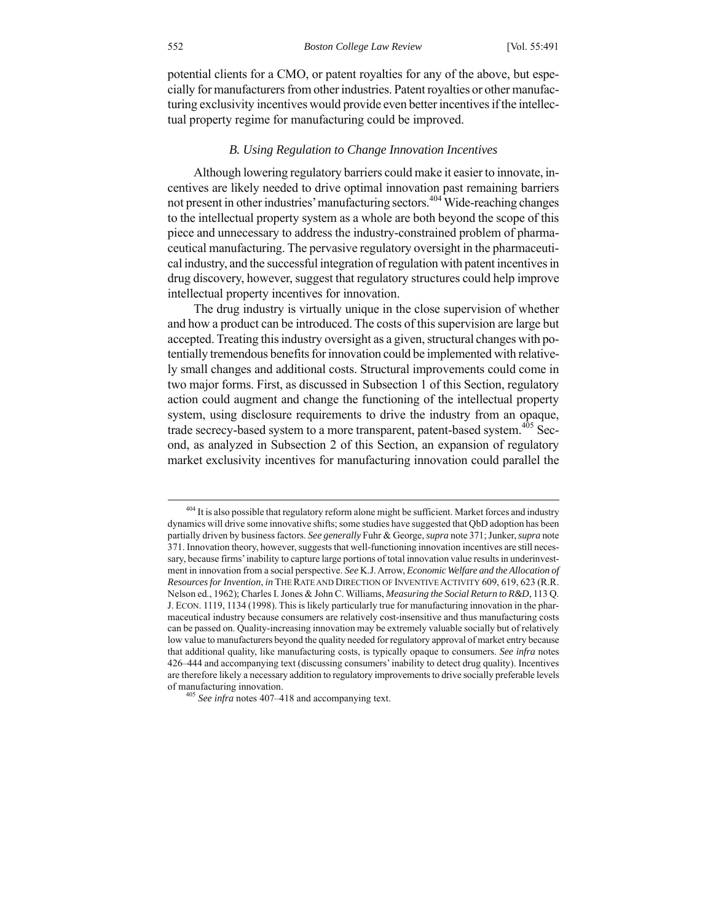potential clients for a CMO, or patent royalties for any of the above, but especially for manufacturers from other industries. Patent royalties or other manufacturing exclusivity incentives would provide even better incentives if the intellectual property regime for manufacturing could be improved.

### *B. Using Regulation to Change Innovation Incentives*

Although lowering regulatory barriers could make it easier to innovate, incentives are likely needed to drive optimal innovation past remaining barriers not present in other industries' manufacturing sectors.<sup>404</sup> Wide-reaching changes to the intellectual property system as a whole are both beyond the scope of this piece and unnecessary to address the industry-constrained problem of pharmaceutical manufacturing. The pervasive regulatory oversight in the pharmaceutical industry, and the successful integration of regulation with patent incentives in drug discovery, however, suggest that regulatory structures could help improve intellectual property incentives for innovation.

The drug industry is virtually unique in the close supervision of whether and how a product can be introduced. The costs of this supervision are large but accepted. Treating this industry oversight as a given, structural changes with potentially tremendous benefits for innovation could be implemented with relatively small changes and additional costs. Structural improvements could come in two major forms. First, as discussed in Subsection 1 of this Section, regulatory action could augment and change the functioning of the intellectual property system, using disclosure requirements to drive the industry from an opaque, trade secrecy-based system to a more transparent, patent-based system.<sup>405</sup> Second, as analyzed in Subsection 2 of this Section, an expansion of regulatory market exclusivity incentives for manufacturing innovation could parallel the

<sup>&</sup>lt;sup>404</sup> It is also possible that regulatory reform alone might be sufficient. Market forces and industry dynamics will drive some innovative shifts; some studies have suggested that QbD adoption has been partially driven by business factors. *See generally* Fuhr & George, *supra* note 371; Junker, *supra* note 371. Innovation theory, however, suggests that well-functioning innovation incentives are still necessary, because firms' inability to capture large portions of total innovation value results in underinvestment in innovation from a social perspective. *See* K.J. Arrow, *Economic Welfare and the Allocation of Resources for Invention*, *in* THE RATE AND DIRECTION OF INVENTIVE ACTIVITY 609, 619, 623 (R.R. Nelson ed., 1962); Charles I. Jones & John C. Williams, *Measuring the Social Return to R&D*, 113 Q. J. ECON. 1119, 1134 (1998). This is likely particularly true for manufacturing innovation in the pharmaceutical industry because consumers are relatively cost-insensitive and thus manufacturing costs can be passed on. Quality-increasing innovation may be extremely valuable socially but of relatively low value to manufacturers beyond the quality needed for regulatory approval of market entry because that additional quality, like manufacturing costs, is typically opaque to consumers. *See infra* notes 426–444 and accompanying text (discussing consumers' inability to detect drug quality). Incentives are therefore likely a necessary addition to regulatory improvements to drive socially preferable levels

of manufacturing innovation. 405 *See infra* notes 407–418 and accompanying text.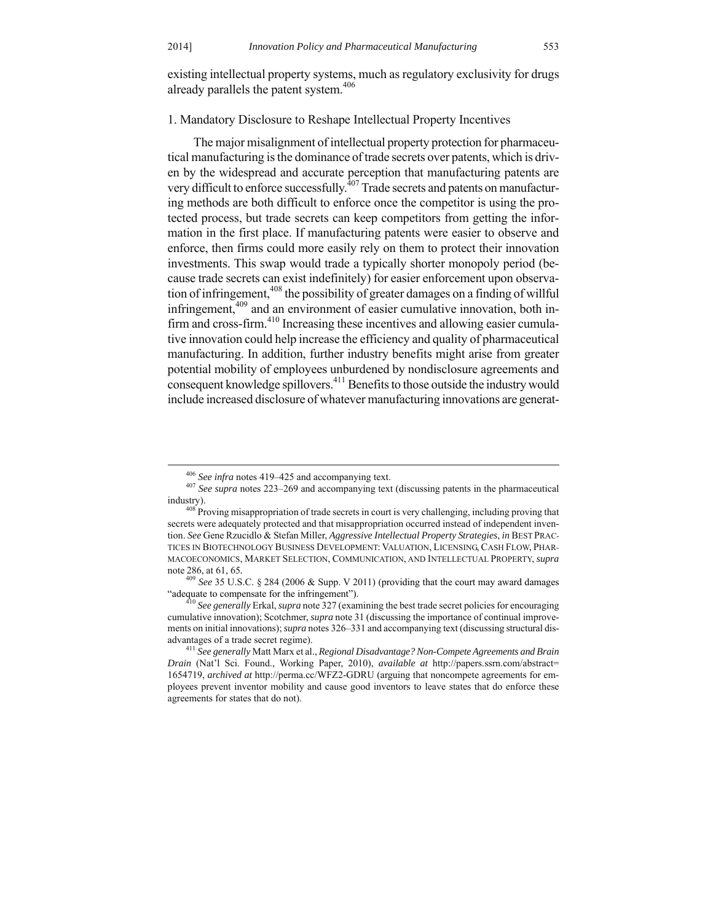existing intellectual property systems, much as regulatory exclusivity for drugs already parallels the patent system.<sup>406</sup>

#### 1. Mandatory Disclosure to Reshape Intellectual Property Incentives

The major misalignment of intellectual property protection for pharmaceutical manufacturing is the dominance of trade secrets over patents, which is driven by the widespread and accurate perception that manufacturing patents are very difficult to enforce successfully.<sup>407</sup> Trade secrets and patents on manufacturing methods are both difficult to enforce once the competitor is using the protected process, but trade secrets can keep competitors from getting the information in the first place. If manufacturing patents were easier to observe and enforce, then firms could more easily rely on them to protect their innovation investments. This swap would trade a typically shorter monopoly period (because trade secrets can exist indefinitely) for easier enforcement upon observation of infringement,<sup>408</sup> the possibility of greater damages on a finding of willful infringement,<sup>409</sup> and an environment of easier cumulative innovation, both infirm and cross-firm.<sup>410</sup> Increasing these incentives and allowing easier cumulative innovation could help increase the efficiency and quality of pharmaceutical manufacturing. In addition, further industry benefits might arise from greater potential mobility of employees unburdened by nondisclosure agreements and consequent knowledge spillovers.<sup>411</sup> Benefits to those outside the industry would include increased disclosure of whatever manufacturing innovations are generat-

<sup>406</sup> *See infra* notes 419–425 and accompanying text. 407 *See supra* notes 223–269 and accompanying text (discussing patents in the pharmaceutical

industry). 408 Proving misappropriation of trade secrets in court is very challenging, including proving that secrets were adequately protected and that misappropriation occurred instead of independent invention. *See* Gene Rzucidlo & Stefan Miller, *Aggressive Intellectual Property Strategies*, *in* BEST PRAC-TICES IN BIOTECHNOLOGY BUSINESS DEVELOPMENT: VALUATION, LICENSING, CASH FLOW, PHAR-MACOECONOMICS, MARKET SELECTION, COMMUNICATION, AND INTELLECTUAL PROPERTY, *supra* 

note 286, at 61, 65.<br><sup>409</sup> *See* 35 U.S.C. § 284 (2006 & Supp. V 2011) (providing that the court may award damages "adequate to compensate for the infringement").

<sup>&</sup>lt;sup>10</sup> See generally Erkal, *supra* note 327 (examining the best trade secret policies for encouraging cumulative innovation); Scotchmer, *supra* note 31 (discussing the importance of continual improvements on initial innovations); *supra* notes 326–331 and accompanying text (discussing structural disadvantages of a trade secret regime). 411 *See generally* Matt Marx et al., *Regional Disadvantage? Non-Compete Agreements and Brain* 

*Drain* (Nat'l Sci. Found., Working Paper, 2010), *available at* http://papers.ssrn.com/abstract= 1654719, *archived at* http://perma.cc/WFZ2-GDRU (arguing that noncompete agreements for employees prevent inventor mobility and cause good inventors to leave states that do enforce these agreements for states that do not).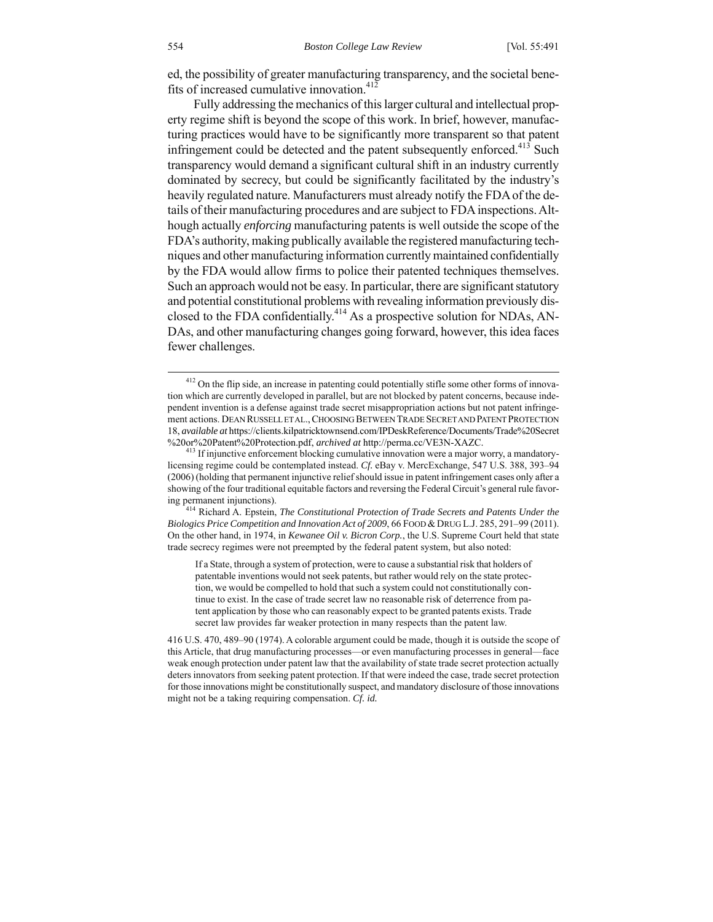ed, the possibility of greater manufacturing transparency, and the societal benefits of increased cumulative innovation. $412$ 

Fully addressing the mechanics of this larger cultural and intellectual property regime shift is beyond the scope of this work. In brief, however, manufacturing practices would have to be significantly more transparent so that patent infringement could be detected and the patent subsequently enforced.<sup>413</sup> Such transparency would demand a significant cultural shift in an industry currently dominated by secrecy, but could be significantly facilitated by the industry's heavily regulated nature. Manufacturers must already notify the FDA of the details of their manufacturing procedures and are subject to FDA inspections. Although actually *enforcing* manufacturing patents is well outside the scope of the FDA's authority, making publically available the registered manufacturing techniques and other manufacturing information currently maintained confidentially by the FDA would allow firms to police their patented techniques themselves. Such an approach would not be easy. In particular, there are significant statutory and potential constitutional problems with revealing information previously disclosed to the FDA confidentially.<sup>414</sup> As a prospective solution for NDAs, AN-DAs, and other manufacturing changes going forward, however, this idea faces fewer challenges.

Biologics Price Competition and Innovation Act of 2009, 66 FOOD & DRUG L.J. 285, 291-99 (2011). On the other hand, in 1974, in *Kewanee Oil v. Bicron Corp.*, the U.S. Supreme Court held that state trade secrecy regimes were not preempted by the federal patent system, but also noted:

If a State, through a system of protection, were to cause a substantial risk that holders of patentable inventions would not seek patents, but rather would rely on the state protection, we would be compelled to hold that such a system could not constitutionally continue to exist. In the case of trade secret law no reasonable risk of deterrence from patent application by those who can reasonably expect to be granted patents exists. Trade secret law provides far weaker protection in many respects than the patent law.

<sup>&</sup>lt;sup>412</sup> On the flip side, an increase in patenting could potentially stifle some other forms of innovation which are currently developed in parallel, but are not blocked by patent concerns, because independent invention is a defense against trade secret misappropriation actions but not patent infringement actions. DEAN RUSSELL ET AL.,CHOOSING BETWEEN TRADE SECRET AND PATENT PROTECTION 18, *available at* https://clients.kilpatricktownsend.com/IPDeskReference/Documents/Trade%20Secret

<sup>%20</sup>or%20Patent%20Protection.pdf, *archived at* http://perma.cc/VE3N-XAZC. 413 If injunctive enforcement blocking cumulative innovation were a major worry, a mandatorylicensing regime could be contemplated instead. *Cf.* eBay v. MercExchange, 547 U.S. 388, 393–94 (2006) (holding that permanent injunctive relief should issue in patent infringement cases only after a showing of the four traditional equitable factors and reversing the Federal Circuit's general rule favoring permanent injunctions). 414 Richard A. Epstein, *The Constitutional Protection of Trade Secrets and Patents Under the* 

<sup>416</sup> U.S. 470, 489–90 (1974). A colorable argument could be made, though it is outside the scope of this Article, that drug manufacturing processes—or even manufacturing processes in general—face weak enough protection under patent law that the availability of state trade secret protection actually deters innovators from seeking patent protection. If that were indeed the case, trade secret protection for those innovations might be constitutionally suspect, and mandatory disclosure of those innovations might not be a taking requiring compensation. *Cf. id.*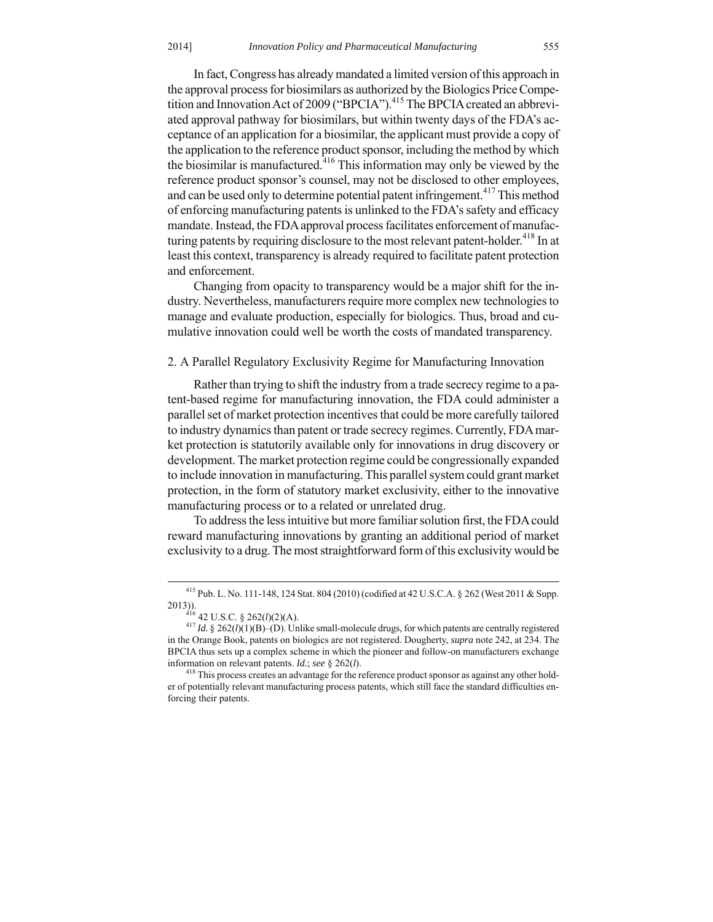In fact, Congress has already mandated a limited version of this approach in the approval process for biosimilars as authorized by the Biologics Price Competition and Innovation Act of 2009 ("BPCIA").<sup>415</sup> The BPCIA created an abbreviated approval pathway for biosimilars, but within twenty days of the FDA's acceptance of an application for a biosimilar, the applicant must provide a copy of the application to the reference product sponsor, including the method by which the biosimilar is manufactured. $416$  This information may only be viewed by the reference product sponsor's counsel, may not be disclosed to other employees, and can be used only to determine potential patent infringement.<sup>417</sup> This method of enforcing manufacturing patents is unlinked to the FDA's safety and efficacy mandate. Instead, the FDA approval process facilitates enforcement of manufacturing patents by requiring disclosure to the most relevant patent-holder.<sup>418</sup> In at least this context, transparency is already required to facilitate patent protection and enforcement.

Changing from opacity to transparency would be a major shift for the industry. Nevertheless, manufacturers require more complex new technologies to manage and evaluate production, especially for biologics. Thus, broad and cumulative innovation could well be worth the costs of mandated transparency.

### 2. A Parallel Regulatory Exclusivity Regime for Manufacturing Innovation

Rather than trying to shift the industry from a trade secrecy regime to a patent-based regime for manufacturing innovation, the FDA could administer a parallel set of market protection incentives that could be more carefully tailored to industry dynamics than patent or trade secrecy regimes. Currently, FDA market protection is statutorily available only for innovations in drug discovery or development. The market protection regime could be congressionally expanded to include innovation in manufacturing. This parallel system could grant market protection, in the form of statutory market exclusivity, either to the innovative manufacturing process or to a related or unrelated drug.

To address the less intuitive but more familiar solution first, the FDA could reward manufacturing innovations by granting an additional period of market exclusivity to a drug. The most straightforward form of this exclusivity would be

<sup>415</sup> Pub. L. No. 111-148, 124 Stat. 804 (2010) (codified at 42 U.S.C.A. § 262 (West 2011 & Supp.<br>2013)).<br>416 42 U.S.C. § 262(*I*)(2)(A).

<sup>&</sup>lt;sup>417</sup> *Id.* § 262(*l*)(1)(B)–(D). Unlike small-molecule drugs, for which patents are centrally registered in the Orange Book, patents on biologics are not registered. Dougherty, *supra* note 242, at 234. The BPCIA thus sets up a complex scheme in which the pioneer and follow-on manufacturers exchange

information on relevant patents. *Id.*; *see* § 262(*l*). <sup>418</sup> This process creates an advantage for the reference product sponsor as against any other holder of potentially relevant manufacturing process patents, which still face the standard difficulties enforcing their patents.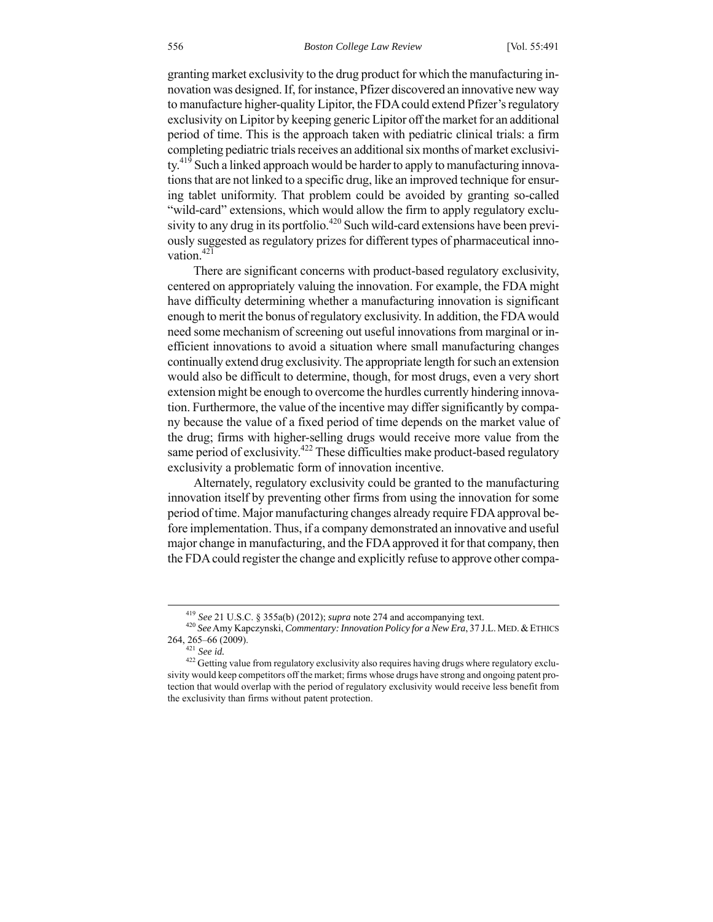granting market exclusivity to the drug product for which the manufacturing innovation was designed. If, for instance, Pfizer discovered an innovative new way to manufacture higher-quality Lipitor, the FDA could extend Pfizer's regulatory exclusivity on Lipitor by keeping generic Lipitor off the market for an additional period of time. This is the approach taken with pediatric clinical trials: a firm completing pediatric trials receives an additional six months of market exclusivity.<sup>419</sup> Such a linked approach would be harder to apply to manufacturing innovations that are not linked to a specific drug, like an improved technique for ensuring tablet uniformity. That problem could be avoided by granting so-called "wild-card" extensions, which would allow the firm to apply regulatory exclusivity to any drug in its portfolio.<sup>420</sup> Such wild-card extensions have been previously suggested as regulatory prizes for different types of pharmaceutical innovation.<sup>421</sup>

There are significant concerns with product-based regulatory exclusivity, centered on appropriately valuing the innovation. For example, the FDA might have difficulty determining whether a manufacturing innovation is significant enough to merit the bonus of regulatory exclusivity. In addition, the FDA would need some mechanism of screening out useful innovations from marginal or inefficient innovations to avoid a situation where small manufacturing changes continually extend drug exclusivity. The appropriate length for such an extension would also be difficult to determine, though, for most drugs, even a very short extension might be enough to overcome the hurdles currently hindering innovation. Furthermore, the value of the incentive may differ significantly by company because the value of a fixed period of time depends on the market value of the drug; firms with higher-selling drugs would receive more value from the same period of exclusivity.<sup>422</sup> These difficulties make product-based regulatory exclusivity a problematic form of innovation incentive.

Alternately, regulatory exclusivity could be granted to the manufacturing innovation itself by preventing other firms from using the innovation for some period of time. Major manufacturing changes already require FDA approval before implementation. Thus, if a company demonstrated an innovative and useful major change in manufacturing, and the FDA approved it for that company, then the FDA could register the change and explicitly refuse to approve other compa-

<sup>&</sup>lt;sup>419</sup> See 21 U.S.C. § 355a(b) (2012); *supra* note 274 and accompanying text.<br><sup>420</sup> See Amy Kapczynski, *Commentary: Innovation Policy for a New Era*, 37 J.L. MED. & ETHICS<br>264, 265–66 (2009).<br><sup>421</sup> See id.

<sup>&</sup>lt;sup>422</sup> Getting value from regulatory exclusivity also requires having drugs where regulatory exclusivity would keep competitors off the market; firms whose drugs have strong and ongoing patent protection that would overlap with the period of regulatory exclusivity would receive less benefit from the exclusivity than firms without patent protection.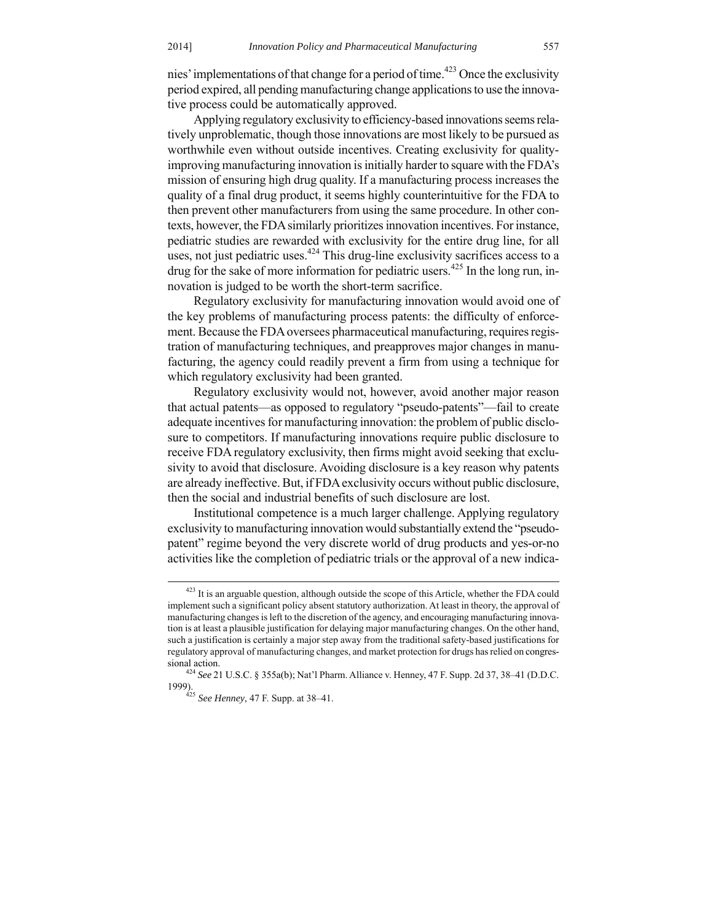nies' implementations of that change for a period of time.<sup>423</sup> Once the exclusivity period expired, all pending manufacturing change applications to use the innovative process could be automatically approved.

Applying regulatory exclusivity to efficiency-based innovations seems relatively unproblematic, though those innovations are most likely to be pursued as worthwhile even without outside incentives. Creating exclusivity for qualityimproving manufacturing innovation is initially harder to square with the FDA's mission of ensuring high drug quality. If a manufacturing process increases the quality of a final drug product, it seems highly counterintuitive for the FDA to then prevent other manufacturers from using the same procedure. In other contexts, however, the FDA similarly prioritizes innovation incentives. For instance, pediatric studies are rewarded with exclusivity for the entire drug line, for all uses, not just pediatric uses.<sup>424</sup> This drug-line exclusivity sacrifices access to a drug for the sake of more information for pediatric users.<sup>425</sup> In the long run, innovation is judged to be worth the short-term sacrifice.

Regulatory exclusivity for manufacturing innovation would avoid one of the key problems of manufacturing process patents: the difficulty of enforcement. Because the FDA oversees pharmaceutical manufacturing, requires registration of manufacturing techniques, and preapproves major changes in manufacturing, the agency could readily prevent a firm from using a technique for which regulatory exclusivity had been granted.

Regulatory exclusivity would not, however, avoid another major reason that actual patents—as opposed to regulatory "pseudo-patents"—fail to create adequate incentives for manufacturing innovation: the problem of public disclosure to competitors. If manufacturing innovations require public disclosure to receive FDA regulatory exclusivity, then firms might avoid seeking that exclusivity to avoid that disclosure. Avoiding disclosure is a key reason why patents are already ineffective. But, if FDA exclusivity occurs without public disclosure, then the social and industrial benefits of such disclosure are lost.

Institutional competence is a much larger challenge. Applying regulatory exclusivity to manufacturing innovation would substantially extend the "pseudopatent" regime beyond the very discrete world of drug products and yes-or-no activities like the completion of pediatric trials or the approval of a new indica-

<sup>&</sup>lt;sup>423</sup> It is an arguable question, although outside the scope of this Article, whether the FDA could implement such a significant policy absent statutory authorization. At least in theory, the approval of manufacturing changes is left to the discretion of the agency, and encouraging manufacturing innovation is at least a plausible justification for delaying major manufacturing changes. On the other hand, such a justification is certainly a major step away from the traditional safety-based justifications for regulatory approval of manufacturing changes, and market protection for drugs has relied on congres-

sional action. 424 *See* 21 U.S.C. § 355a(b); Nat'l Pharm. Alliance v. Henney, 47 F. Supp. 2d 37, 38–41 (D.D.C. 1999). 425 *See Henney*, 47 F. Supp. at 38–41.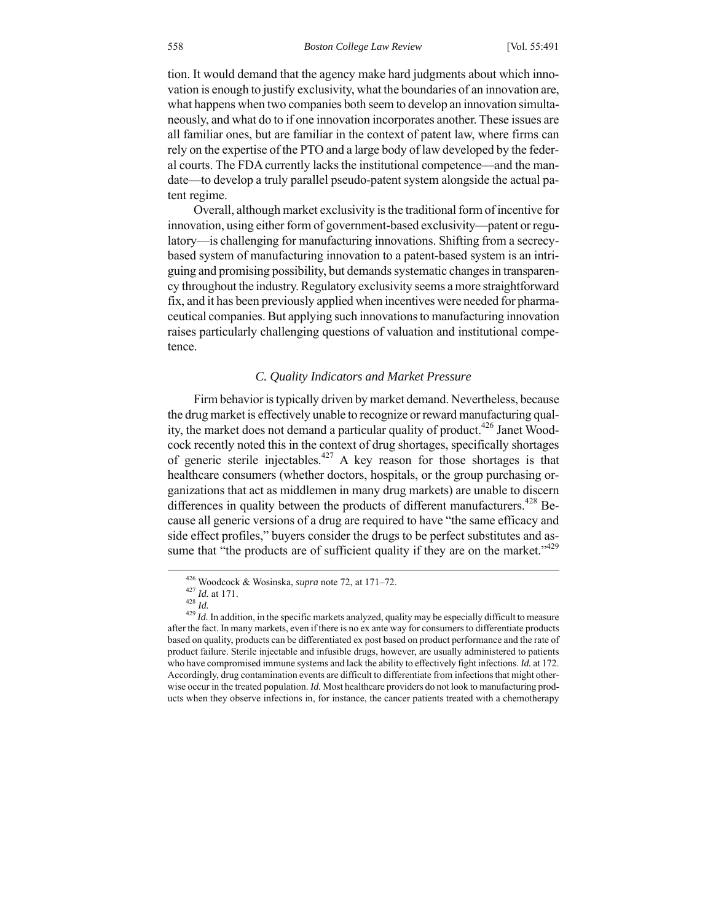tion. It would demand that the agency make hard judgments about which innovation is enough to justify exclusivity, what the boundaries of an innovation are, what happens when two companies both seem to develop an innovation simultaneously, and what do to if one innovation incorporates another. These issues are all familiar ones, but are familiar in the context of patent law, where firms can rely on the expertise of the PTO and a large body of law developed by the federal courts. The FDA currently lacks the institutional competence—and the mandate—to develop a truly parallel pseudo-patent system alongside the actual patent regime.

Overall, although market exclusivity is the traditional form of incentive for innovation, using either form of government-based exclusivity—patent or regulatory—is challenging for manufacturing innovations. Shifting from a secrecybased system of manufacturing innovation to a patent-based system is an intriguing and promising possibility, but demands systematic changes in transparency throughout the industry. Regulatory exclusivity seems a more straightforward fix, and it has been previously applied when incentives were needed for pharmaceutical companies. But applying such innovations to manufacturing innovation raises particularly challenging questions of valuation and institutional competence.

# *C. Quality Indicators and Market Pressure*

Firm behavior is typically driven by market demand. Nevertheless, because the drug market is effectively unable to recognize or reward manufacturing quality, the market does not demand a particular quality of product.<sup>426</sup> Janet Woodcock recently noted this in the context of drug shortages, specifically shortages of generic sterile injectables.427 A key reason for those shortages is that healthcare consumers (whether doctors, hospitals, or the group purchasing organizations that act as middlemen in many drug markets) are unable to discern differences in quality between the products of different manufacturers.<sup>428</sup> Because all generic versions of a drug are required to have "the same efficacy and side effect profiles," buyers consider the drugs to be perfect substitutes and assume that "the products are of sufficient quality if they are on the market."<sup>429</sup>

<sup>426</sup> Woodcock & Wosinska, *supra* note 72, at 171–72.<br><sup>427</sup> *Id.* at 171.<br><sup>428</sup> *Id.* In addition, in the specific markets analyzed, quality may be especially difficult to measure after the fact. In many markets, even if there is no ex ante way for consumers to differentiate products based on quality, products can be differentiated ex post based on product performance and the rate of product failure. Sterile injectable and infusible drugs, however, are usually administered to patients who have compromised immune systems and lack the ability to effectively fight infections. *Id.* at 172. Accordingly, drug contamination events are difficult to differentiate from infections that might otherwise occur in the treated population. *Id.* Most healthcare providers do not look to manufacturing products when they observe infections in, for instance, the cancer patients treated with a chemotherapy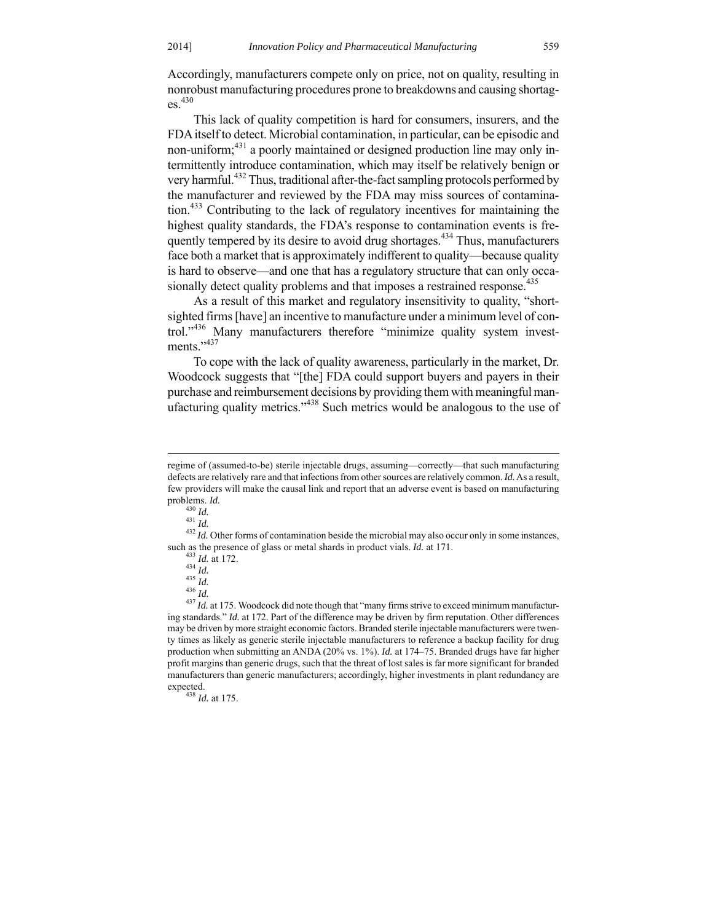Accordingly, manufacturers compete only on price, not on quality, resulting in nonrobust manufacturing procedures prone to breakdowns and causing shortag-

This lack of quality competition is hard for consumers, insurers, and the FDA itself to detect. Microbial contamination, in particular, can be episodic and non-uniform;<sup>431</sup> a poorly maintained or designed production line may only intermittently introduce contamination, which may itself be relatively benign or very harmful.432 Thus, traditional after-the-fact sampling protocols performed by the manufacturer and reviewed by the FDA may miss sources of contamination.<sup>433</sup> Contributing to the lack of regulatory incentives for maintaining the highest quality standards, the FDA's response to contamination events is frequently tempered by its desire to avoid drug shortages.<sup> $434$ </sup> Thus, manufacturers face both a market that is approximately indifferent to quality—because quality is hard to observe—and one that has a regulatory structure that can only occasionally detect quality problems and that imposes a restrained response.<sup>435</sup>

As a result of this market and regulatory insensitivity to quality, "shortsighted firms [have] an incentive to manufacture under a minimum level of control."<sup>436</sup> Many manufacturers therefore "minimize quality system investments."<sup>437</sup>

To cope with the lack of quality awareness, particularly in the market, Dr. Woodcock suggests that "[the] FDA could support buyers and payers in their purchase and reimbursement decisions by providing them with meaningful manufacturing quality metrics."438 Such metrics would be analogous to the use of

 $\overline{a}$ 

es.430

regime of (assumed-to-be) sterile injectable drugs, assuming—correctly—that such manufacturing defects are relatively rare and that infections from other sources are relatively common. *Id.* As a result, few providers will make the causal link and report that an adverse event is based on manufacturing problems. *Id.*<br><sup>430</sup> *Id.*<br><sup>431</sup> *Id.* 43<sup>1</sup> *Id.* Other forms of contamination beside the microbial may also occur only in some instances,

such as the presence of glass or metal shards in product vials. *Id.* at 171.<br><sup>433</sup> *Id.* at 172.<br><sup>434</sup> *Id.*<br><sup>435</sup> *Id.*<br><sup>435</sup> *Id.*<br><sup>436</sup> *Id.*<br><sup>436</sup> *Id.*<br><sup>436</sup> *Id.*<br><sup>436</sup> *Id.*<br><sup>436</sup> *Id.*<br><sup>436</sup> *Id.* 

ing standards." *Id.* at 172. Part of the difference may be driven by firm reputation. Other differences may be driven by more straight economic factors. Branded sterile injectable manufacturers were twenty times as likely as generic sterile injectable manufacturers to reference a backup facility for drug production when submitting an ANDA (20% vs. 1%). *Id.* at 174–75. Branded drugs have far higher profit margins than generic drugs, such that the threat of lost sales is far more significant for branded manufacturers than generic manufacturers; accordingly, higher investments in plant redundancy are expected.<br> $438$  *Id.* at 175.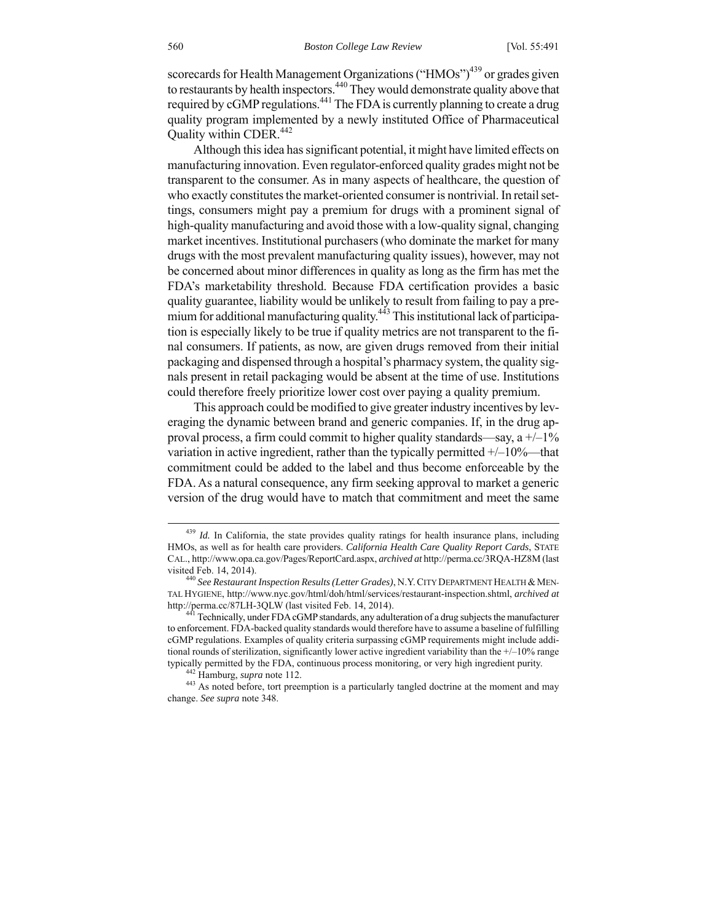scorecards for Health Management Organizations ("HMOs")<sup>439</sup> or grades given to restaurants by health inspectors.<sup>440</sup> They would demonstrate quality above that required by cGMP regulations.<sup>441</sup> The FDA is currently planning to create a drug quality program implemented by a newly instituted Office of Pharmaceutical Quality within CDER.<sup>442</sup>

Although this idea has significant potential, it might have limited effects on manufacturing innovation. Even regulator-enforced quality grades might not be transparent to the consumer. As in many aspects of healthcare, the question of who exactly constitutes the market-oriented consumer is nontrivial. In retail settings, consumers might pay a premium for drugs with a prominent signal of high-quality manufacturing and avoid those with a low-quality signal, changing market incentives. Institutional purchasers (who dominate the market for many drugs with the most prevalent manufacturing quality issues), however, may not be concerned about minor differences in quality as long as the firm has met the FDA's marketability threshold. Because FDA certification provides a basic quality guarantee, liability would be unlikely to result from failing to pay a premium for additional manufacturing quality.<sup>443</sup> This institutional lack of participation is especially likely to be true if quality metrics are not transparent to the final consumers. If patients, as now, are given drugs removed from their initial packaging and dispensed through a hospital's pharmacy system, the quality signals present in retail packaging would be absent at the time of use. Institutions could therefore freely prioritize lower cost over paying a quality premium.

This approach could be modified to give greater industry incentives by leveraging the dynamic between brand and generic companies. If, in the drug approval process, a firm could commit to higher quality standards—say,  $a +/1\%$ variation in active ingredient, rather than the typically permitted  $+/-10\%$ —that commitment could be added to the label and thus become enforceable by the FDA. As a natural consequence, any firm seeking approval to market a generic version of the drug would have to match that commitment and meet the same

<sup>&</sup>lt;sup>439</sup> *Id.* In California, the state provides quality ratings for health insurance plans, including HMOs, as well as for health care providers. *California Health Care Quality Report Cards*, STATE CAL., http://www.opa.ca.gov/Pages/ReportCard.aspx, *archived at* http://perma.cc/3RQA-HZ8M (last visited Feb. 14, 2014).<br><sup>440</sup> See Restaurant Inspection Results (Letter Grades), N.Y. CITY DEPARTMENT HEALTH & MEN-

TAL HYGIENE, http://www.nyc.gov/html/doh/html/services/restaurant-inspection.shtml, *archived at* http://perma.cc/87LH-3QLW (last visited Feb. 14, 2014).<br><sup>441</sup> Technically, under FDA cGMP standards, any adulteration of a drug subjects the manufacturer

to enforcement. FDA-backed quality standards would therefore have to assume a baseline of fulfilling cGMP regulations. Examples of quality criteria surpassing cGMP requirements might include additional rounds of sterilization, significantly lower active ingredient variability than the +/–10% range typically permitted by the FDA, continuous process monitoring, or very high ingredient purity.<br><sup>442</sup> Hamburg, *supra* note 112.<br><sup>443</sup> As noted before, tort preemption is a particularly tangled doctrine at the moment and ma

change. *See supra* note 348.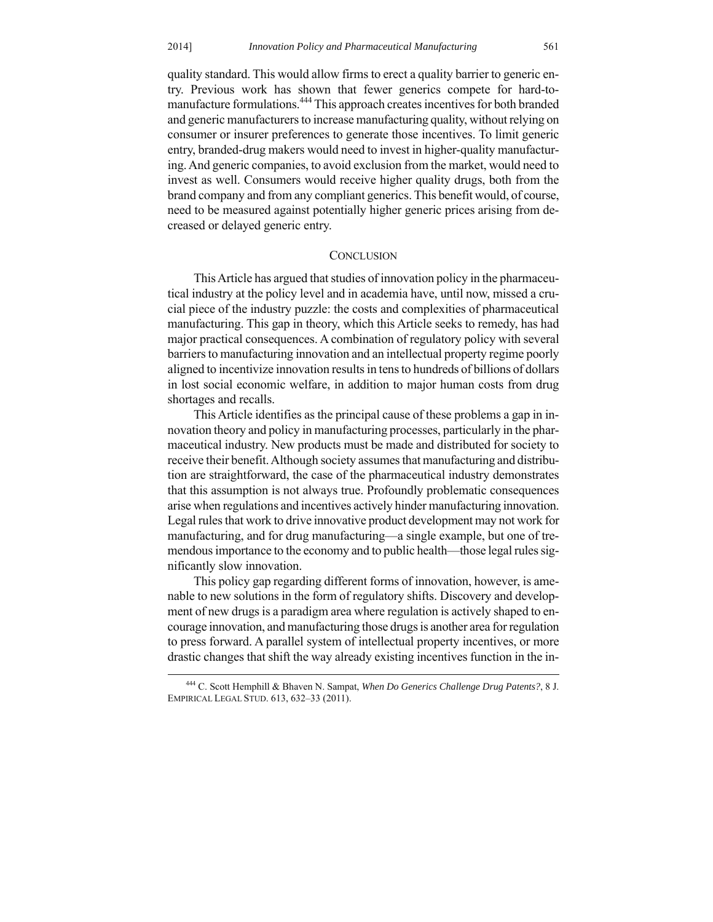quality standard. This would allow firms to erect a quality barrier to generic entry. Previous work has shown that fewer generics compete for hard-tomanufacture formulations.444 This approach creates incentives for both branded and generic manufacturers to increase manufacturing quality, without relying on consumer or insurer preferences to generate those incentives. To limit generic entry, branded-drug makers would need to invest in higher-quality manufacturing. And generic companies, to avoid exclusion from the market, would need to invest as well. Consumers would receive higher quality drugs, both from the brand company and from any compliant generics. This benefit would, of course, need to be measured against potentially higher generic prices arising from decreased or delayed generic entry.

# **CONCLUSION**

This Article has argued that studies of innovation policy in the pharmaceutical industry at the policy level and in academia have, until now, missed a crucial piece of the industry puzzle: the costs and complexities of pharmaceutical manufacturing. This gap in theory, which this Article seeks to remedy, has had major practical consequences. A combination of regulatory policy with several barriers to manufacturing innovation and an intellectual property regime poorly aligned to incentivize innovation results in tens to hundreds of billions of dollars in lost social economic welfare, in addition to major human costs from drug shortages and recalls.

This Article identifies as the principal cause of these problems a gap in innovation theory and policy in manufacturing processes, particularly in the pharmaceutical industry. New products must be made and distributed for society to receive their benefit. Although society assumes that manufacturing and distribution are straightforward, the case of the pharmaceutical industry demonstrates that this assumption is not always true. Profoundly problematic consequences arise when regulations and incentives actively hinder manufacturing innovation. Legal rules that work to drive innovative product development may not work for manufacturing, and for drug manufacturing—a single example, but one of tremendous importance to the economy and to public health—those legal rules significantly slow innovation.

This policy gap regarding different forms of innovation, however, is amenable to new solutions in the form of regulatory shifts. Discovery and development of new drugs is a paradigm area where regulation is actively shaped to encourage innovation, and manufacturing those drugs is another area for regulation to press forward. A parallel system of intellectual property incentives, or more drastic changes that shift the way already existing incentives function in the in-

 <sup>444</sup> C. Scott Hemphill & Bhaven N. Sampat, *When Do Generics Challenge Drug Patents?*, 8 J. EMPIRICAL LEGAL STUD. 613, 632–33 (2011).